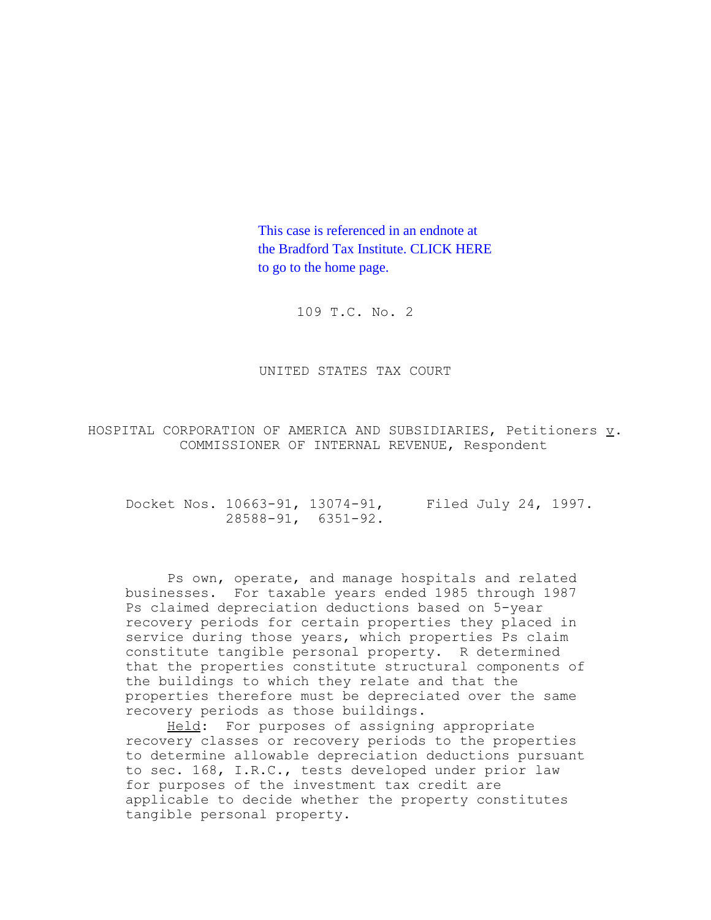This case is referenced in an endnote at [the Bradford Tax Institute. CLICK HERE](http://www.bradfordtaxinstitute.com/)  to go to the home page.

109 T.C. No. 2

UNITED STATES TAX COURT

HOSPITAL CORPORATION OF AMERICA AND SUBSIDIARIES, Petitioners v. COMMISSIONER OF INTERNAL REVENUE, Respondent

Docket Nos. 10663-91, 13074-91, Filed July 24, 1997. 28588-91, 6351-92.

Ps own, operate, and manage hospitals and related businesses. For taxable years ended 1985 through 1987 Ps claimed depreciation deductions based on 5-year recovery periods for certain properties they placed in service during those years, which properties Ps claim constitute tangible personal property. R determined that the properties constitute structural components of the buildings to which they relate and that the properties therefore must be depreciated over the same recovery periods as those buildings.

Held: For purposes of assigning appropriate recovery classes or recovery periods to the properties to determine allowable depreciation deductions pursuant to sec. 168, I.R.C., tests developed under prior law for purposes of the investment tax credit are applicable to decide whether the property constitutes tangible personal property.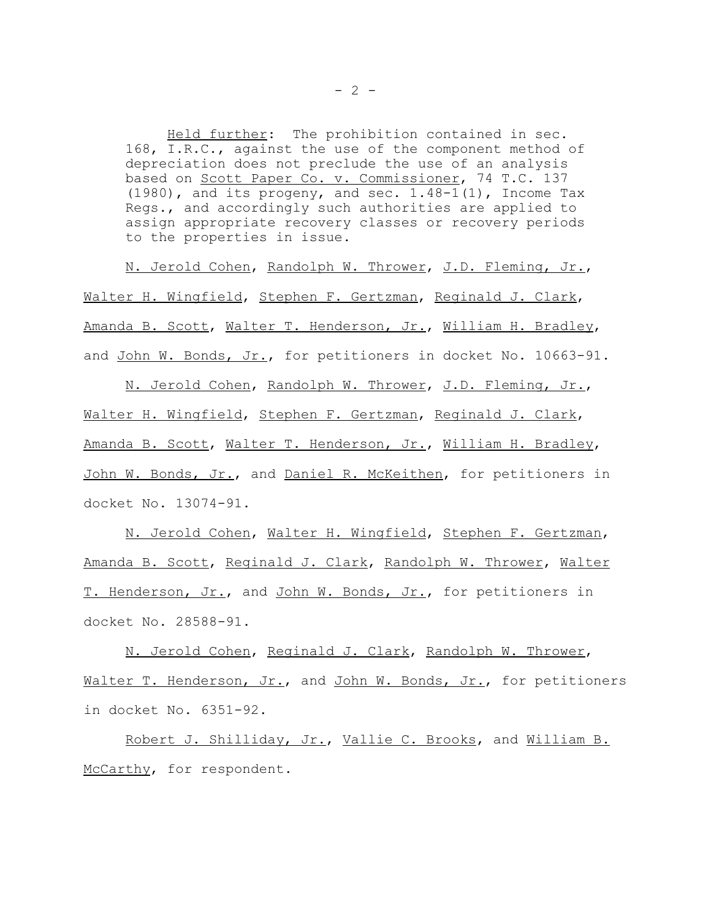Held further: The prohibition contained in sec. 168, I.R.C., against the use of the component method of depreciation does not preclude the use of an analysis based on Scott Paper Co. v. Commissioner, 74 T.C. 137 (1980), and its progeny, and sec. 1.48-1(1), Income Tax Regs., and accordingly such authorities are applied to assign appropriate recovery classes or recovery periods to the properties in issue.

N. Jerold Cohen, Randolph W. Thrower, J.D. Fleming, Jr., Walter H. Wingfield, Stephen F. Gertzman, Reginald J. Clark, Amanda B. Scott, Walter T. Henderson, Jr., William H. Bradley, and John W. Bonds, Jr., for petitioners in docket No. 10663-91.

N. Jerold Cohen, Randolph W. Thrower, J.D. Fleming, Jr., Walter H. Wingfield, Stephen F. Gertzman, Reginald J. Clark, Amanda B. Scott, Walter T. Henderson, Jr., William H. Bradley, John W. Bonds, Jr., and Daniel R. McKeithen, for petitioners in docket No. 13074-91.

N. Jerold Cohen, Walter H. Wingfield, Stephen F. Gertzman, Amanda B. Scott, Reginald J. Clark, Randolph W. Thrower, Walter T. Henderson, Jr., and John W. Bonds, Jr., for petitioners in docket No. 28588-91.

N. Jerold Cohen, Reginald J. Clark, Randolph W. Thrower, Walter T. Henderson, Jr., and John W. Bonds, Jr., for petitioners in docket No. 6351-92.

Robert J. Shilliday, Jr., Vallie C. Brooks, and William B. McCarthy, for respondent.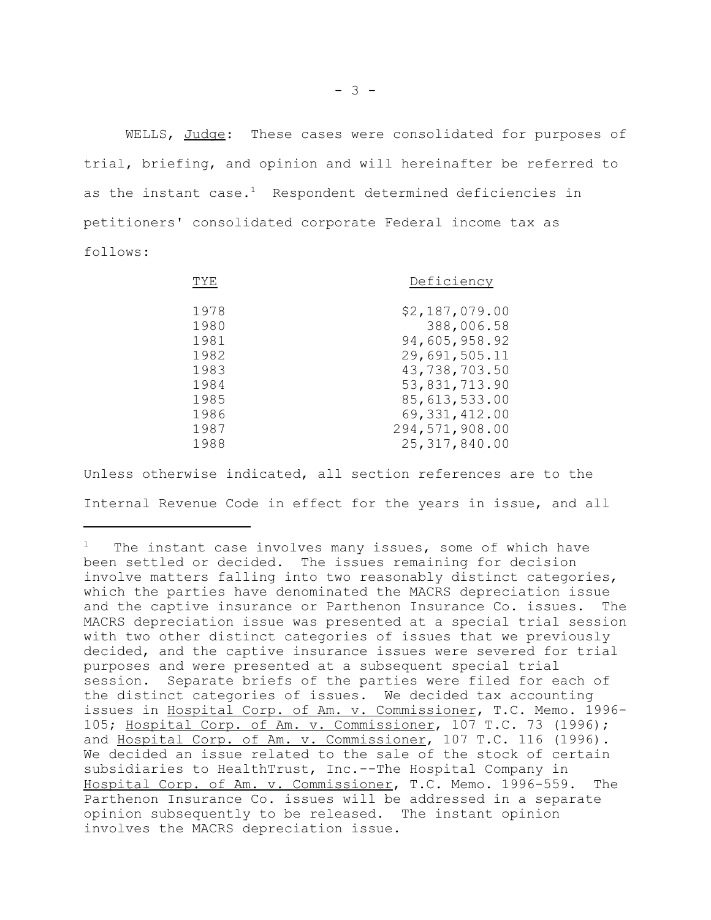WELLS, Judge: These cases were consolidated for purposes of trial, briefing, and opinion and will hereinafter be referred to as the instant case. $<sup>1</sup>$  Respondent determined deficiencies in</sup> petitioners' consolidated corporate Federal income tax as follows:

| TYE  | Deficiency      |
|------|-----------------|
| 1978 | \$2,187,079.00  |
| 1980 | 388,006.58      |
| 1981 | 94,605,958.92   |
| 1982 | 29,691,505.11   |
| 1983 | 43,738,703.50   |
| 1984 | 53,831,713.90   |
| 1985 | 85,613,533.00   |
| 1986 | 69, 331, 412.00 |
| 1987 | 294,571,908.00  |
| 1988 | 25, 317, 840.00 |

Unless otherwise indicated, all section references are to the Internal Revenue Code in effect for the years in issue, and all

The instant case involves many issues, some of which have been settled or decided. The issues remaining for decision involve matters falling into two reasonably distinct categories, which the parties have denominated the MACRS depreciation issue and the captive insurance or Parthenon Insurance Co. issues. The MACRS depreciation issue was presented at a special trial session with two other distinct categories of issues that we previously decided, and the captive insurance issues were severed for trial purposes and were presented at a subsequent special trial session. Separate briefs of the parties were filed for each of the distinct categories of issues. We decided tax accounting issues in Hospital Corp. of Am. v. Commissioner, T.C. Memo. 1996- 105; Hospital Corp. of Am. v. Commissioner, 107 T.C. 73 (1996); and Hospital Corp. of Am. v. Commissioner, 107 T.C. 116 (1996). We decided an issue related to the sale of the stock of certain subsidiaries to HealthTrust, Inc.--The Hospital Company in Hospital Corp. of Am. v. Commissioner, T.C. Memo. 1996-559. The Parthenon Insurance Co. issues will be addressed in a separate opinion subsequently to be released. The instant opinion involves the MACRS depreciation issue.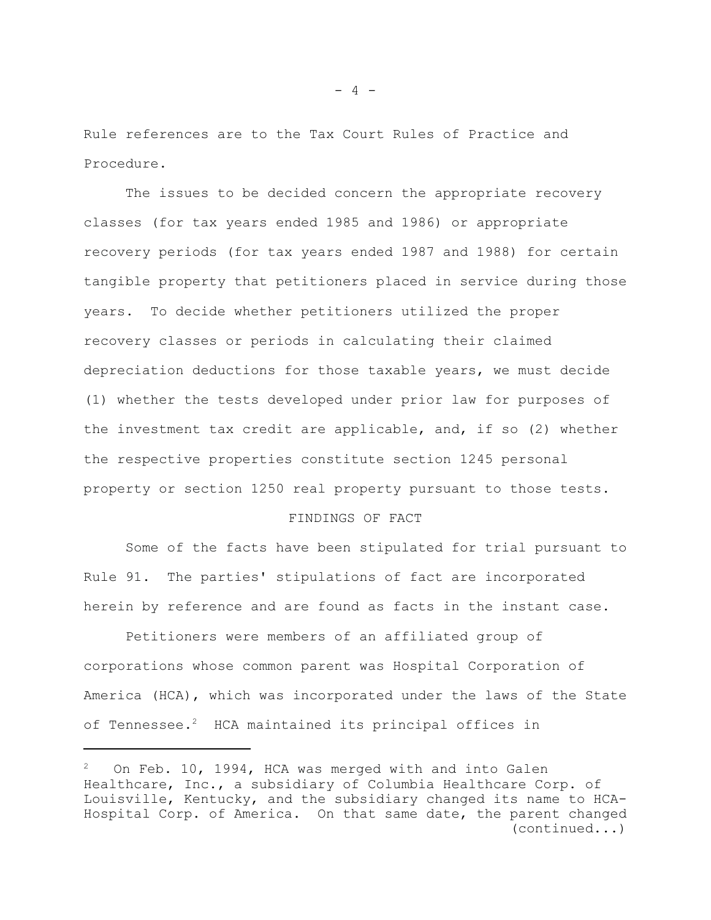Rule references are to the Tax Court Rules of Practice and Procedure.

The issues to be decided concern the appropriate recovery classes (for tax years ended 1985 and 1986) or appropriate recovery periods (for tax years ended 1987 and 1988) for certain tangible property that petitioners placed in service during those years. To decide whether petitioners utilized the proper recovery classes or periods in calculating their claimed depreciation deductions for those taxable years, we must decide (1) whether the tests developed under prior law for purposes of the investment tax credit are applicable, and, if so (2) whether the respective properties constitute section 1245 personal property or section 1250 real property pursuant to those tests.

# FINDINGS OF FACT

Some of the facts have been stipulated for trial pursuant to Rule 91. The parties' stipulations of fact are incorporated herein by reference and are found as facts in the instant case.

Petitioners were members of an affiliated group of corporations whose common parent was Hospital Corporation of America (HCA), which was incorporated under the laws of the State of Tennessee.<sup>2</sup> HCA maintained its principal offices in

On Feb. 10, 1994, HCA was merged with and into Galen Healthcare, Inc., a subsidiary of Columbia Healthcare Corp. of Louisville, Kentucky, and the subsidiary changed its name to HCA-Hospital Corp. of America. On that same date, the parent changed (continued...)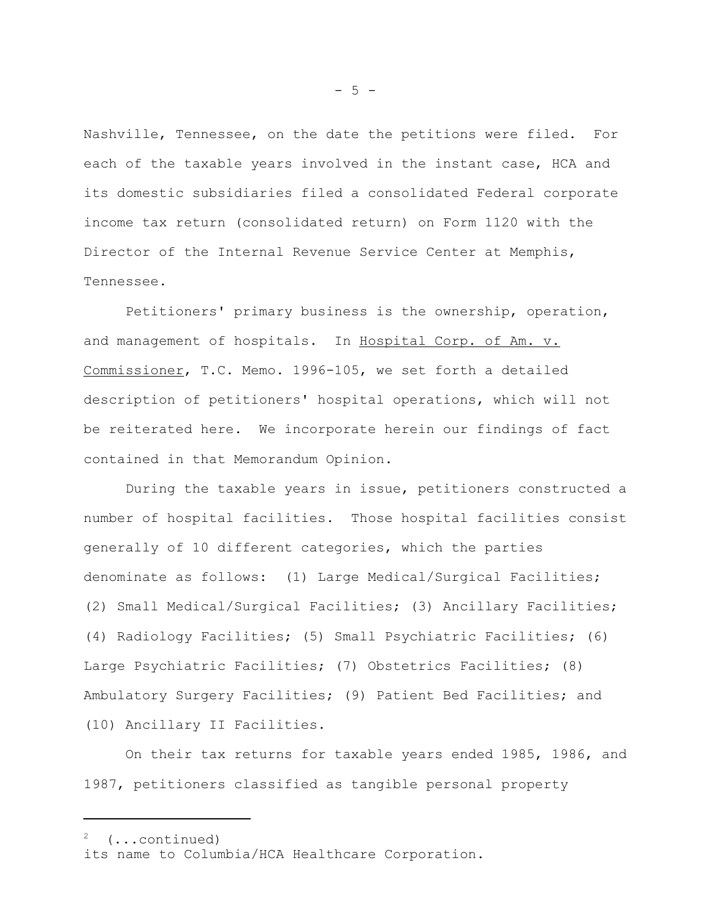Nashville, Tennessee, on the date the petitions were filed. For each of the taxable years involved in the instant case, HCA and its domestic subsidiaries filed a consolidated Federal corporate income tax return (consolidated return) on Form 1120 with the Director of the Internal Revenue Service Center at Memphis, Tennessee.

Petitioners' primary business is the ownership, operation, and management of hospitals. In Hospital Corp. of Am. v. Commissioner, T.C. Memo. 1996-105, we set forth a detailed description of petitioners' hospital operations, which will not be reiterated here. We incorporate herein our findings of fact contained in that Memorandum Opinion.

During the taxable years in issue, petitioners constructed a number of hospital facilities. Those hospital facilities consist generally of 10 different categories, which the parties denominate as follows: (1) Large Medical/Surgical Facilities; (2) Small Medical/Surgical Facilities; (3) Ancillary Facilities; (4) Radiology Facilities; (5) Small Psychiatric Facilities; (6) Large Psychiatric Facilities; (7) Obstetrics Facilities; (8) Ambulatory Surgery Facilities; (9) Patient Bed Facilities; and (10) Ancillary II Facilities.

On their tax returns for taxable years ended 1985, 1986, and 1987, petitioners classified as tangible personal property

2 (...continued)

 $- 5 -$ 

its name to Columbia/HCA Healthcare Corporation.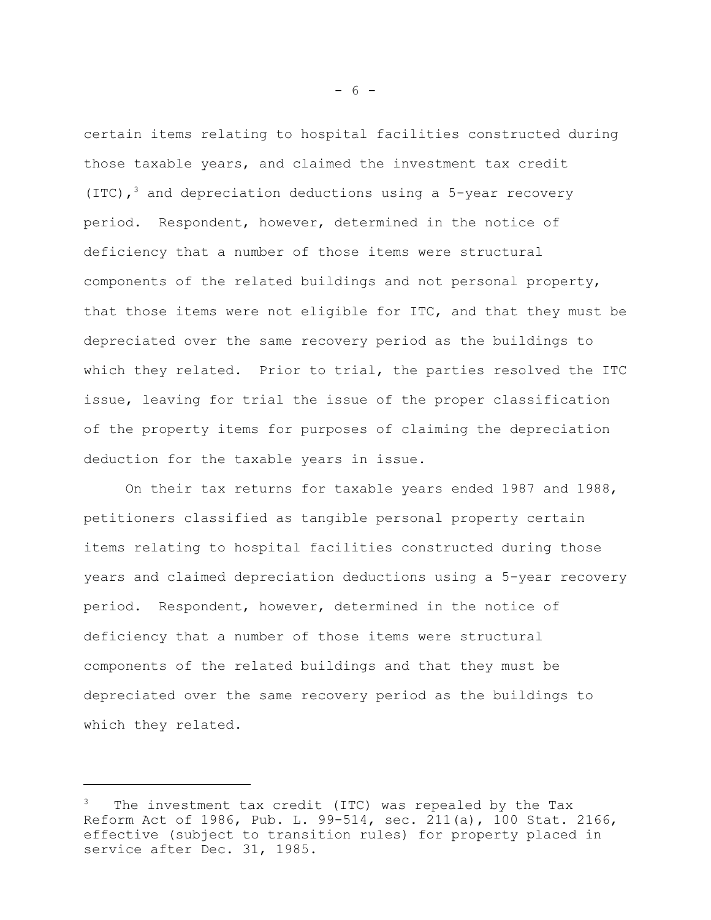certain items relating to hospital facilities constructed during those taxable years, and claimed the investment tax credit (ITC),<sup>3</sup> and depreciation deductions using a 5-year recovery period. Respondent, however, determined in the notice of deficiency that a number of those items were structural components of the related buildings and not personal property, that those items were not eligible for ITC, and that they must be depreciated over the same recovery period as the buildings to which they related. Prior to trial, the parties resolved the ITC issue, leaving for trial the issue of the proper classification of the property items for purposes of claiming the depreciation deduction for the taxable years in issue.

On their tax returns for taxable years ended 1987 and 1988, petitioners classified as tangible personal property certain items relating to hospital facilities constructed during those years and claimed depreciation deductions using a 5-year recovery period. Respondent, however, determined in the notice of deficiency that a number of those items were structural components of the related buildings and that they must be depreciated over the same recovery period as the buildings to which they related.

 $- 6 -$ 

The investment tax credit (ITC) was repealed by the Tax Reform Act of 1986, Pub. L. 99-514, sec. 211(a), 100 Stat. 2166, effective (subject to transition rules) for property placed in service after Dec. 31, 1985.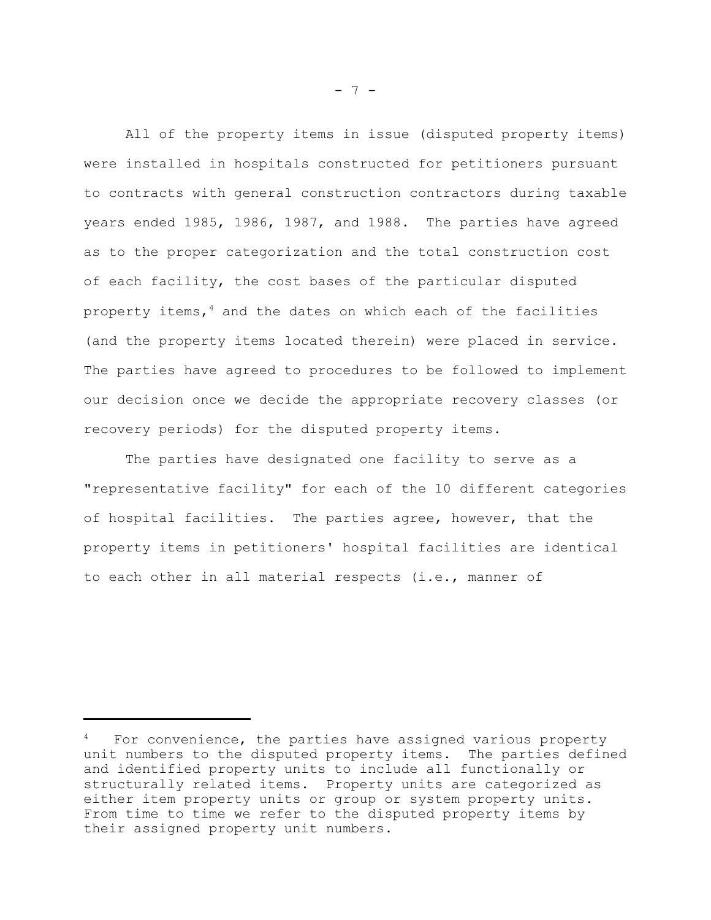All of the property items in issue (disputed property items) were installed in hospitals constructed for petitioners pursuant to contracts with general construction contractors during taxable years ended 1985, 1986, 1987, and 1988. The parties have agreed as to the proper categorization and the total construction cost of each facility, the cost bases of the particular disputed property items, $4$  and the dates on which each of the facilities (and the property items located therein) were placed in service. The parties have agreed to procedures to be followed to implement our decision once we decide the appropriate recovery classes (or recovery periods) for the disputed property items.

The parties have designated one facility to serve as a "representative facility" for each of the 10 different categories of hospital facilities. The parties agree, however, that the property items in petitioners' hospital facilities are identical to each other in all material respects (i.e., manner of

For convenience, the parties have assigned various property unit numbers to the disputed property items. The parties defined and identified property units to include all functionally or structurally related items. Property units are categorized as either item property units or group or system property units. From time to time we refer to the disputed property items by their assigned property unit numbers.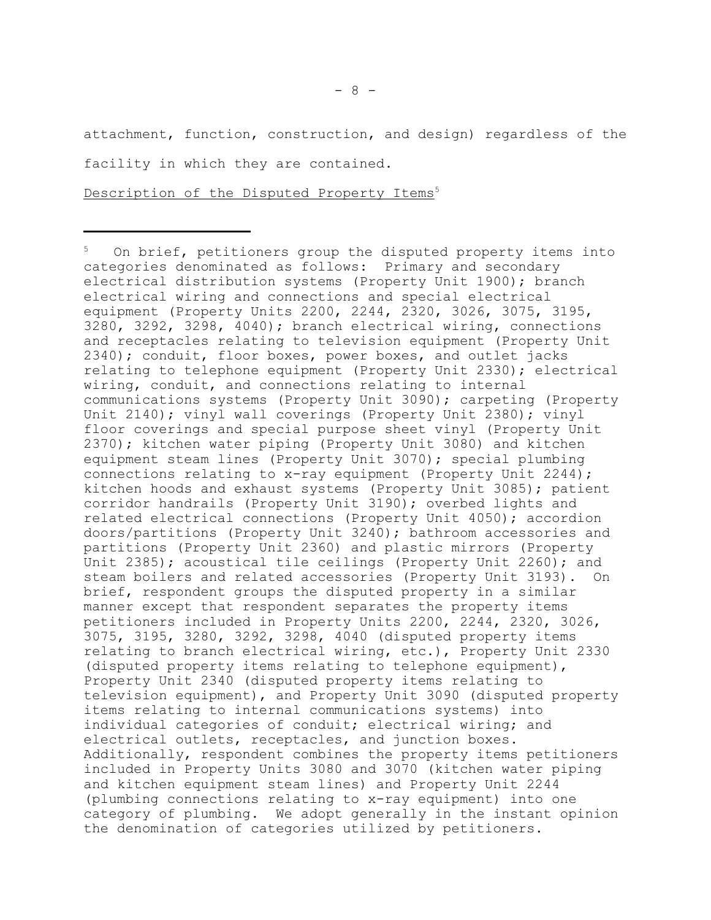attachment, function, construction, and design) regardless of the facility in which they are contained.

Description of the Disputed Property Items<sup>5</sup>

On brief, petitioners group the disputed property items into categories denominated as follows: Primary and secondary electrical distribution systems (Property Unit 1900); branch electrical wiring and connections and special electrical equipment (Property Units 2200, 2244, 2320, 3026, 3075, 3195, 3280, 3292, 3298, 4040); branch electrical wiring, connections and receptacles relating to television equipment (Property Unit 2340); conduit, floor boxes, power boxes, and outlet jacks relating to telephone equipment (Property Unit 2330); electrical wiring, conduit, and connections relating to internal communications systems (Property Unit 3090); carpeting (Property Unit 2140); vinyl wall coverings (Property Unit 2380); vinyl floor coverings and special purpose sheet vinyl (Property Unit 2370); kitchen water piping (Property Unit 3080) and kitchen equipment steam lines (Property Unit 3070); special plumbing connections relating to x-ray equipment (Property Unit 2244); kitchen hoods and exhaust systems (Property Unit 3085); patient corridor handrails (Property Unit 3190); overbed lights and related electrical connections (Property Unit 4050); accordion doors/partitions (Property Unit 3240); bathroom accessories and partitions (Property Unit 2360) and plastic mirrors (Property Unit 2385); acoustical tile ceilings (Property Unit 2260); and steam boilers and related accessories (Property Unit 3193). On brief, respondent groups the disputed property in a similar manner except that respondent separates the property items petitioners included in Property Units 2200, 2244, 2320, 3026, 3075, 3195, 3280, 3292, 3298, 4040 (disputed property items relating to branch electrical wiring, etc.), Property Unit 2330 (disputed property items relating to telephone equipment), Property Unit 2340 (disputed property items relating to television equipment), and Property Unit 3090 (disputed property items relating to internal communications systems) into individual categories of conduit; electrical wiring; and electrical outlets, receptacles, and junction boxes. Additionally, respondent combines the property items petitioners included in Property Units 3080 and 3070 (kitchen water piping and kitchen equipment steam lines) and Property Unit 2244 (plumbing connections relating to x-ray equipment) into one category of plumbing. We adopt generally in the instant opinion the denomination of categories utilized by petitioners.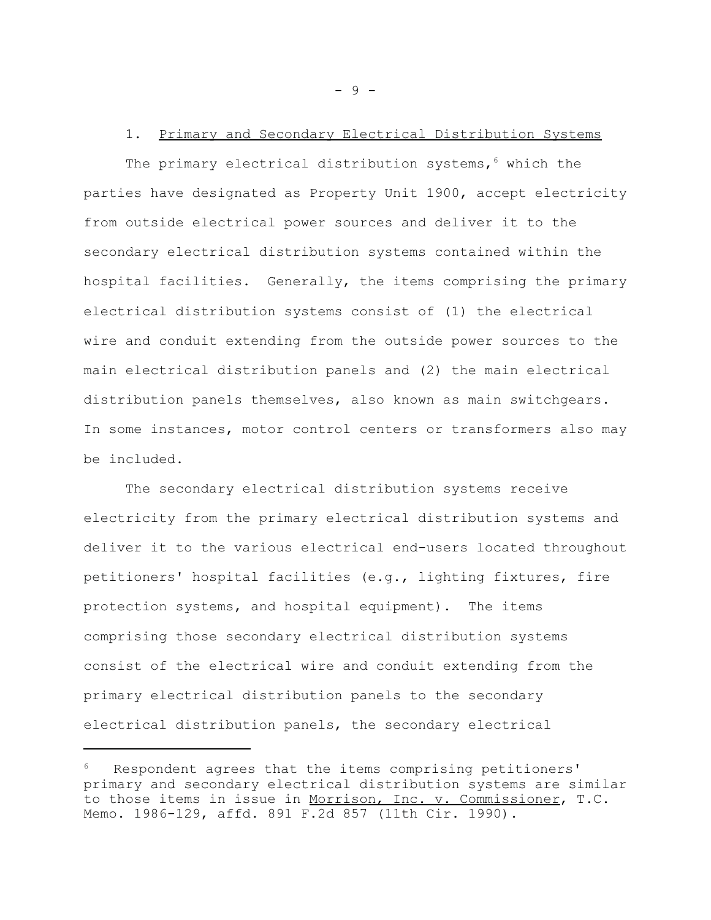# 1. Primary and Secondary Electrical Distribution Systems

The primary electrical distribution systems,<sup>6</sup> which the parties have designated as Property Unit 1900, accept electricity from outside electrical power sources and deliver it to the secondary electrical distribution systems contained within the hospital facilities. Generally, the items comprising the primary electrical distribution systems consist of (1) the electrical wire and conduit extending from the outside power sources to the main electrical distribution panels and (2) the main electrical distribution panels themselves, also known as main switchgears. In some instances, motor control centers or transformers also may be included.

The secondary electrical distribution systems receive electricity from the primary electrical distribution systems and deliver it to the various electrical end-users located throughout petitioners' hospital facilities (e.g., lighting fixtures, fire protection systems, and hospital equipment). The items comprising those secondary electrical distribution systems consist of the electrical wire and conduit extending from the primary electrical distribution panels to the secondary electrical distribution panels, the secondary electrical

- 9 -

Respondent agrees that the items comprising petitioners' primary and secondary electrical distribution systems are similar to those items in issue in Morrison, Inc. v. Commissioner, T.C. Memo. 1986-129, affd. 891 F.2d 857 (11th Cir. 1990).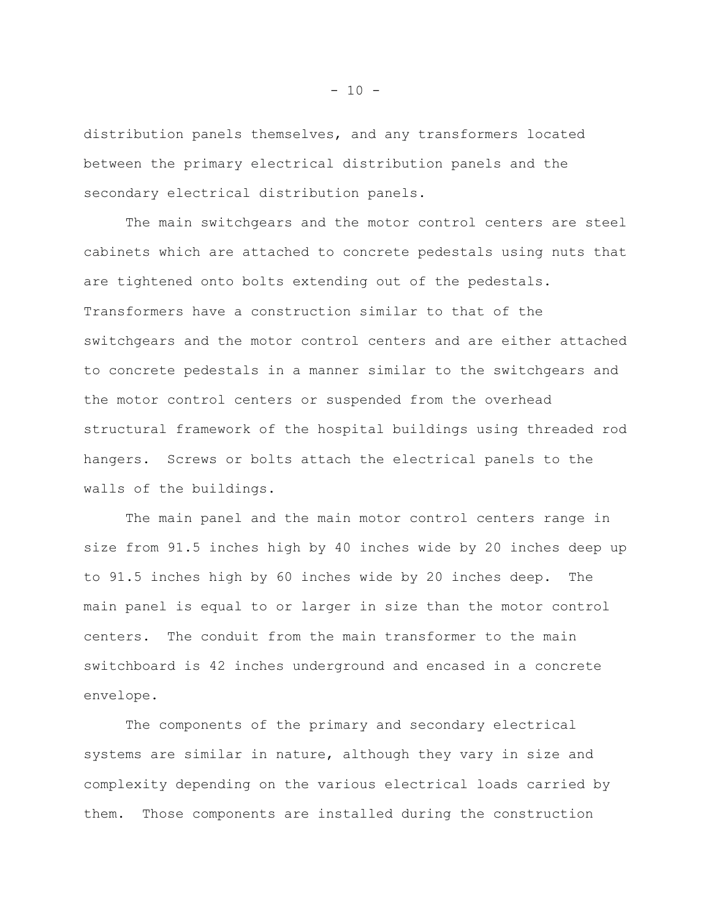distribution panels themselves, and any transformers located between the primary electrical distribution panels and the secondary electrical distribution panels.

The main switchgears and the motor control centers are steel cabinets which are attached to concrete pedestals using nuts that are tightened onto bolts extending out of the pedestals. Transformers have a construction similar to that of the switchgears and the motor control centers and are either attached to concrete pedestals in a manner similar to the switchgears and the motor control centers or suspended from the overhead structural framework of the hospital buildings using threaded rod hangers. Screws or bolts attach the electrical panels to the walls of the buildings.

The main panel and the main motor control centers range in size from 91.5 inches high by 40 inches wide by 20 inches deep up to 91.5 inches high by 60 inches wide by 20 inches deep. The main panel is equal to or larger in size than the motor control centers. The conduit from the main transformer to the main switchboard is 42 inches underground and encased in a concrete envelope.

The components of the primary and secondary electrical systems are similar in nature, although they vary in size and complexity depending on the various electrical loads carried by them. Those components are installed during the construction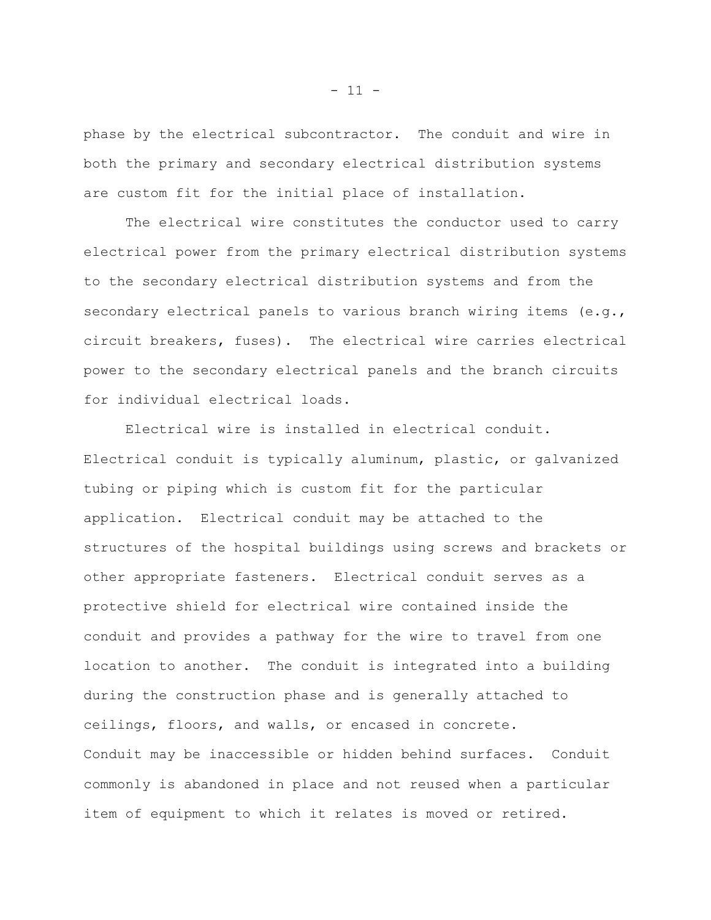phase by the electrical subcontractor. The conduit and wire in both the primary and secondary electrical distribution systems are custom fit for the initial place of installation.

The electrical wire constitutes the conductor used to carry electrical power from the primary electrical distribution systems to the secondary electrical distribution systems and from the secondary electrical panels to various branch wiring items (e.g., circuit breakers, fuses). The electrical wire carries electrical power to the secondary electrical panels and the branch circuits for individual electrical loads.

Electrical wire is installed in electrical conduit. Electrical conduit is typically aluminum, plastic, or galvanized tubing or piping which is custom fit for the particular application. Electrical conduit may be attached to the structures of the hospital buildings using screws and brackets or other appropriate fasteners. Electrical conduit serves as a protective shield for electrical wire contained inside the conduit and provides a pathway for the wire to travel from one location to another. The conduit is integrated into a building during the construction phase and is generally attached to ceilings, floors, and walls, or encased in concrete. Conduit may be inaccessible or hidden behind surfaces. Conduit commonly is abandoned in place and not reused when a particular item of equipment to which it relates is moved or retired.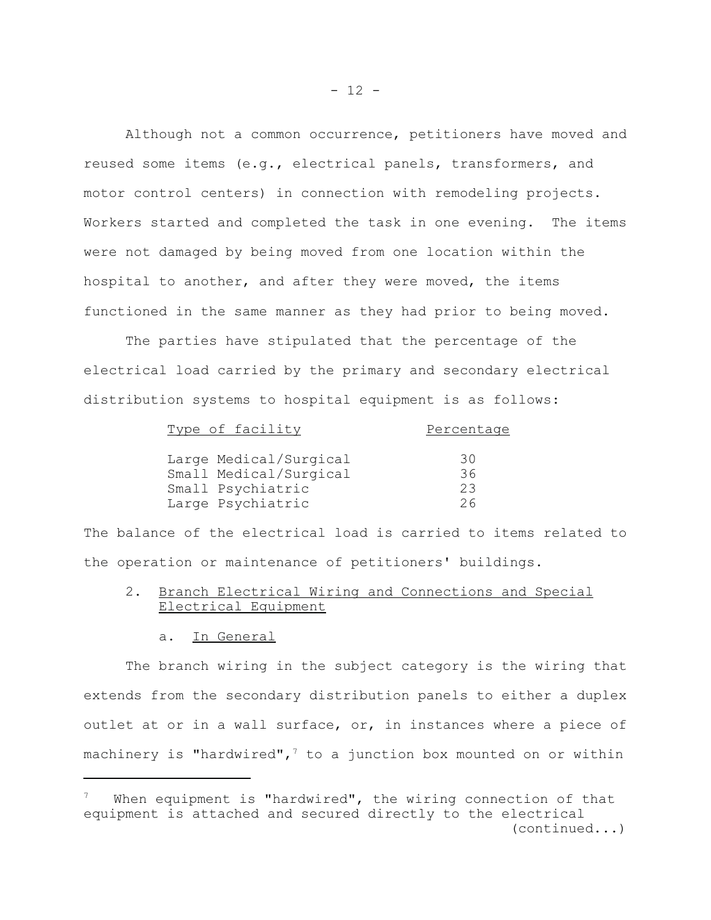Although not a common occurrence, petitioners have moved and reused some items (e.g., electrical panels, transformers, and motor control centers) in connection with remodeling projects. Workers started and completed the task in one evening. The items were not damaged by being moved from one location within the hospital to another, and after they were moved, the items functioned in the same manner as they had prior to being moved.

The parties have stipulated that the percentage of the electrical load carried by the primary and secondary electrical distribution systems to hospital equipment is as follows:

| Type of facility       | Percentage |
|------------------------|------------|
| Large Medical/Surgical | 30         |
| Small Medical/Surgical | 36         |
| Small Psychiatric      | 23         |
| Large Psychiatric      | 26         |

The balance of the electrical load is carried to items related to the operation or maintenance of petitioners' buildings.

- 2. Branch Electrical Wiring and Connections and Special Electrical Equipment
	- a. In General

The branch wiring in the subject category is the wiring that extends from the secondary distribution panels to either a duplex outlet at or in a wall surface, or, in instances where a piece of machinery is "hardwired",<sup>7</sup> to a junction box mounted on or within

When equipment is "hardwired", the wiring connection of that equipment is attached and secured directly to the electrical (continued...)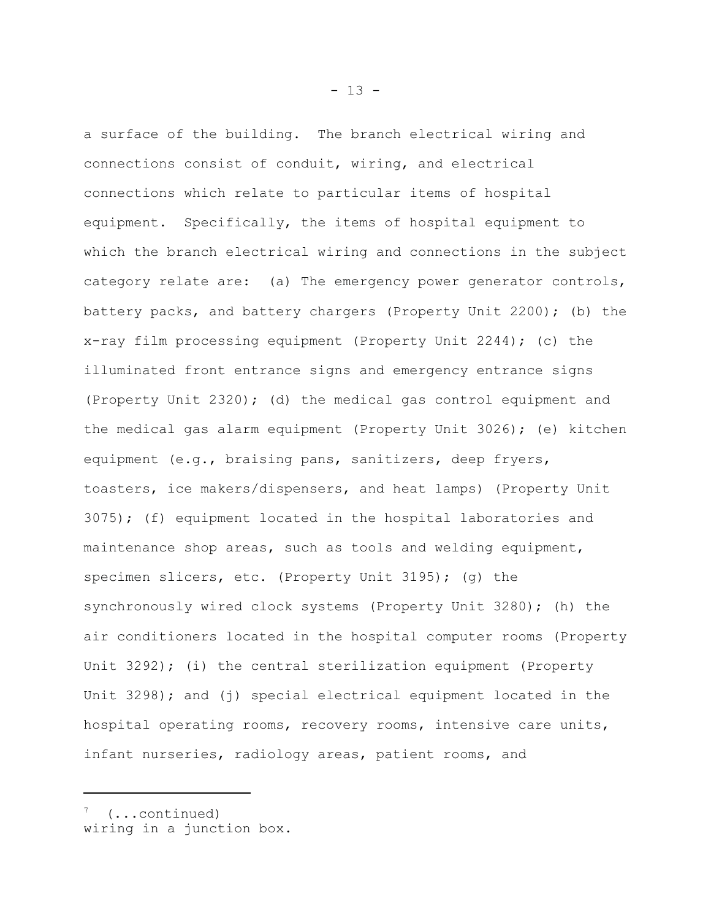a surface of the building. The branch electrical wiring and connections consist of conduit, wiring, and electrical connections which relate to particular items of hospital equipment. Specifically, the items of hospital equipment to which the branch electrical wiring and connections in the subject category relate are: (a) The emergency power generator controls, battery packs, and battery chargers (Property Unit 2200); (b) the x-ray film processing equipment (Property Unit 2244); (c) the illuminated front entrance signs and emergency entrance signs (Property Unit 2320); (d) the medical gas control equipment and the medical gas alarm equipment (Property Unit 3026); (e) kitchen equipment (e.g., braising pans, sanitizers, deep fryers, toasters, ice makers/dispensers, and heat lamps) (Property Unit 3075); (f) equipment located in the hospital laboratories and maintenance shop areas, such as tools and welding equipment, specimen slicers, etc. (Property Unit 3195); (g) the synchronously wired clock systems (Property Unit 3280); (h) the air conditioners located in the hospital computer rooms (Property Unit 3292); (i) the central sterilization equipment (Property Unit 3298); and (j) special electrical equipment located in the hospital operating rooms, recovery rooms, intensive care units, infant nurseries, radiology areas, patient rooms, and

7 (...continued)

wiring in a junction box.

 $- 13 -$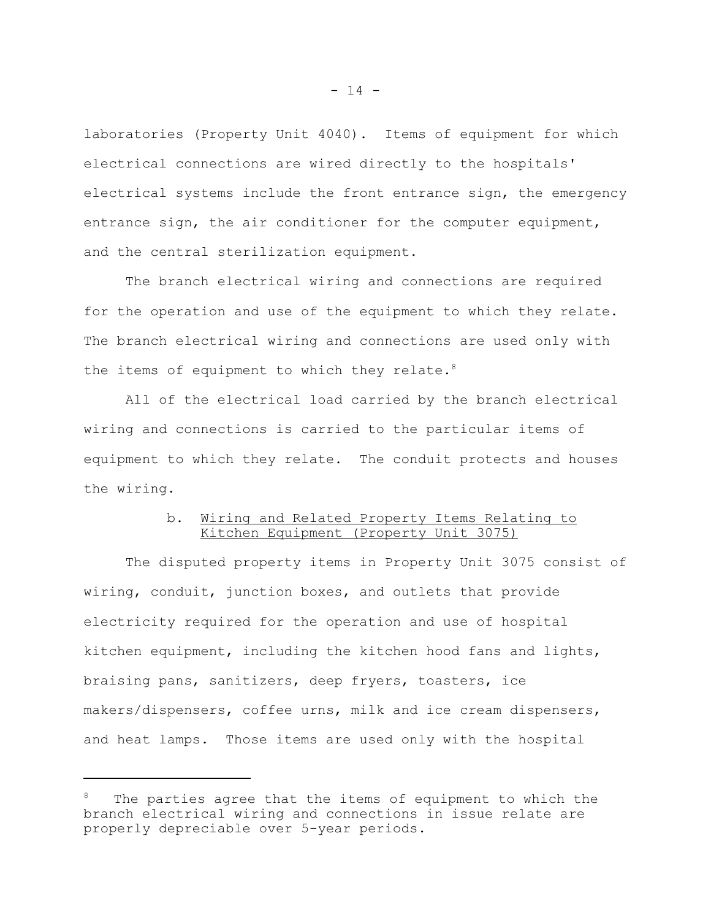laboratories (Property Unit 4040). Items of equipment for which electrical connections are wired directly to the hospitals' electrical systems include the front entrance sign, the emergency entrance sign, the air conditioner for the computer equipment, and the central sterilization equipment.

The branch electrical wiring and connections are required for the operation and use of the equipment to which they relate. The branch electrical wiring and connections are used only with the items of equipment to which they relate.<sup>8</sup>

All of the electrical load carried by the branch electrical wiring and connections is carried to the particular items of equipment to which they relate. The conduit protects and houses the wiring.

# b. Wiring and Related Property Items Relating to Kitchen Equipment (Property Unit 3075)

The disputed property items in Property Unit 3075 consist of wiring, conduit, junction boxes, and outlets that provide electricity required for the operation and use of hospital kitchen equipment, including the kitchen hood fans and lights, braising pans, sanitizers, deep fryers, toasters, ice makers/dispensers, coffee urns, milk and ice cream dispensers, and heat lamps. Those items are used only with the hospital

The parties agree that the items of equipment to which the branch electrical wiring and connections in issue relate are properly depreciable over 5-year periods.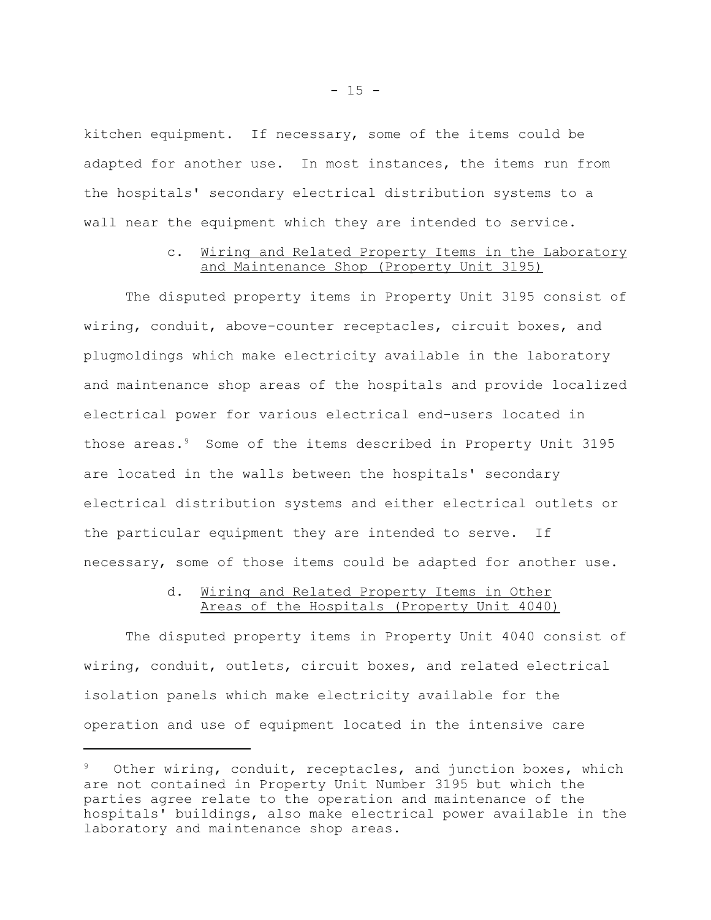kitchen equipment. If necessary, some of the items could be adapted for another use. In most instances, the items run from the hospitals' secondary electrical distribution systems to a wall near the equipment which they are intended to service.

# c. Wiring and Related Property Items in the Laboratory and Maintenance Shop (Property Unit 3195)

The disputed property items in Property Unit 3195 consist of wiring, conduit, above-counter receptacles, circuit boxes, and plugmoldings which make electricity available in the laboratory and maintenance shop areas of the hospitals and provide localized electrical power for various electrical end-users located in those areas.<sup>9</sup> Some of the items described in Property Unit 3195 are located in the walls between the hospitals' secondary electrical distribution systems and either electrical outlets or the particular equipment they are intended to serve. If necessary, some of those items could be adapted for another use.

### d. Wiring and Related Property Items in Other Areas of the Hospitals (Property Unit 4040)

The disputed property items in Property Unit 4040 consist of wiring, conduit, outlets, circuit boxes, and related electrical isolation panels which make electricity available for the operation and use of equipment located in the intensive care

Other wiring, conduit, receptacles, and junction boxes, which are not contained in Property Unit Number 3195 but which the parties agree relate to the operation and maintenance of the hospitals' buildings, also make electrical power available in the laboratory and maintenance shop areas.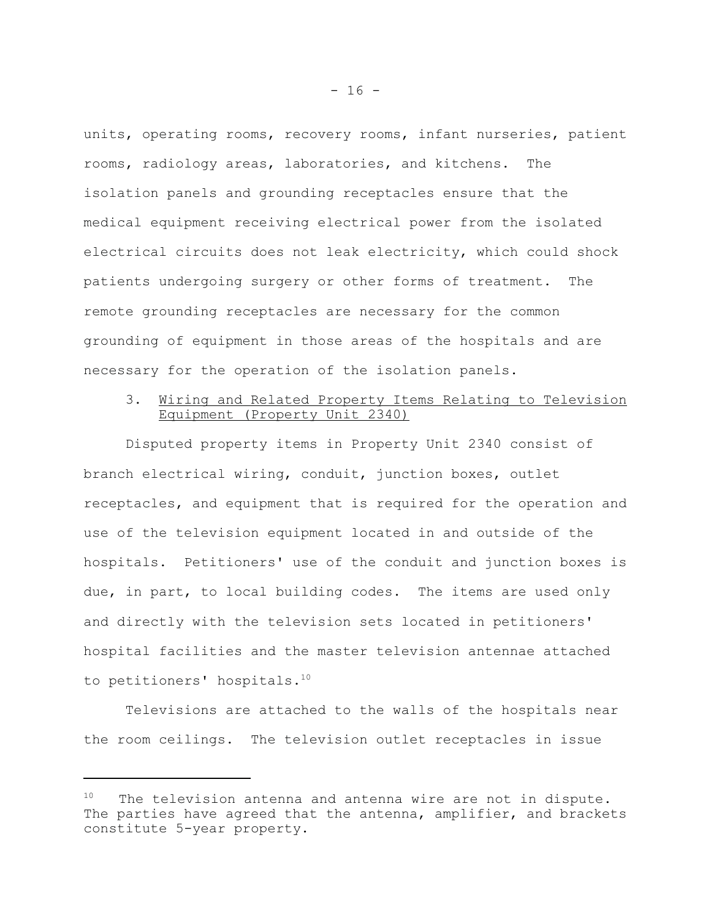units, operating rooms, recovery rooms, infant nurseries, patient rooms, radiology areas, laboratories, and kitchens. The isolation panels and grounding receptacles ensure that the medical equipment receiving electrical power from the isolated electrical circuits does not leak electricity, which could shock patients undergoing surgery or other forms of treatment. The remote grounding receptacles are necessary for the common grounding of equipment in those areas of the hospitals and are necessary for the operation of the isolation panels.

# 3. Wiring and Related Property Items Relating to Television Equipment (Property Unit 2340)

Disputed property items in Property Unit 2340 consist of branch electrical wiring, conduit, junction boxes, outlet receptacles, and equipment that is required for the operation and use of the television equipment located in and outside of the hospitals. Petitioners' use of the conduit and junction boxes is due, in part, to local building codes. The items are used only and directly with the television sets located in petitioners' hospital facilities and the master television antennae attached to petitioners' hospitals.<sup>10</sup>

Televisions are attached to the walls of the hospitals near the room ceilings. The television outlet receptacles in issue

 $10$  The television antenna and antenna wire are not in dispute. The parties have agreed that the antenna, amplifier, and brackets constitute 5-year property.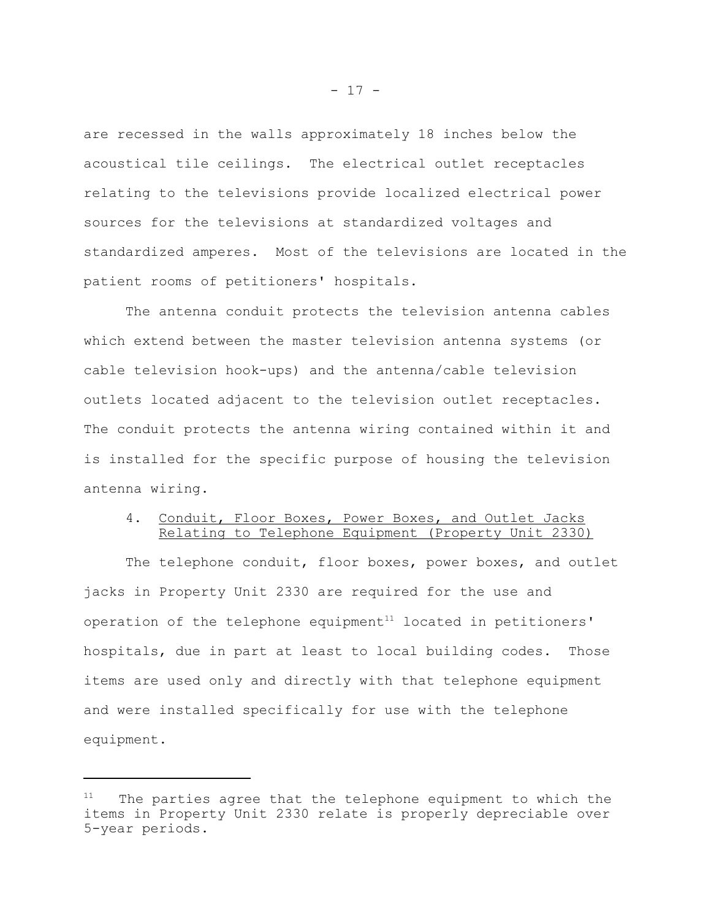are recessed in the walls approximately 18 inches below the acoustical tile ceilings. The electrical outlet receptacles relating to the televisions provide localized electrical power sources for the televisions at standardized voltages and standardized amperes. Most of the televisions are located in the patient rooms of petitioners' hospitals.

The antenna conduit protects the television antenna cables which extend between the master television antenna systems (or cable television hook-ups) and the antenna/cable television outlets located adjacent to the television outlet receptacles. The conduit protects the antenna wiring contained within it and is installed for the specific purpose of housing the television antenna wiring.

# 4. Conduit, Floor Boxes, Power Boxes, and Outlet Jacks Relating to Telephone Equipment (Property Unit 2330)

The telephone conduit, floor boxes, power boxes, and outlet jacks in Property Unit 2330 are required for the use and operation of the telephone equipment<sup>11</sup> located in petitioners' hospitals, due in part at least to local building codes. Those items are used only and directly with that telephone equipment and were installed specifically for use with the telephone equipment.

The parties agree that the telephone equipment to which the items in Property Unit 2330 relate is properly depreciable over 5-year periods.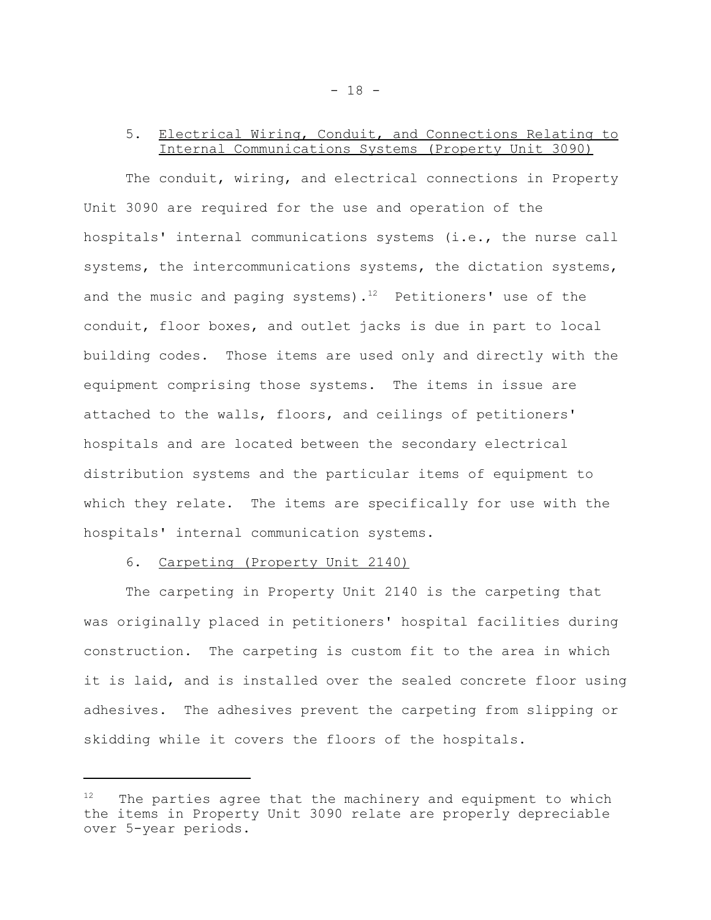# 5. Electrical Wiring, Conduit, and Connections Relating to Internal Communications Systems (Property Unit 3090)

The conduit, wiring, and electrical connections in Property Unit 3090 are required for the use and operation of the hospitals' internal communications systems (i.e., the nurse call systems, the intercommunications systems, the dictation systems, and the music and paging systems).<sup>12</sup> Petitioners' use of the conduit, floor boxes, and outlet jacks is due in part to local building codes. Those items are used only and directly with the equipment comprising those systems. The items in issue are attached to the walls, floors, and ceilings of petitioners' hospitals and are located between the secondary electrical distribution systems and the particular items of equipment to which they relate. The items are specifically for use with the hospitals' internal communication systems.

### 6. Carpeting (Property Unit 2140)

The carpeting in Property Unit 2140 is the carpeting that was originally placed in petitioners' hospital facilities during construction. The carpeting is custom fit to the area in which it is laid, and is installed over the sealed concrete floor using adhesives. The adhesives prevent the carpeting from slipping or skidding while it covers the floors of the hospitals.

 $12$  The parties agree that the machinery and equipment to which the items in Property Unit 3090 relate are properly depreciable over 5-year periods.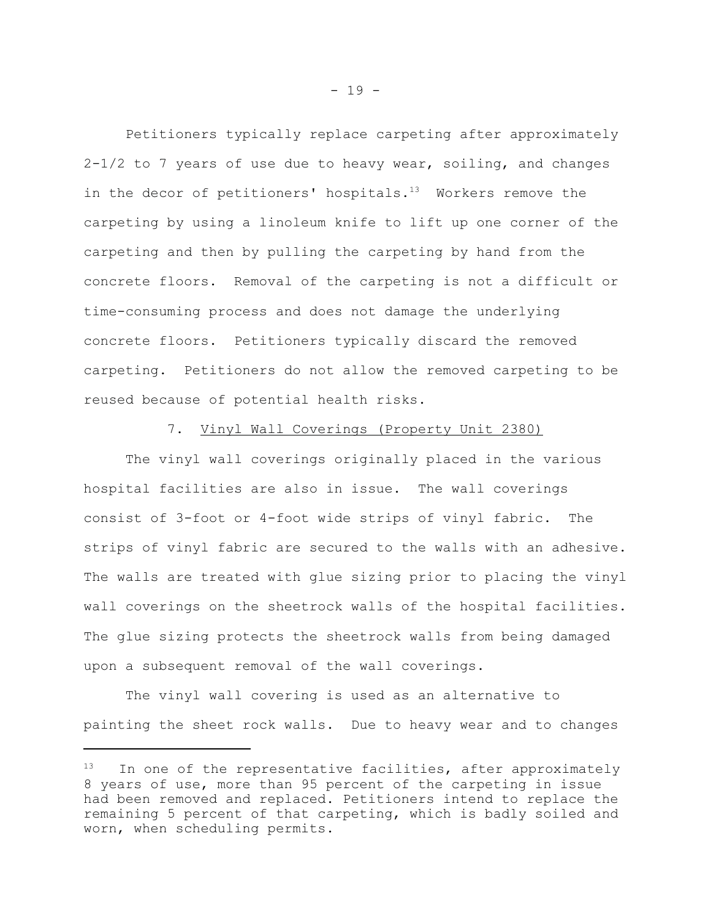Petitioners typically replace carpeting after approximately  $2-1/2$  to 7 years of use due to heavy wear, soiling, and changes in the decor of petitioners' hospitals. $13$  Workers remove the carpeting by using a linoleum knife to lift up one corner of the carpeting and then by pulling the carpeting by hand from the concrete floors. Removal of the carpeting is not a difficult or time-consuming process and does not damage the underlying concrete floors. Petitioners typically discard the removed carpeting. Petitioners do not allow the removed carpeting to be reused because of potential health risks.

#### 7. Vinyl Wall Coverings (Property Unit 2380)

The vinyl wall coverings originally placed in the various hospital facilities are also in issue. The wall coverings consist of 3-foot or 4-foot wide strips of vinyl fabric. The strips of vinyl fabric are secured to the walls with an adhesive. The walls are treated with glue sizing prior to placing the vinyl wall coverings on the sheetrock walls of the hospital facilities. The glue sizing protects the sheetrock walls from being damaged upon a subsequent removal of the wall coverings.

The vinyl wall covering is used as an alternative to painting the sheet rock walls. Due to heavy wear and to changes

In one of the representative facilities, after approximately 8 years of use, more than 95 percent of the carpeting in issue had been removed and replaced. Petitioners intend to replace the remaining 5 percent of that carpeting, which is badly soiled and worn, when scheduling permits.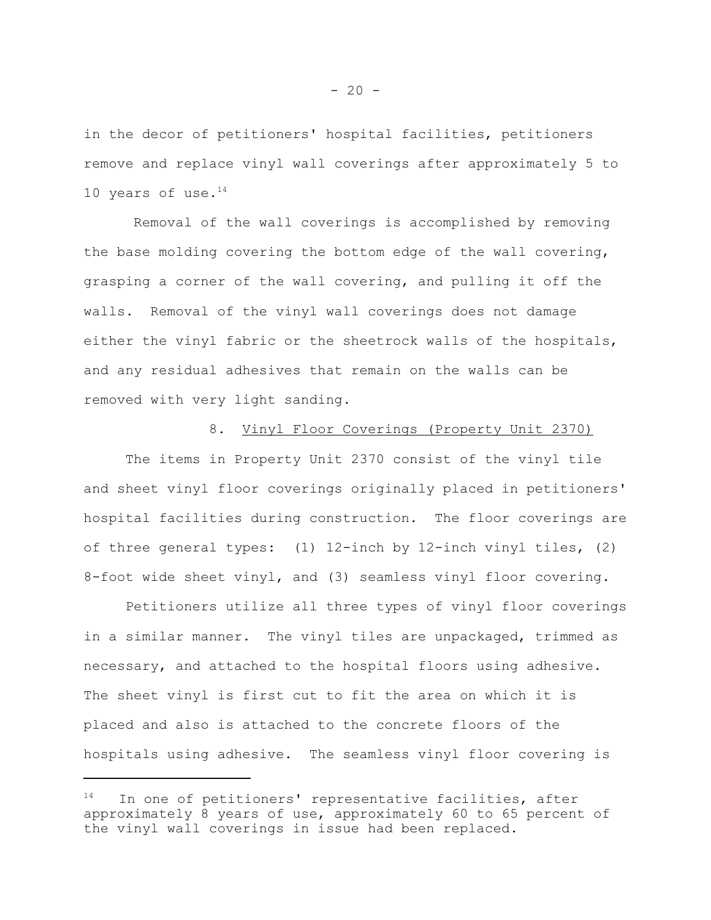in the decor of petitioners' hospital facilities, petitioners remove and replace vinyl wall coverings after approximately 5 to 10 years of use. $^{14}$ 

 Removal of the wall coverings is accomplished by removing the base molding covering the bottom edge of the wall covering, grasping a corner of the wall covering, and pulling it off the walls. Removal of the vinyl wall coverings does not damage either the vinyl fabric or the sheetrock walls of the hospitals, and any residual adhesives that remain on the walls can be removed with very light sanding.

#### 8. Vinyl Floor Coverings (Property Unit 2370)

The items in Property Unit 2370 consist of the vinyl tile and sheet vinyl floor coverings originally placed in petitioners' hospital facilities during construction. The floor coverings are of three general types: (1) 12-inch by 12-inch vinyl tiles, (2) 8-foot wide sheet vinyl, and (3) seamless vinyl floor covering.

Petitioners utilize all three types of vinyl floor coverings in a similar manner. The vinyl tiles are unpackaged, trimmed as necessary, and attached to the hospital floors using adhesive. The sheet vinyl is first cut to fit the area on which it is placed and also is attached to the concrete floors of the hospitals using adhesive. The seamless vinyl floor covering is

 $14$  In one of petitioners' representative facilities, after approximately 8 years of use, approximately 60 to 65 percent of the vinyl wall coverings in issue had been replaced.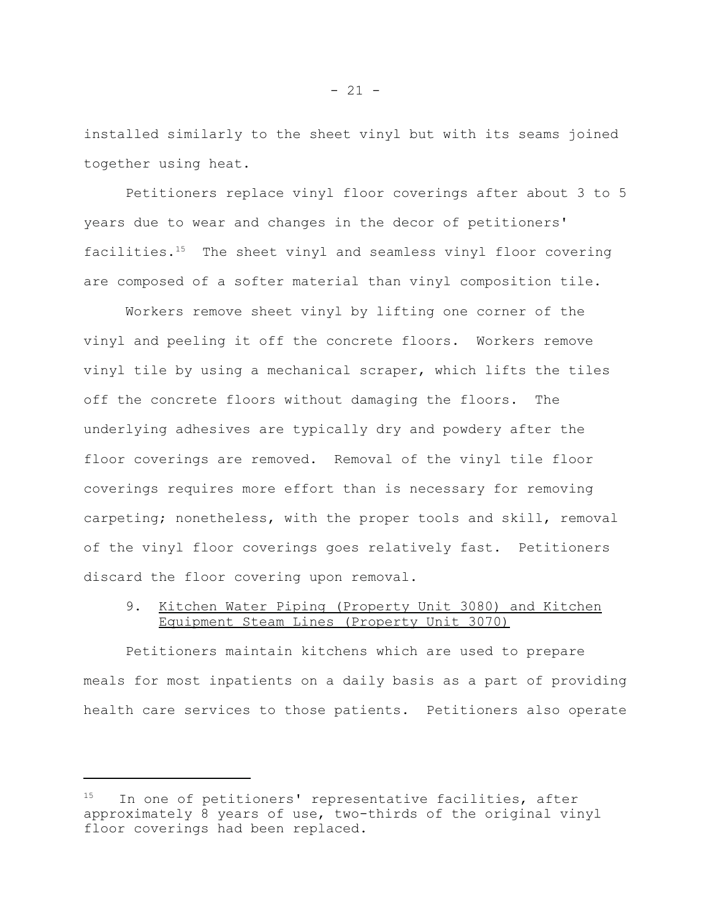installed similarly to the sheet vinyl but with its seams joined together using heat.

Petitioners replace vinyl floor coverings after about 3 to 5 years due to wear and changes in the decor of petitioners' facilities. $15$  The sheet vinyl and seamless vinyl floor covering are composed of a softer material than vinyl composition tile.

Workers remove sheet vinyl by lifting one corner of the vinyl and peeling it off the concrete floors. Workers remove vinyl tile by using a mechanical scraper, which lifts the tiles off the concrete floors without damaging the floors. The underlying adhesives are typically dry and powdery after the floor coverings are removed. Removal of the vinyl tile floor coverings requires more effort than is necessary for removing carpeting; nonetheless, with the proper tools and skill, removal of the vinyl floor coverings goes relatively fast. Petitioners discard the floor covering upon removal.

# 9. Kitchen Water Piping (Property Unit 3080) and Kitchen Equipment Steam Lines (Property Unit 3070)

Petitioners maintain kitchens which are used to prepare meals for most inpatients on a daily basis as a part of providing health care services to those patients. Petitioners also operate

<sup>&</sup>lt;sup>15</sup> In one of petitioners' representative facilities, after approximately 8 years of use, two-thirds of the original vinyl floor coverings had been replaced.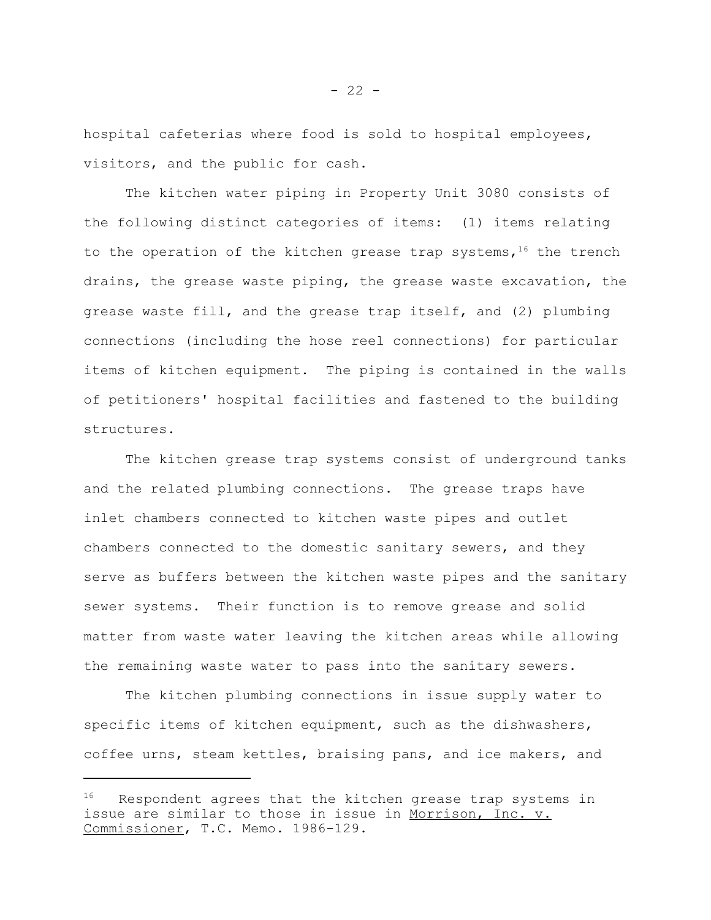hospital cafeterias where food is sold to hospital employees, visitors, and the public for cash.

The kitchen water piping in Property Unit 3080 consists of the following distinct categories of items: (1) items relating to the operation of the kitchen grease trap systems,  $16$  the trench drains, the grease waste piping, the grease waste excavation, the grease waste fill, and the grease trap itself, and (2) plumbing connections (including the hose reel connections) for particular items of kitchen equipment. The piping is contained in the walls of petitioners' hospital facilities and fastened to the building structures.

The kitchen grease trap systems consist of underground tanks and the related plumbing connections. The grease traps have inlet chambers connected to kitchen waste pipes and outlet chambers connected to the domestic sanitary sewers, and they serve as buffers between the kitchen waste pipes and the sanitary sewer systems. Their function is to remove grease and solid matter from waste water leaving the kitchen areas while allowing the remaining waste water to pass into the sanitary sewers.

The kitchen plumbing connections in issue supply water to specific items of kitchen equipment, such as the dishwashers, coffee urns, steam kettles, braising pans, and ice makers, and

 $16$  Respondent agrees that the kitchen grease trap systems in issue are similar to those in issue in Morrison, Inc. v. Commissioner, T.C. Memo. 1986-129.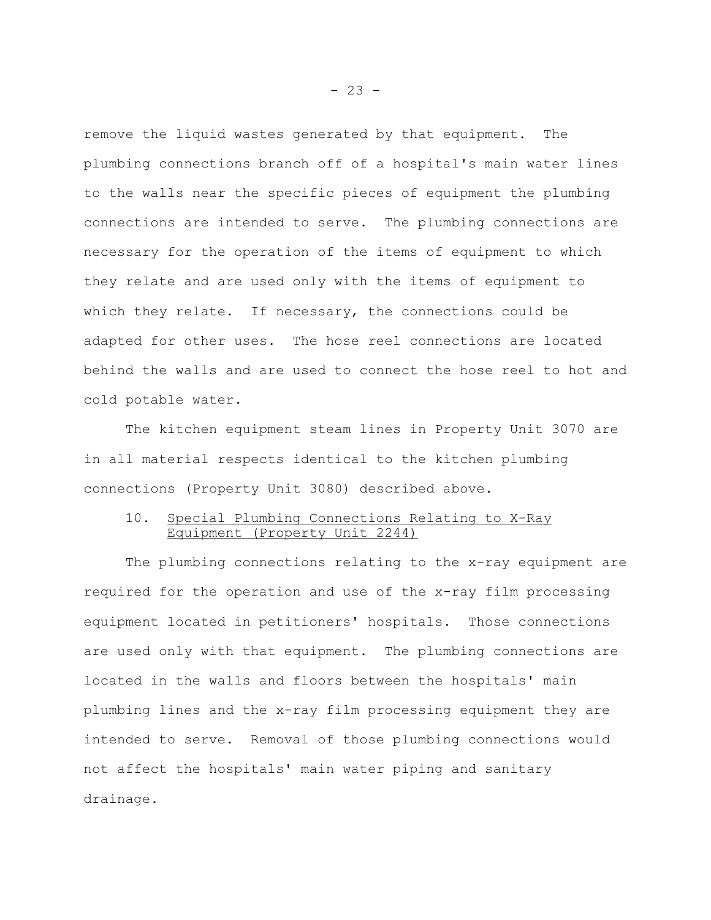remove the liquid wastes generated by that equipment. The plumbing connections branch off of a hospital's main water lines to the walls near the specific pieces of equipment the plumbing connections are intended to serve. The plumbing connections are necessary for the operation of the items of equipment to which they relate and are used only with the items of equipment to which they relate. If necessary, the connections could be adapted for other uses. The hose reel connections are located behind the walls and are used to connect the hose reel to hot and cold potable water.

The kitchen equipment steam lines in Property Unit 3070 are in all material respects identical to the kitchen plumbing connections (Property Unit 3080) described above.

### 10. Special Plumbing Connections Relating to X-Ray Equipment (Property Unit 2244)

The plumbing connections relating to the x-ray equipment are required for the operation and use of the x-ray film processing equipment located in petitioners' hospitals. Those connections are used only with that equipment. The plumbing connections are located in the walls and floors between the hospitals' main plumbing lines and the x-ray film processing equipment they are intended to serve. Removal of those plumbing connections would not affect the hospitals' main water piping and sanitary drainage.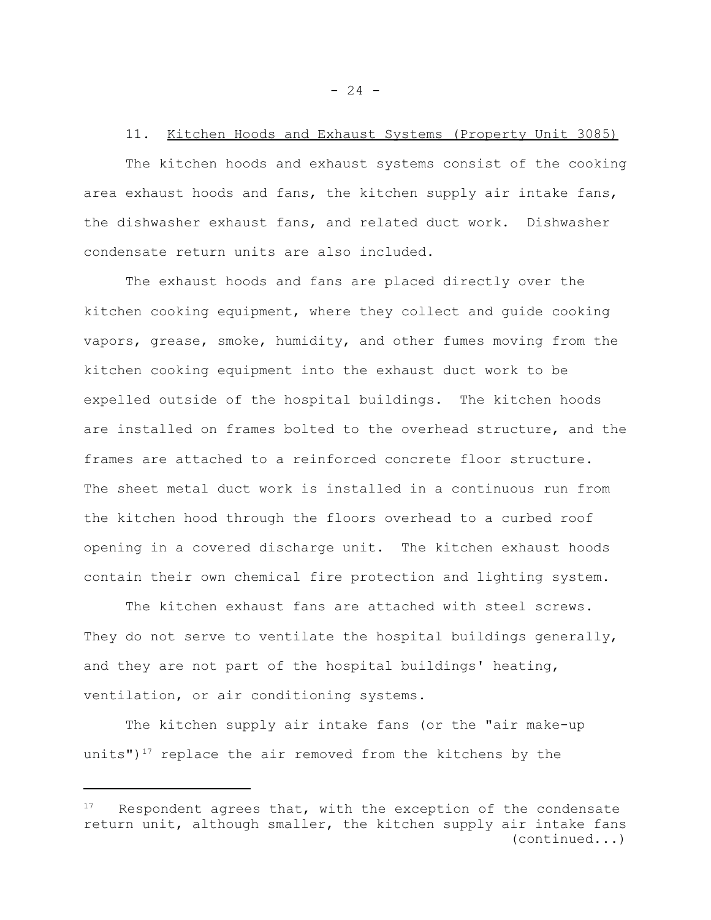# 11. Kitchen Hoods and Exhaust Systems (Property Unit 3085)

The kitchen hoods and exhaust systems consist of the cooking area exhaust hoods and fans, the kitchen supply air intake fans, the dishwasher exhaust fans, and related duct work. Dishwasher condensate return units are also included.

The exhaust hoods and fans are placed directly over the kitchen cooking equipment, where they collect and guide cooking vapors, grease, smoke, humidity, and other fumes moving from the kitchen cooking equipment into the exhaust duct work to be expelled outside of the hospital buildings. The kitchen hoods are installed on frames bolted to the overhead structure, and the frames are attached to a reinforced concrete floor structure. The sheet metal duct work is installed in a continuous run from the kitchen hood through the floors overhead to a curbed roof opening in a covered discharge unit. The kitchen exhaust hoods contain their own chemical fire protection and lighting system.

The kitchen exhaust fans are attached with steel screws. They do not serve to ventilate the hospital buildings generally, and they are not part of the hospital buildings' heating, ventilation, or air conditioning systems.

The kitchen supply air intake fans (or the "air make-up units") $17$  replace the air removed from the kitchens by the

 $- 24 -$ 

 $17$  Respondent agrees that, with the exception of the condensate return unit, although smaller, the kitchen supply air intake fans (continued...)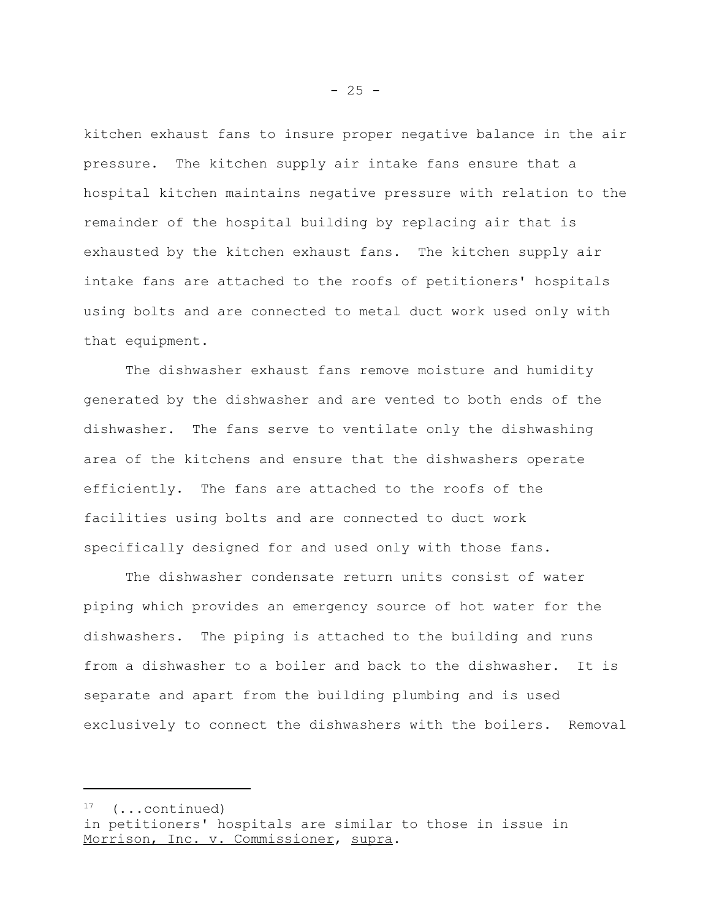kitchen exhaust fans to insure proper negative balance in the air pressure. The kitchen supply air intake fans ensure that a hospital kitchen maintains negative pressure with relation to the remainder of the hospital building by replacing air that is exhausted by the kitchen exhaust fans. The kitchen supply air intake fans are attached to the roofs of petitioners' hospitals using bolts and are connected to metal duct work used only with that equipment.

The dishwasher exhaust fans remove moisture and humidity generated by the dishwasher and are vented to both ends of the dishwasher. The fans serve to ventilate only the dishwashing area of the kitchens and ensure that the dishwashers operate efficiently. The fans are attached to the roofs of the facilities using bolts and are connected to duct work specifically designed for and used only with those fans.

The dishwasher condensate return units consist of water piping which provides an emergency source of hot water for the dishwashers. The piping is attached to the building and runs from a dishwasher to a boiler and back to the dishwasher. It is separate and apart from the building plumbing and is used exclusively to connect the dishwashers with the boilers. Removal

 $17$  (...continued)

in petitioners' hospitals are similar to those in issue in Morrison, Inc. v. Commissioner, supra.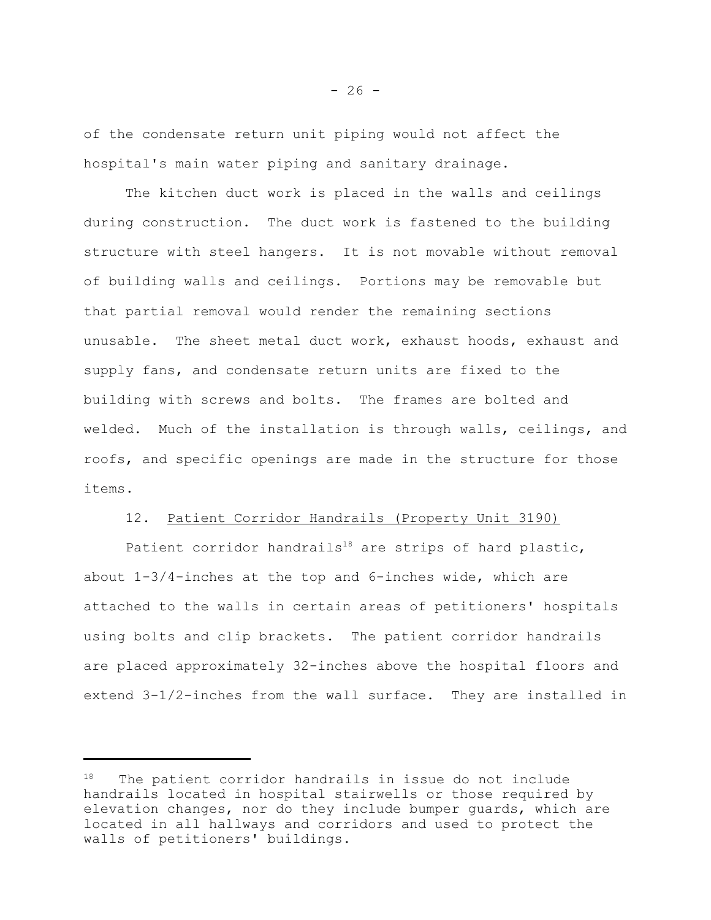of the condensate return unit piping would not affect the hospital's main water piping and sanitary drainage.

The kitchen duct work is placed in the walls and ceilings during construction. The duct work is fastened to the building structure with steel hangers. It is not movable without removal of building walls and ceilings. Portions may be removable but that partial removal would render the remaining sections unusable. The sheet metal duct work, exhaust hoods, exhaust and supply fans, and condensate return units are fixed to the building with screws and bolts. The frames are bolted and welded. Much of the installation is through walls, ceilings, and roofs, and specific openings are made in the structure for those items.

#### 12. Patient Corridor Handrails (Property Unit 3190)

Patient corridor handrails<sup>18</sup> are strips of hard plastic, about 1-3/4-inches at the top and 6-inches wide, which are attached to the walls in certain areas of petitioners' hospitals using bolts and clip brackets. The patient corridor handrails are placed approximately 32-inches above the hospital floors and extend 3-1/2-inches from the wall surface. They are installed in

<sup>&</sup>lt;sup>18</sup> The patient corridor handrails in issue do not include handrails located in hospital stairwells or those required by elevation changes, nor do they include bumper guards, which are located in all hallways and corridors and used to protect the walls of petitioners' buildings.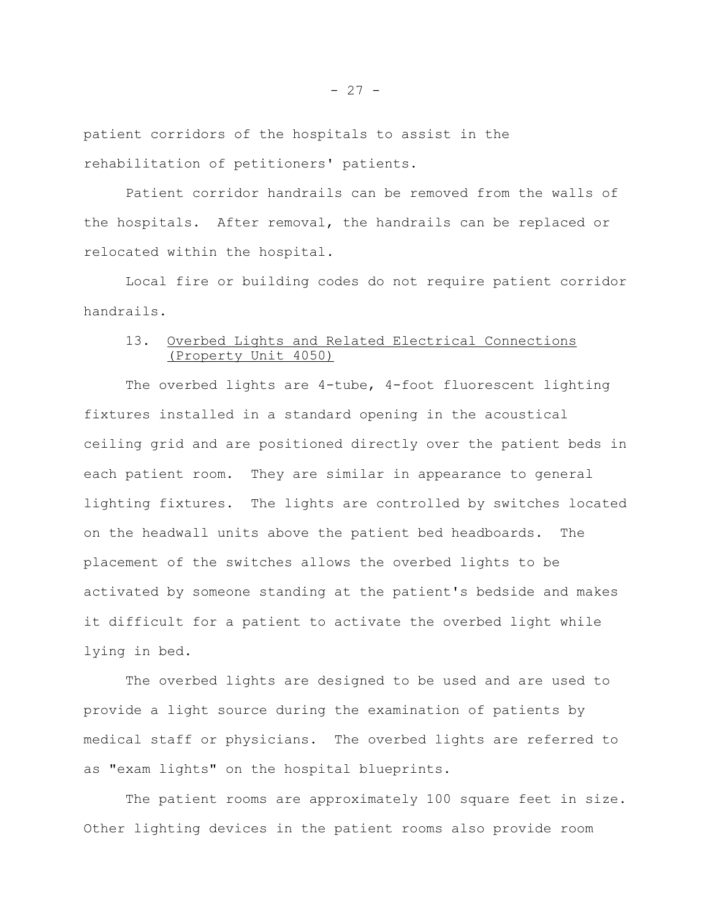patient corridors of the hospitals to assist in the rehabilitation of petitioners' patients.

Patient corridor handrails can be removed from the walls of the hospitals. After removal, the handrails can be replaced or relocated within the hospital.

Local fire or building codes do not require patient corridor handrails.

# 13. Overbed Lights and Related Electrical Connections (Property Unit 4050)

The overbed lights are 4-tube, 4-foot fluorescent lighting fixtures installed in a standard opening in the acoustical ceiling grid and are positioned directly over the patient beds in each patient room. They are similar in appearance to general lighting fixtures. The lights are controlled by switches located on the headwall units above the patient bed headboards. The placement of the switches allows the overbed lights to be activated by someone standing at the patient's bedside and makes it difficult for a patient to activate the overbed light while lying in bed.

The overbed lights are designed to be used and are used to provide a light source during the examination of patients by medical staff or physicians. The overbed lights are referred to as "exam lights" on the hospital blueprints.

The patient rooms are approximately 100 square feet in size. Other lighting devices in the patient rooms also provide room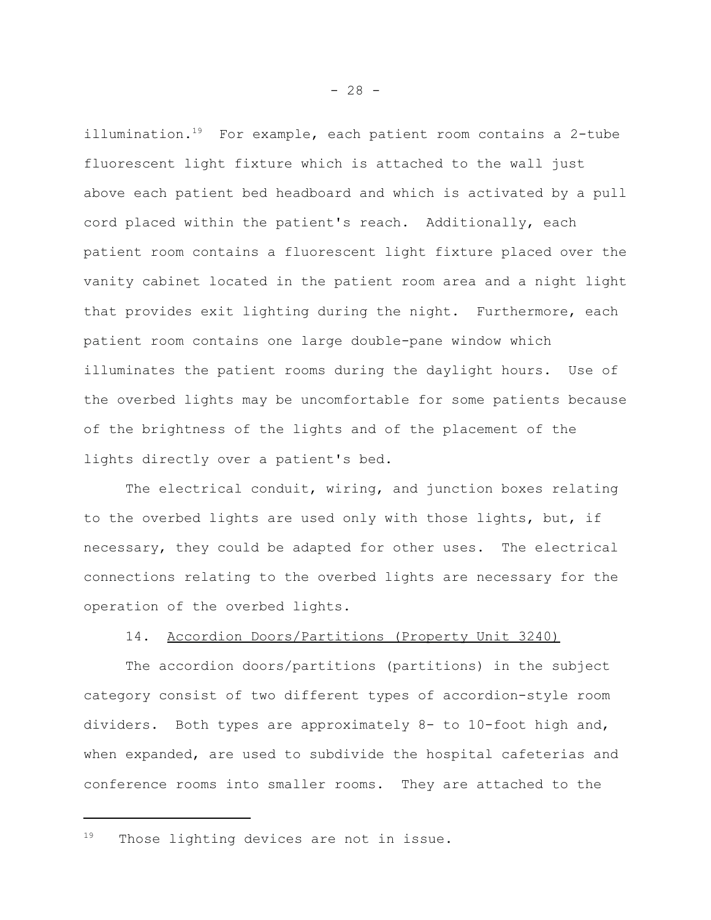illumination. $19$  For example, each patient room contains a 2-tube fluorescent light fixture which is attached to the wall just above each patient bed headboard and which is activated by a pull cord placed within the patient's reach. Additionally, each patient room contains a fluorescent light fixture placed over the vanity cabinet located in the patient room area and a night light that provides exit lighting during the night. Furthermore, each patient room contains one large double-pane window which illuminates the patient rooms during the daylight hours. Use of the overbed lights may be uncomfortable for some patients because of the brightness of the lights and of the placement of the lights directly over a patient's bed.

The electrical conduit, wiring, and junction boxes relating to the overbed lights are used only with those lights, but, if necessary, they could be adapted for other uses. The electrical connections relating to the overbed lights are necessary for the operation of the overbed lights.

#### 14. Accordion Doors/Partitions (Property Unit 3240)

The accordion doors/partitions (partitions) in the subject category consist of two different types of accordion-style room dividers. Both types are approximately 8- to 10-foot high and, when expanded, are used to subdivide the hospital cafeterias and conference rooms into smaller rooms. They are attached to the

<sup>&</sup>lt;sup>19</sup> Those lighting devices are not in issue.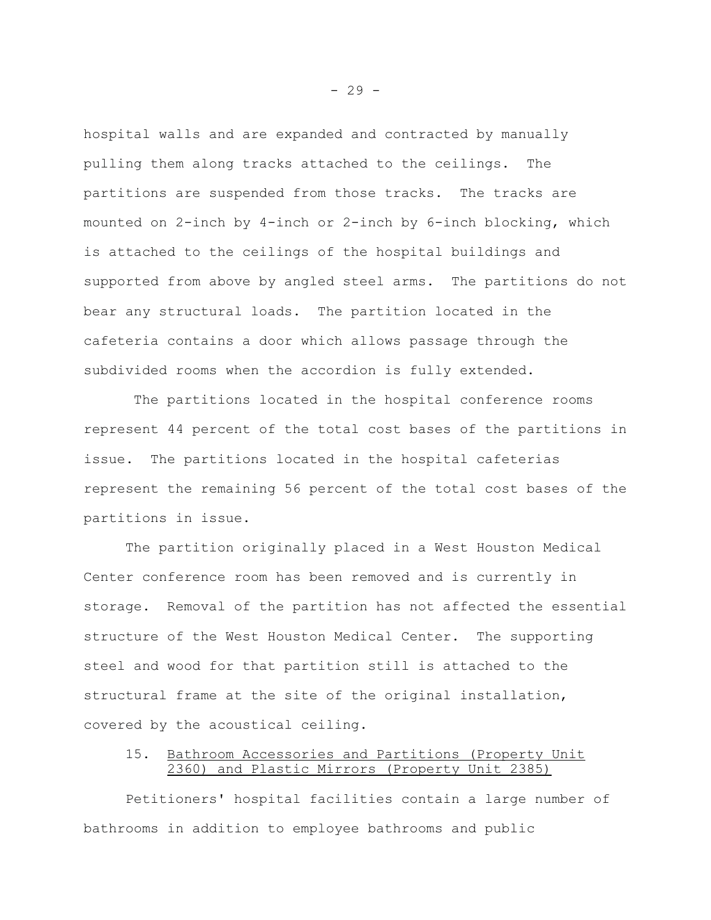hospital walls and are expanded and contracted by manually pulling them along tracks attached to the ceilings. The partitions are suspended from those tracks. The tracks are mounted on 2-inch by 4-inch or 2-inch by 6-inch blocking, which is attached to the ceilings of the hospital buildings and supported from above by angled steel arms. The partitions do not bear any structural loads. The partition located in the cafeteria contains a door which allows passage through the subdivided rooms when the accordion is fully extended.

 The partitions located in the hospital conference rooms represent 44 percent of the total cost bases of the partitions in issue. The partitions located in the hospital cafeterias represent the remaining 56 percent of the total cost bases of the partitions in issue.

The partition originally placed in a West Houston Medical Center conference room has been removed and is currently in storage. Removal of the partition has not affected the essential structure of the West Houston Medical Center. The supporting steel and wood for that partition still is attached to the structural frame at the site of the original installation, covered by the acoustical ceiling.

# 15. Bathroom Accessories and Partitions (Property Unit 2360) and Plastic Mirrors (Property Unit 2385)

Petitioners' hospital facilities contain a large number of bathrooms in addition to employee bathrooms and public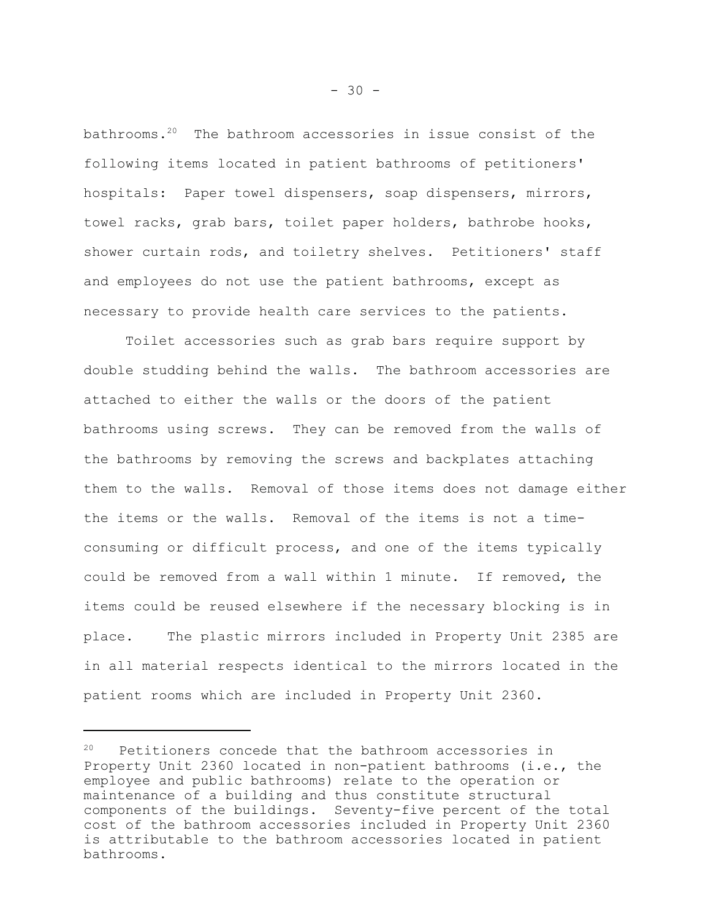bathrooms.<sup>20</sup> The bathroom accessories in issue consist of the following items located in patient bathrooms of petitioners' hospitals: Paper towel dispensers, soap dispensers, mirrors, towel racks, grab bars, toilet paper holders, bathrobe hooks, shower curtain rods, and toiletry shelves. Petitioners' staff and employees do not use the patient bathrooms, except as necessary to provide health care services to the patients.

Toilet accessories such as grab bars require support by double studding behind the walls. The bathroom accessories are attached to either the walls or the doors of the patient bathrooms using screws. They can be removed from the walls of the bathrooms by removing the screws and backplates attaching them to the walls. Removal of those items does not damage either the items or the walls. Removal of the items is not a timeconsuming or difficult process, and one of the items typically could be removed from a wall within 1 minute. If removed, the items could be reused elsewhere if the necessary blocking is in place. The plastic mirrors included in Property Unit 2385 are in all material respects identical to the mirrors located in the patient rooms which are included in Property Unit 2360.

Petitioners concede that the bathroom accessories in Property Unit 2360 located in non-patient bathrooms (i.e., the employee and public bathrooms) relate to the operation or maintenance of a building and thus constitute structural components of the buildings. Seventy-five percent of the total cost of the bathroom accessories included in Property Unit 2360 is attributable to the bathroom accessories located in patient bathrooms.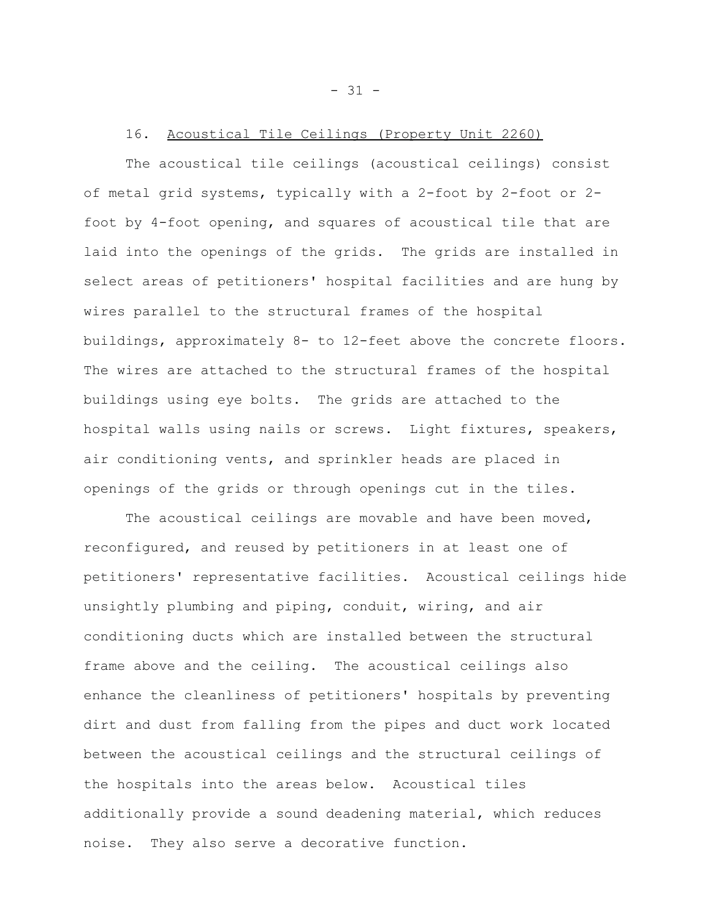#### 16. Acoustical Tile Ceilings (Property Unit 2260)

The acoustical tile ceilings (acoustical ceilings) consist of metal grid systems, typically with a 2-foot by 2-foot or 2 foot by 4-foot opening, and squares of acoustical tile that are laid into the openings of the grids. The grids are installed in select areas of petitioners' hospital facilities and are hung by wires parallel to the structural frames of the hospital buildings, approximately 8- to 12-feet above the concrete floors. The wires are attached to the structural frames of the hospital buildings using eye bolts. The grids are attached to the hospital walls using nails or screws. Light fixtures, speakers, air conditioning vents, and sprinkler heads are placed in openings of the grids or through openings cut in the tiles.

The acoustical ceilings are movable and have been moved, reconfigured, and reused by petitioners in at least one of petitioners' representative facilities. Acoustical ceilings hide unsightly plumbing and piping, conduit, wiring, and air conditioning ducts which are installed between the structural frame above and the ceiling. The acoustical ceilings also enhance the cleanliness of petitioners' hospitals by preventing dirt and dust from falling from the pipes and duct work located between the acoustical ceilings and the structural ceilings of the hospitals into the areas below. Acoustical tiles additionally provide a sound deadening material, which reduces noise. They also serve a decorative function.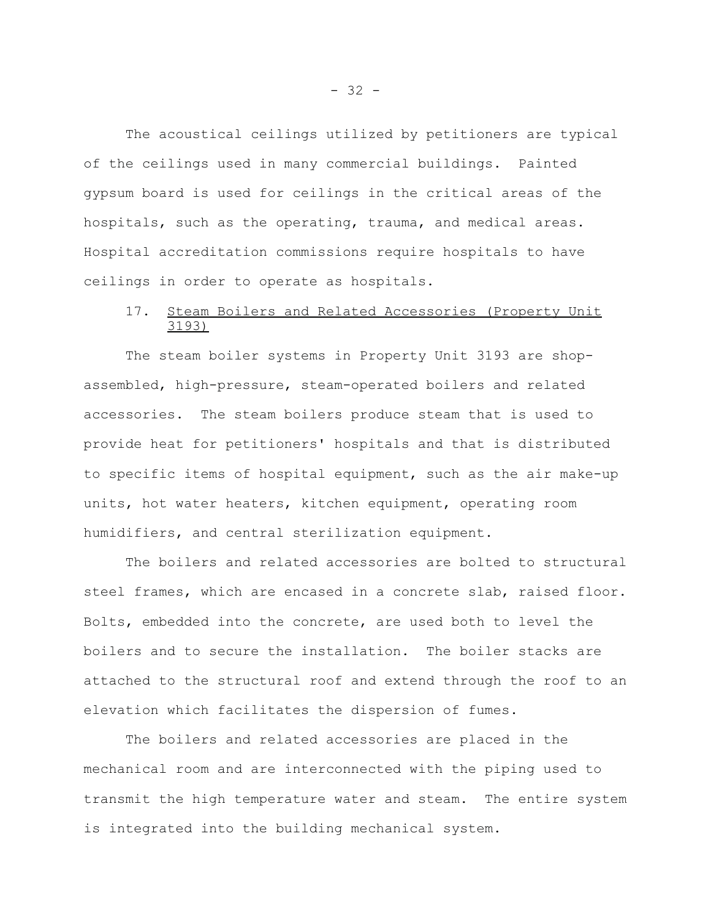The acoustical ceilings utilized by petitioners are typical of the ceilings used in many commercial buildings. Painted gypsum board is used for ceilings in the critical areas of the hospitals, such as the operating, trauma, and medical areas. Hospital accreditation commissions require hospitals to have ceilings in order to operate as hospitals.

# 17. Steam Boilers and Related Accessories (Property Unit 3193)

The steam boiler systems in Property Unit 3193 are shopassembled, high-pressure, steam-operated boilers and related accessories. The steam boilers produce steam that is used to provide heat for petitioners' hospitals and that is distributed to specific items of hospital equipment, such as the air make-up units, hot water heaters, kitchen equipment, operating room humidifiers, and central sterilization equipment.

The boilers and related accessories are bolted to structural steel frames, which are encased in a concrete slab, raised floor. Bolts, embedded into the concrete, are used both to level the boilers and to secure the installation. The boiler stacks are attached to the structural roof and extend through the roof to an elevation which facilitates the dispersion of fumes.

The boilers and related accessories are placed in the mechanical room and are interconnected with the piping used to transmit the high temperature water and steam. The entire system is integrated into the building mechanical system.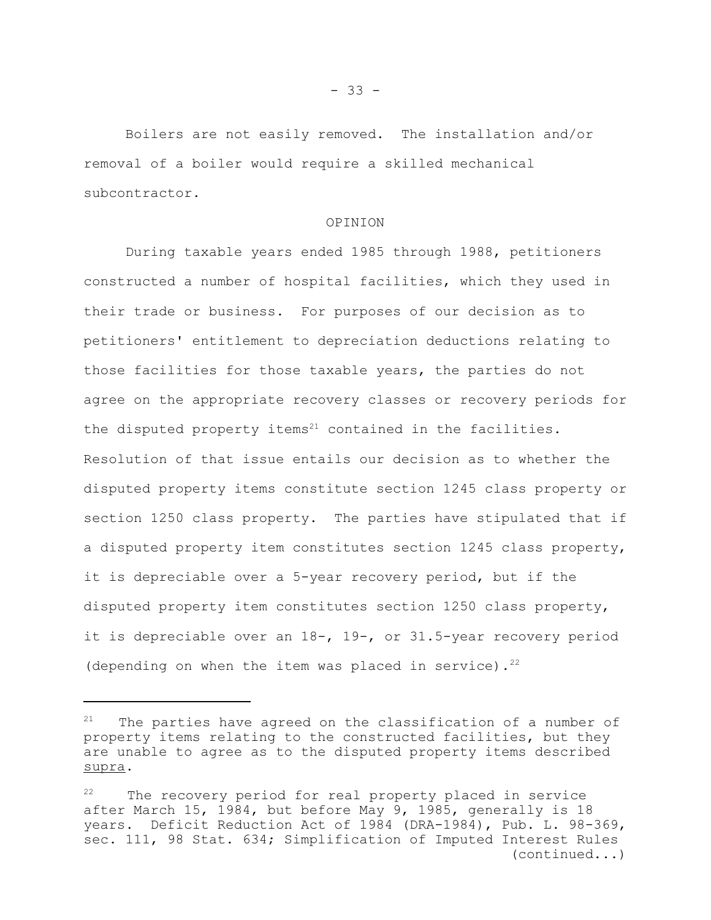Boilers are not easily removed. The installation and/or removal of a boiler would require a skilled mechanical subcontractor.

#### OPINION

During taxable years ended 1985 through 1988, petitioners constructed a number of hospital facilities, which they used in their trade or business. For purposes of our decision as to petitioners' entitlement to depreciation deductions relating to those facilities for those taxable years, the parties do not agree on the appropriate recovery classes or recovery periods for the disputed property items $21$  contained in the facilities. Resolution of that issue entails our decision as to whether the disputed property items constitute section 1245 class property or section 1250 class property. The parties have stipulated that if a disputed property item constitutes section 1245 class property, it is depreciable over a 5-year recovery period, but if the disputed property item constitutes section 1250 class property, it is depreciable over an 18-, 19-, or 31.5-year recovery period (depending on when the item was placed in service).<sup>22</sup>

 $21$  The parties have agreed on the classification of a number of property items relating to the constructed facilities, but they are unable to agree as to the disputed property items described supra.

 $22$  The recovery period for real property placed in service after March 15, 1984, but before May 9, 1985, generally is 18 years. Deficit Reduction Act of 1984 (DRA-1984), Pub. L. 98-369, sec. 111, 98 Stat. 634; Simplification of Imputed Interest Rules (continued...)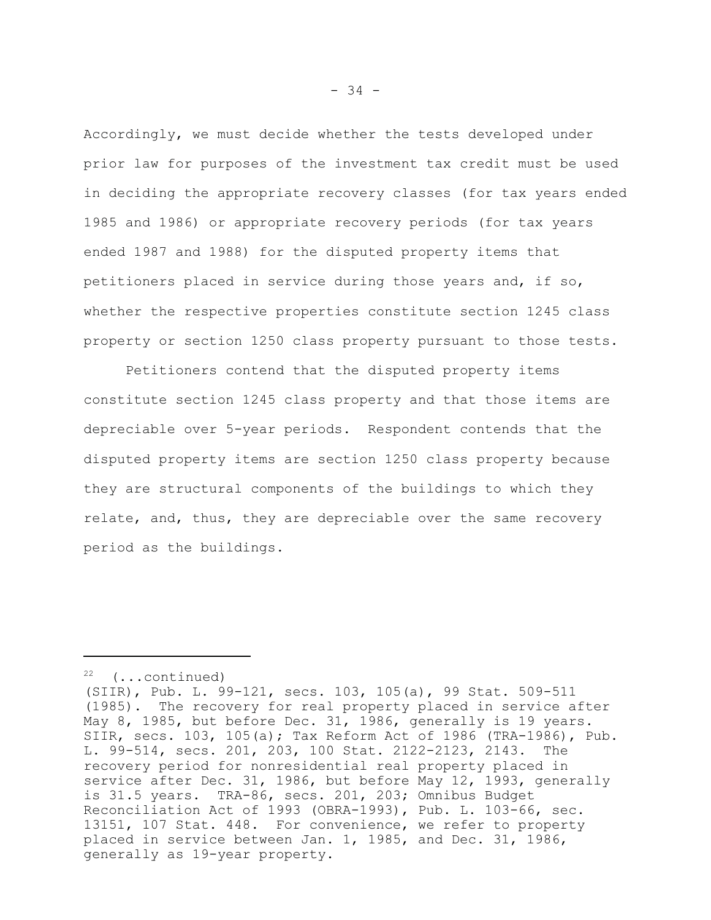Accordingly, we must decide whether the tests developed under prior law for purposes of the investment tax credit must be used in deciding the appropriate recovery classes (for tax years ended 1985 and 1986) or appropriate recovery periods (for tax years ended 1987 and 1988) for the disputed property items that petitioners placed in service during those years and, if so, whether the respective properties constitute section 1245 class property or section 1250 class property pursuant to those tests.

Petitioners contend that the disputed property items constitute section 1245 class property and that those items are depreciable over 5-year periods. Respondent contends that the disputed property items are section 1250 class property because they are structural components of the buildings to which they relate, and, thus, they are depreciable over the same recovery period as the buildings.

<sup>(...</sup>continued)

<sup>(</sup>SIIR), Pub. L. 99-121, secs. 103, 105(a), 99 Stat. 509-511 (1985). The recovery for real property placed in service after May 8, 1985, but before Dec. 31, 1986, generally is 19 years. SIIR, secs. 103, 105(a); Tax Reform Act of 1986 (TRA-1986), Pub. L. 99-514, secs. 201, 203, 100 Stat. 2122-2123, 2143. The recovery period for nonresidential real property placed in service after Dec. 31, 1986, but before May 12, 1993, generally is 31.5 years. TRA-86, secs. 201, 203; Omnibus Budget Reconciliation Act of 1993 (OBRA-1993), Pub. L. 103-66, sec. 13151, 107 Stat. 448. For convenience, we refer to property placed in service between Jan. 1, 1985, and Dec. 31, 1986, generally as 19-year property.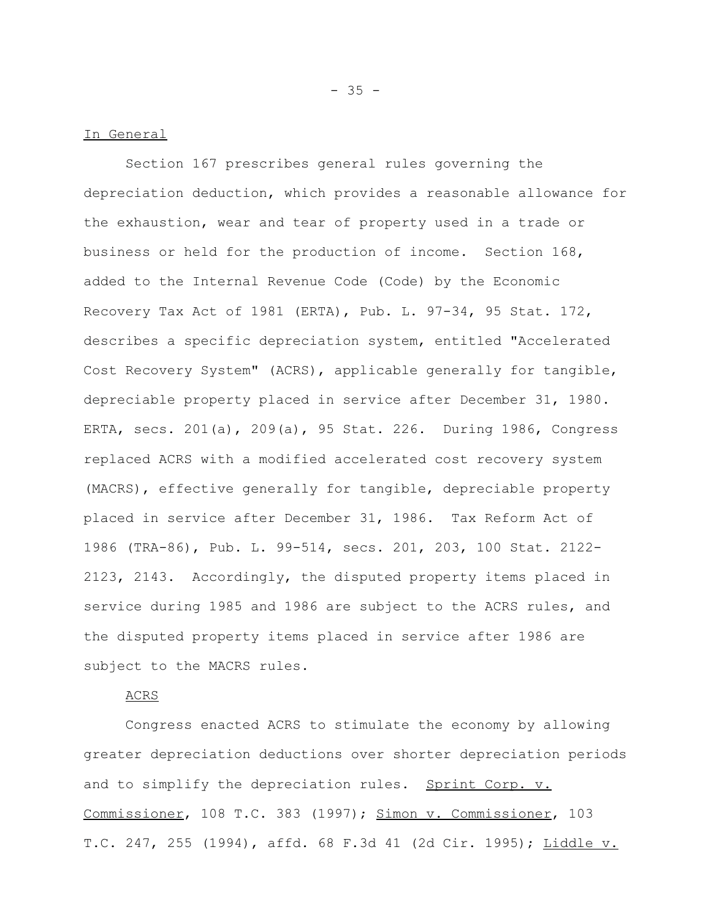# In General

Section 167 prescribes general rules governing the depreciation deduction, which provides a reasonable allowance for the exhaustion, wear and tear of property used in a trade or business or held for the production of income. Section 168, added to the Internal Revenue Code (Code) by the Economic Recovery Tax Act of 1981 (ERTA), Pub. L. 97-34, 95 Stat. 172, describes a specific depreciation system, entitled "Accelerated Cost Recovery System" (ACRS), applicable generally for tangible, depreciable property placed in service after December 31, 1980. ERTA, secs. 201(a), 209(a), 95 Stat. 226. During 1986, Congress replaced ACRS with a modified accelerated cost recovery system (MACRS), effective generally for tangible, depreciable property placed in service after December 31, 1986. Tax Reform Act of 1986 (TRA-86), Pub. L. 99-514, secs. 201, 203, 100 Stat. 2122- 2123, 2143. Accordingly, the disputed property items placed in service during 1985 and 1986 are subject to the ACRS rules, and the disputed property items placed in service after 1986 are subject to the MACRS rules.

### ACRS

Congress enacted ACRS to stimulate the economy by allowing greater depreciation deductions over shorter depreciation periods and to simplify the depreciation rules. Sprint Corp. v. Commissioner, 108 T.C. 383 (1997); Simon v. Commissioner, 103 T.C. 247, 255 (1994), affd. 68 F.3d 41 (2d Cir. 1995); Liddle v.

 $- 35 -$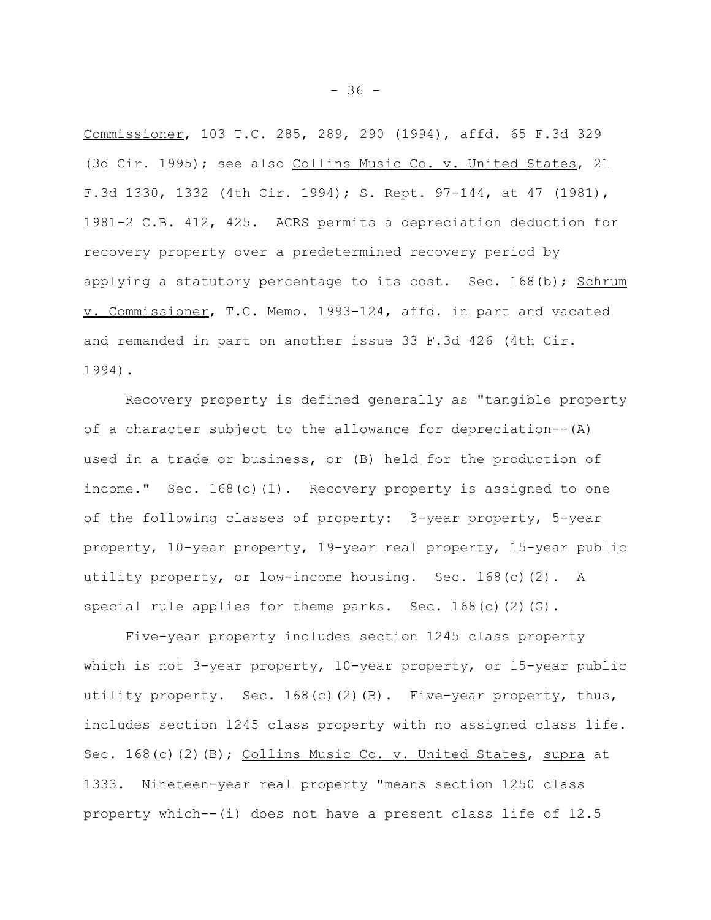Commissioner, 103 T.C. 285, 289, 290 (1994), affd. 65 F.3d 329 (3d Cir. 1995); see also Collins Music Co. v. United States, 21 F.3d 1330, 1332 (4th Cir. 1994); S. Rept. 97-144, at 47 (1981), 1981-2 C.B. 412, 425. ACRS permits a depreciation deduction for recovery property over a predetermined recovery period by applying a statutory percentage to its cost. Sec.  $168(b)$ ; Schrum v. Commissioner, T.C. Memo. 1993-124, affd. in part and vacated and remanded in part on another issue 33 F.3d 426 (4th Cir. 1994).

Recovery property is defined generally as "tangible property of a character subject to the allowance for depreciation--(A) used in a trade or business, or (B) held for the production of income." Sec. 168(c)(1). Recovery property is assigned to one of the following classes of property: 3-year property, 5-year property, 10-year property, 19-year real property, 15-year public utility property, or low-income housing. Sec.  $168(c)(2)$ . A special rule applies for theme parks. Sec. 168(c)(2)(G).

Five-year property includes section 1245 class property which is not 3-year property, 10-year property, or 15-year public utility property. Sec.  $168(c)(2)(B)$ . Five-year property, thus, includes section 1245 class property with no assigned class life. Sec. 168(c)(2)(B); Collins Music Co. v. United States, supra at 1333. Nineteen-year real property "means section 1250 class property which--(i) does not have a present class life of 12.5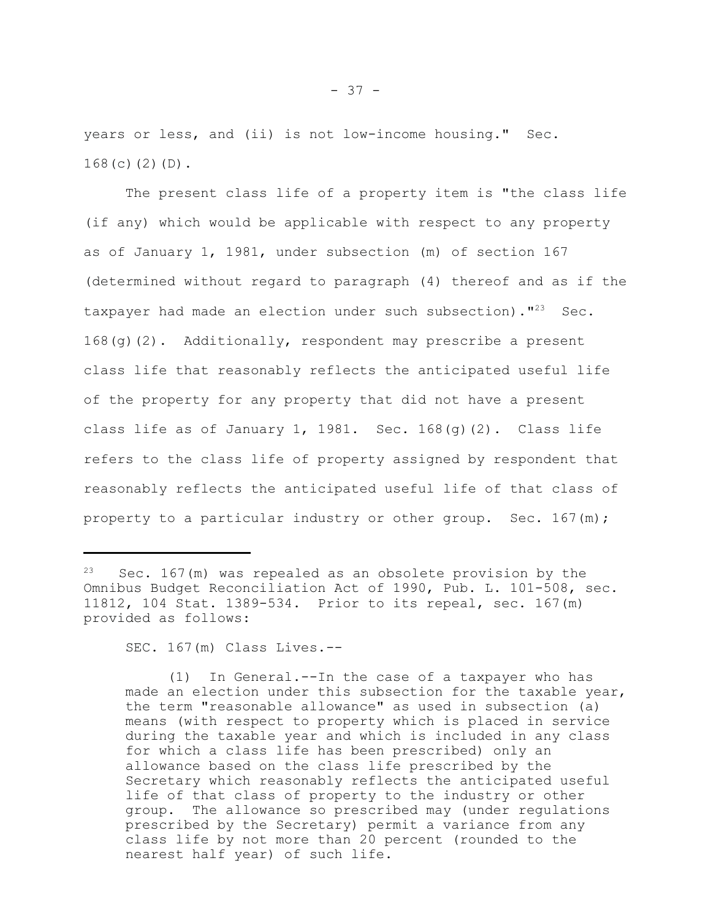years or less, and (ii) is not low-income housing." Sec.  $168(c)(2)(D)$ .

The present class life of a property item is "the class life (if any) which would be applicable with respect to any property as of January 1, 1981, under subsection (m) of section 167 (determined without regard to paragraph (4) thereof and as if the taxpayer had made an election under such subsection)."<sup>23</sup> Sec. 168(g)(2). Additionally, respondent may prescribe a present class life that reasonably reflects the anticipated useful life of the property for any property that did not have a present class life as of January 1, 1981. Sec.  $168(q)(2)$ . Class life refers to the class life of property assigned by respondent that reasonably reflects the anticipated useful life of that class of property to a particular industry or other group. Sec.  $167(m)$ ;

SEC. 167(m) Class Lives.--

(1) In General.--In the case of a taxpayer who has made an election under this subsection for the taxable year, the term "reasonable allowance" as used in subsection (a) means (with respect to property which is placed in service during the taxable year and which is included in any class for which a class life has been prescribed) only an allowance based on the class life prescribed by the Secretary which reasonably reflects the anticipated useful life of that class of property to the industry or other group. The allowance so prescribed may (under regulations prescribed by the Secretary) permit a variance from any class life by not more than 20 percent (rounded to the nearest half year) of such life.

 $23$  Sec. 167(m) was repealed as an obsolete provision by the Omnibus Budget Reconciliation Act of 1990, Pub. L. 101-508, sec. 11812, 104 Stat. 1389-534. Prior to its repeal, sec. 167(m) provided as follows: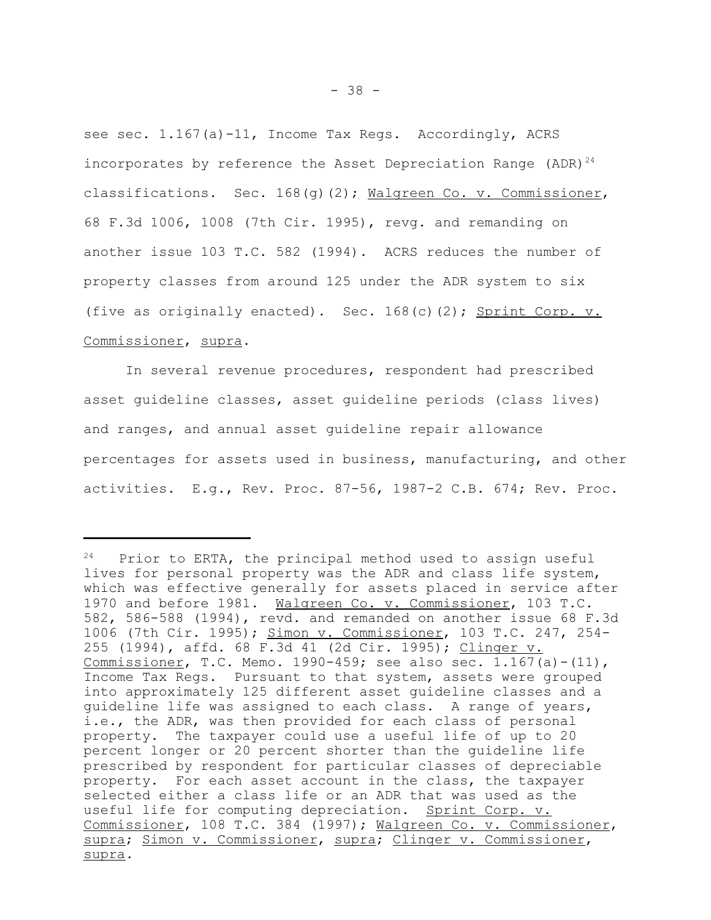see sec. 1.167(a)-11, Income Tax Regs. Accordingly, ACRS incorporates by reference the Asset Depreciation Range  $(ADR)^{24}$ classifications. Sec. 168(g)(2); Walgreen Co. v. Commissioner, 68 F.3d 1006, 1008 (7th Cir. 1995), revg. and remanding on another issue 103 T.C. 582 (1994). ACRS reduces the number of property classes from around 125 under the ADR system to six (five as originally enacted). Sec. 168(c)(2); Sprint Corp. v. Commissioner, supra.

In several revenue procedures, respondent had prescribed asset guideline classes, asset guideline periods (class lives) and ranges, and annual asset guideline repair allowance percentages for assets used in business, manufacturing, and other activities. E.g., Rev. Proc. 87-56, 1987-2 C.B. 674; Rev. Proc.

 $24$  Prior to ERTA, the principal method used to assign useful lives for personal property was the ADR and class life system, which was effective generally for assets placed in service after 1970 and before 1981. Walgreen Co. v. Commissioner, 103 T.C. 582, 586-588 (1994), revd. and remanded on another issue 68 F.3d 1006 (7th Cir. 1995); Simon v. Commissioner, 103 T.C. 247, 254- 255 (1994), affd. 68 F.3d 41 (2d Cir. 1995); Clinger v. Commissioner, T.C. Memo. 1990-459; see also sec. 1.167(a)-(11), Income Tax Regs. Pursuant to that system, assets were grouped into approximately 125 different asset guideline classes and a guideline life was assigned to each class. A range of years, i.e., the ADR, was then provided for each class of personal property. The taxpayer could use a useful life of up to 20 percent longer or 20 percent shorter than the guideline life prescribed by respondent for particular classes of depreciable property. For each asset account in the class, the taxpayer selected either a class life or an ADR that was used as the useful life for computing depreciation. Sprint Corp. v. Commissioner, 108 T.C. 384 (1997); Walgreen Co. v. Commissioner, supra; Simon v. Commissioner, supra; Clinger v. Commissioner, supra.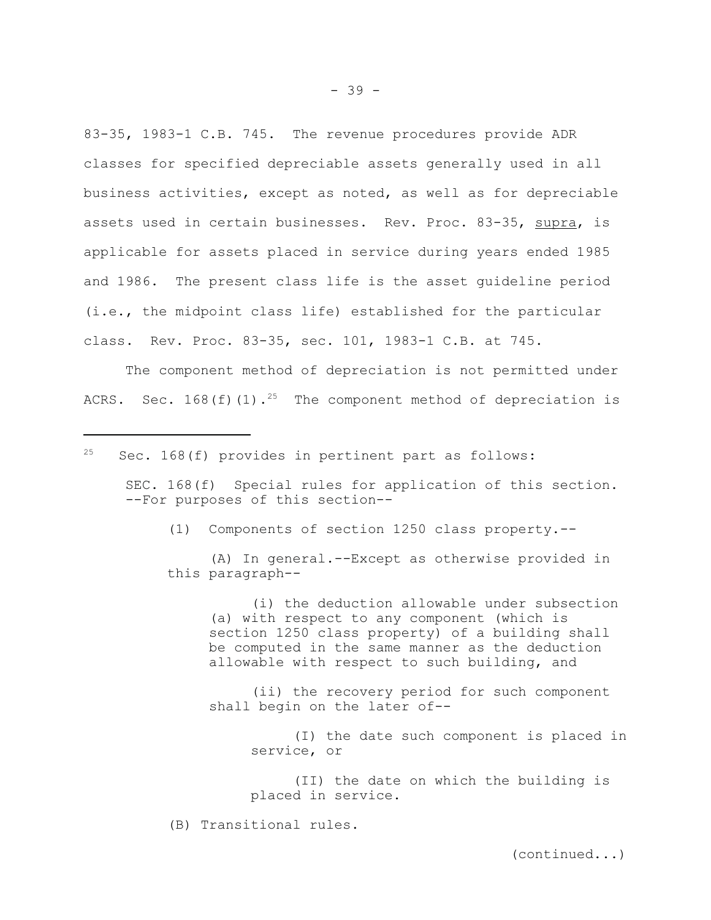83-35, 1983-1 C.B. 745. The revenue procedures provide ADR classes for specified depreciable assets generally used in all business activities, except as noted, as well as for depreciable assets used in certain businesses. Rev. Proc. 83-35, supra, is applicable for assets placed in service during years ended 1985 and 1986. The present class life is the asset guideline period (i.e., the midpoint class life) established for the particular class. Rev. Proc. 83-35, sec. 101, 1983-1 C.B. at 745.

The component method of depreciation is not permitted under ACRS. Sec. 168(f)(1).<sup>25</sup> The component method of depreciation is

 $25$  Sec. 168(f) provides in pertinent part as follows:

SEC. 168(f) Special rules for application of this section. --For purposes of this section--

(1) Components of section 1250 class property.--

(A) In general.--Except as otherwise provided in this paragraph--

(i) the deduction allowable under subsection (a) with respect to any component (which is section 1250 class property) of a building shall be computed in the same manner as the deduction allowable with respect to such building, and

(ii) the recovery period for such component shall begin on the later of--

> (I) the date such component is placed in service, or

(II) the date on which the building is placed in service.

(B) Transitional rules.

(continued...)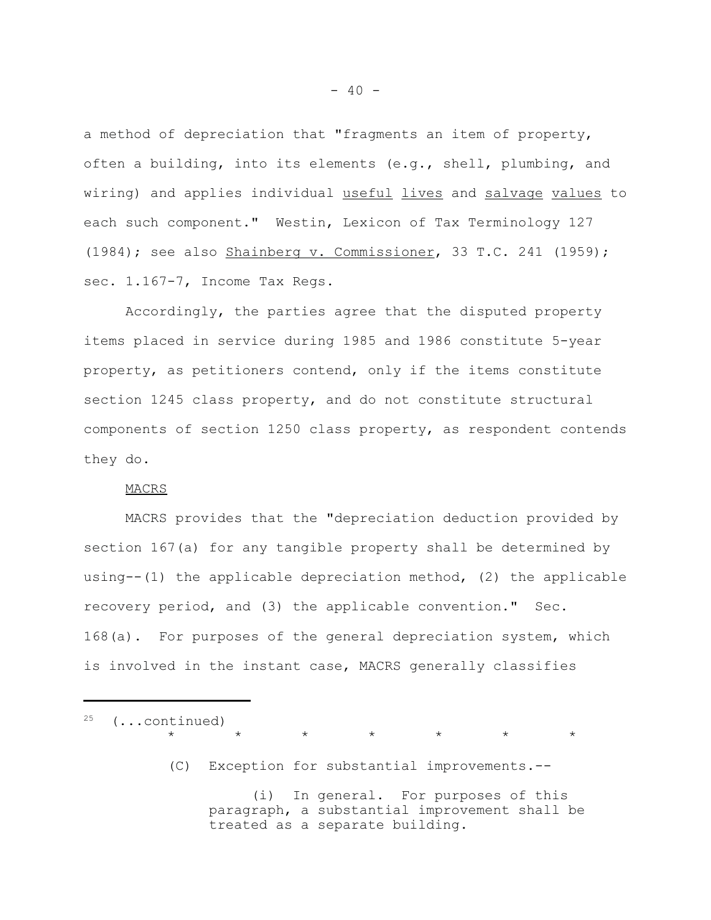a method of depreciation that "fragments an item of property, often a building, into its elements (e.g., shell, plumbing, and wiring) and applies individual useful lives and salvage values to each such component." Westin, Lexicon of Tax Terminology 127  $(1984)$ ; see also Shainberg v. Commissioner, 33 T.C. 241 (1959); sec. 1.167-7, Income Tax Regs.

Accordingly, the parties agree that the disputed property items placed in service during 1985 and 1986 constitute 5-year property, as petitioners contend, only if the items constitute section 1245 class property, and do not constitute structural components of section 1250 class property, as respondent contends they do.

#### MACRS

MACRS provides that the "depreciation deduction provided by section 167(a) for any tangible property shall be determined by using--(1) the applicable depreciation method, (2) the applicable recovery period, and (3) the applicable convention." Sec. 168(a). For purposes of the general depreciation system, which is involved in the instant case, MACRS generally classifies

 $25$  (...continued) \* \* \* \* \* \* \* (C) Exception for substantial improvements.-- (i) In general. For purposes of this paragraph, a substantial improvement shall be treated as a separate building.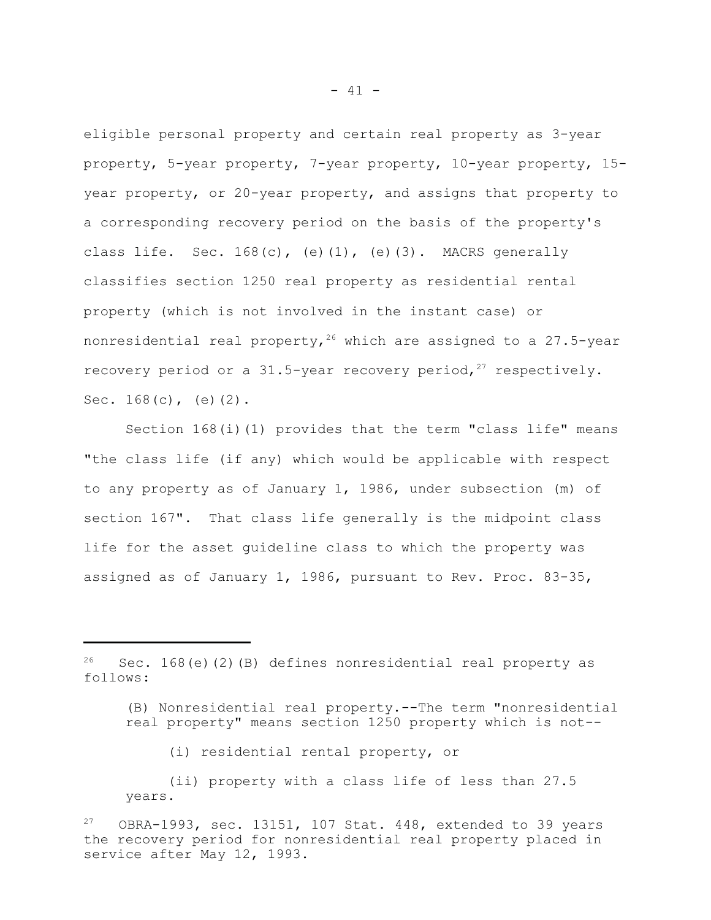eligible personal property and certain real property as 3-year property, 5-year property, 7-year property, 10-year property, 15 year property, or 20-year property, and assigns that property to a corresponding recovery period on the basis of the property's class life. Sec.  $168(c)$ , (e)(1), (e)(3). MACRS generally classifies section 1250 real property as residential rental property (which is not involved in the instant case) or nonresidential real property,  $26$  which are assigned to a 27.5-year recovery period or a 31.5-year recovery period,  $27$  respectively. Sec.  $168(c)$ , (e)(2).

Section  $168(i)(1)$  provides that the term "class life" means "the class life (if any) which would be applicable with respect to any property as of January 1, 1986, under subsection (m) of section 167". That class life generally is the midpoint class life for the asset guideline class to which the property was assigned as of January 1, 1986, pursuant to Rev. Proc. 83-35,

(i) residential rental property, or

(ii) property with a class life of less than 27.5 years.

 $26$  Sec. 168(e)(2)(B) defines nonresidential real property as follows:

<sup>(</sup>B) Nonresidential real property.--The term "nonresidential real property" means section 1250 property which is not--

 $27$  OBRA-1993, sec. 13151, 107 Stat. 448, extended to 39 years the recovery period for nonresidential real property placed in service after May 12, 1993.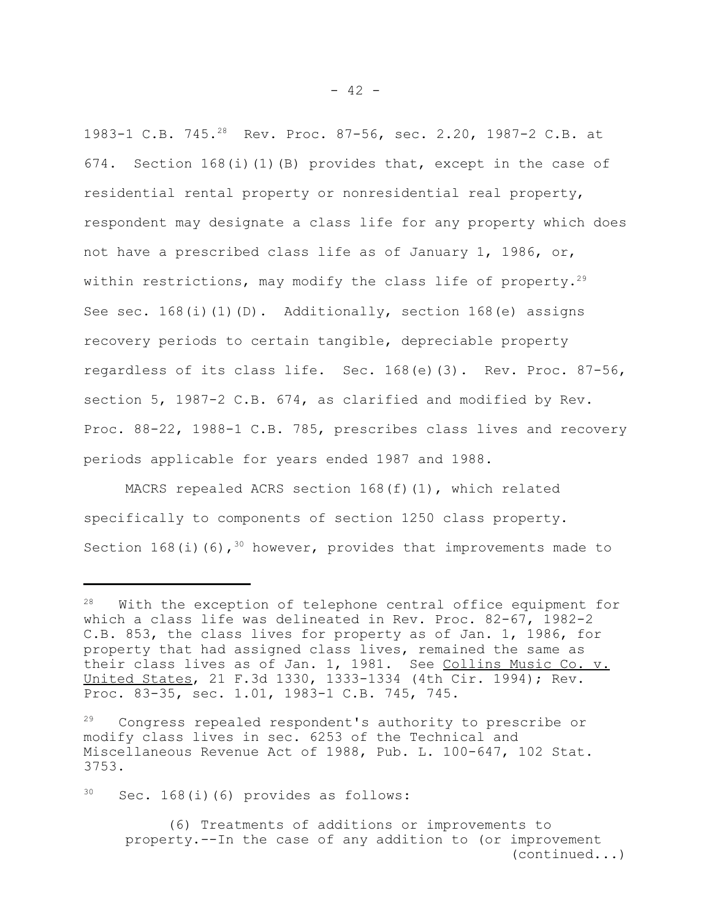1983-1 C.B. 745.28 Rev. Proc. 87-56, sec. 2.20, 1987-2 C.B. at 674. Section 168(i)(1)(B) provides that, except in the case of residential rental property or nonresidential real property, respondent may designate a class life for any property which does not have a prescribed class life as of January 1, 1986, or, within restrictions, may modify the class life of property.<sup>29</sup> See sec.  $168(i)(1)(D)$ . Additionally, section  $168(e)$  assigns recovery periods to certain tangible, depreciable property regardless of its class life. Sec. 168(e)(3). Rev. Proc. 87-56, section 5, 1987-2 C.B. 674, as clarified and modified by Rev. Proc. 88-22, 1988-1 C.B. 785, prescribes class lives and recovery periods applicable for years ended 1987 and 1988.

MACRS repealed ACRS section  $168(f)(1)$ , which related specifically to components of section 1250 class property. Section 168(i)(6),  $30$  however, provides that improvements made to

 $30$  Sec. 168(i)(6) provides as follows:

<sup>&</sup>lt;sup>28</sup> With the exception of telephone central office equipment for which a class life was delineated in Rev. Proc. 82-67, 1982-2 C.B. 853, the class lives for property as of Jan. 1, 1986, for property that had assigned class lives, remained the same as their class lives as of Jan. 1, 1981. See Collins Music Co. v. United States, 21 F.3d 1330, 1333-1334 (4th Cir. 1994); Rev. Proc. 83-35, sec. 1.01, 1983-1 C.B. 745, 745.

<sup>&</sup>lt;sup>29</sup> Congress repealed respondent's authority to prescribe or modify class lives in sec. 6253 of the Technical and Miscellaneous Revenue Act of 1988, Pub. L. 100-647, 102 Stat. 3753.

<sup>(6)</sup> Treatments of additions or improvements to property.--In the case of any addition to (or improvement (continued...)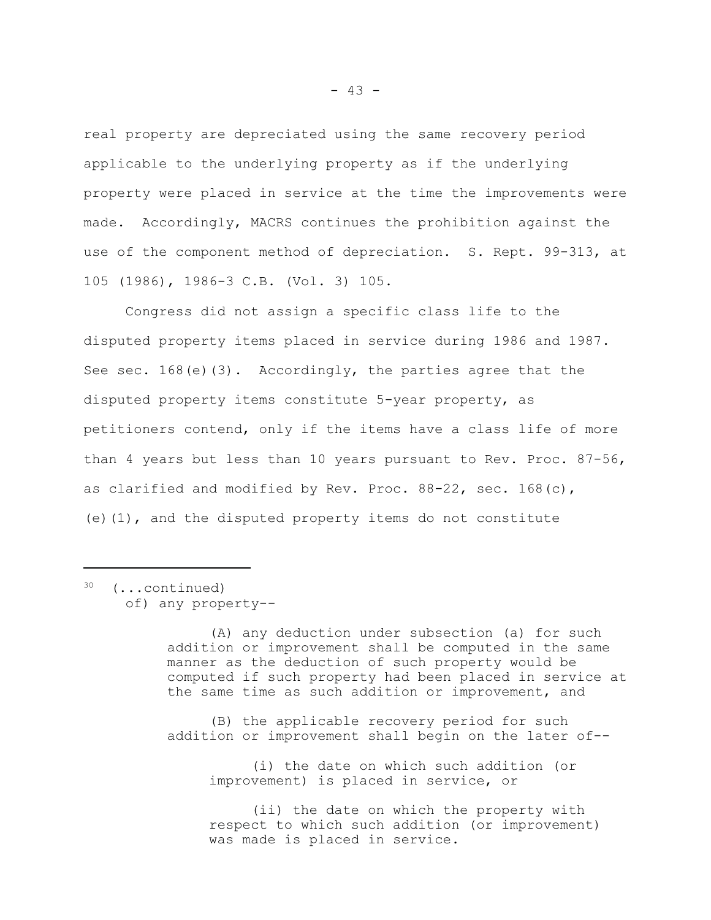real property are depreciated using the same recovery period applicable to the underlying property as if the underlying property were placed in service at the time the improvements were made. Accordingly, MACRS continues the prohibition against the use of the component method of depreciation. S. Rept. 99-313, at 105 (1986), 1986-3 C.B. (Vol. 3) 105.

Congress did not assign a specific class life to the disputed property items placed in service during 1986 and 1987. See sec.  $168(e)(3)$ . Accordingly, the parties agree that the disputed property items constitute 5-year property, as petitioners contend, only if the items have a class life of more than 4 years but less than 10 years pursuant to Rev. Proc. 87-56, as clarified and modified by Rev. Proc.  $88-22$ , sec.  $168(c)$ , (e)(1), and the disputed property items do not constitute

30 (...continued) of) any property--

> (A) any deduction under subsection (a) for such addition or improvement shall be computed in the same manner as the deduction of such property would be computed if such property had been placed in service at the same time as such addition or improvement, and

(B) the applicable recovery period for such addition or improvement shall begin on the later of--

(i) the date on which such addition (or improvement) is placed in service, or

(ii) the date on which the property with respect to which such addition (or improvement) was made is placed in service.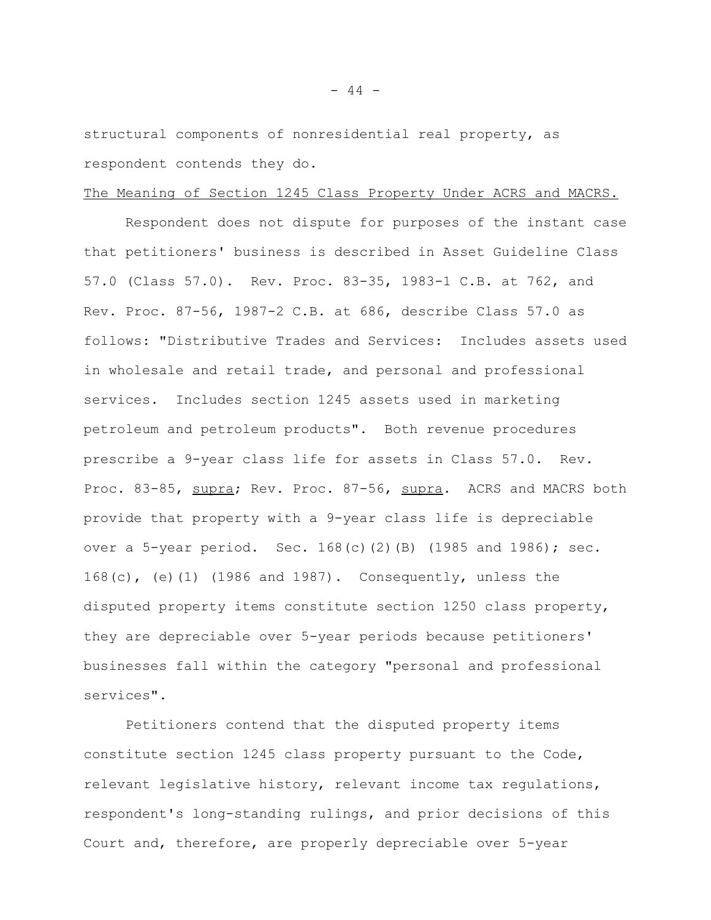structural components of nonresidential real property, as respondent contends they do.

### The Meaning of Section 1245 Class Property Under ACRS and MACRS.

Respondent does not dispute for purposes of the instant case that petitioners' business is described in Asset Guideline Class 57.0 (Class 57.0). Rev. Proc. 83-35, 1983-1 C.B. at 762, and Rev. Proc. 87-56, 1987-2 C.B. at 686, describe Class 57.0 as follows: "Distributive Trades and Services: Includes assets used in wholesale and retail trade, and personal and professional services. Includes section 1245 assets used in marketing petroleum and petroleum products". Both revenue procedures prescribe a 9-year class life for assets in Class 57.0. Rev. Proc. 83-85, supra; Rev. Proc. 87-56, supra. ACRS and MACRS both provide that property with a 9-year class life is depreciable over a 5-year period. Sec.  $168(c)(2)(B)$  (1985 and 1986); sec. 168(c), (e)(1) (1986 and 1987). Consequently, unless the disputed property items constitute section 1250 class property, they are depreciable over 5-year periods because petitioners' businesses fall within the category "personal and professional services".

Petitioners contend that the disputed property items constitute section 1245 class property pursuant to the Code, relevant legislative history, relevant income tax regulations, respondent's long-standing rulings, and prior decisions of this Court and, therefore, are properly depreciable over 5-year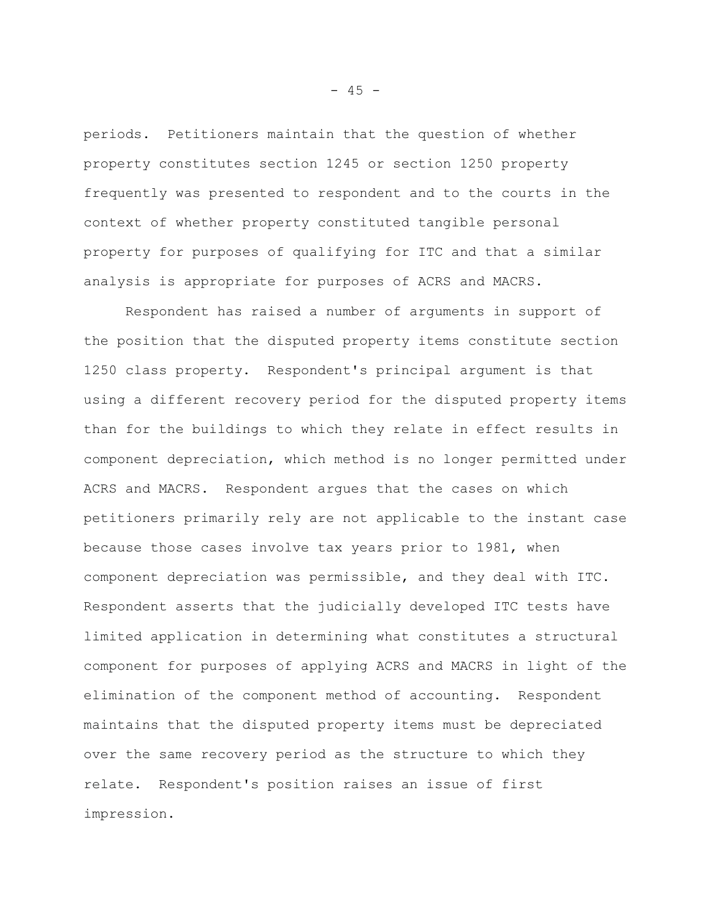periods. Petitioners maintain that the question of whether property constitutes section 1245 or section 1250 property frequently was presented to respondent and to the courts in the context of whether property constituted tangible personal property for purposes of qualifying for ITC and that a similar analysis is appropriate for purposes of ACRS and MACRS.

Respondent has raised a number of arguments in support of the position that the disputed property items constitute section 1250 class property. Respondent's principal argument is that using a different recovery period for the disputed property items than for the buildings to which they relate in effect results in component depreciation, which method is no longer permitted under ACRS and MACRS. Respondent argues that the cases on which petitioners primarily rely are not applicable to the instant case because those cases involve tax years prior to 1981, when component depreciation was permissible, and they deal with ITC. Respondent asserts that the judicially developed ITC tests have limited application in determining what constitutes a structural component for purposes of applying ACRS and MACRS in light of the elimination of the component method of accounting. Respondent maintains that the disputed property items must be depreciated over the same recovery period as the structure to which they relate. Respondent's position raises an issue of first impression.

 $- 45 -$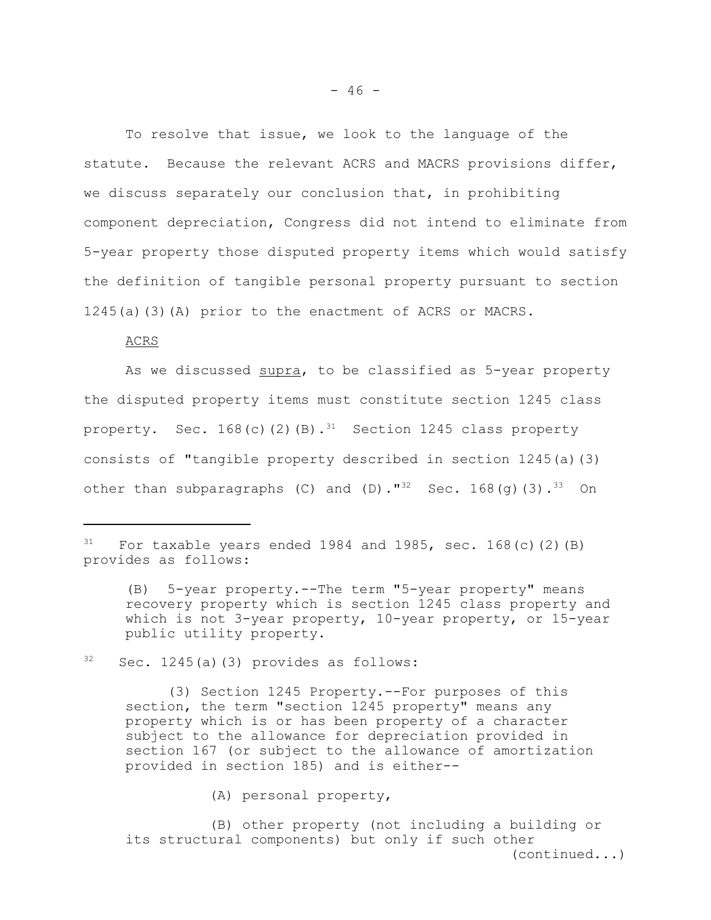To resolve that issue, we look to the language of the statute. Because the relevant ACRS and MACRS provisions differ, we discuss separately our conclusion that, in prohibiting component depreciation, Congress did not intend to eliminate from 5-year property those disputed property items which would satisfy the definition of tangible personal property pursuant to section 1245(a)(3)(A) prior to the enactment of ACRS or MACRS.

ACRS

As we discussed supra, to be classified as 5-year property the disputed property items must constitute section 1245 class property. Sec.  $168(c)(2)(B).$ <sup>31</sup> Section 1245 class property consists of "tangible property described in section 1245(a)(3) other than subparagraphs (C) and (D)."<sup>32</sup> Sec. 168(g)(3).<sup>33</sup> On

 $32$  Sec. 1245(a)(3) provides as follows:

(3) Section 1245 Property.--For purposes of this section, the term "section 1245 property" means any property which is or has been property of a character subject to the allowance for depreciation provided in section 167 (or subject to the allowance of amortization provided in section 185) and is either--

(A) personal property,

(B) other property (not including a building or its structural components) but only if such other (continued...)

 $31$  For taxable years ended 1984 and 1985, sec. 168(c)(2)(B) provides as follows:

<sup>(</sup>B) 5-year property.--The term "5-year property" means recovery property which is section 1245 class property and which is not 3-year property, 10-year property, or 15-year public utility property.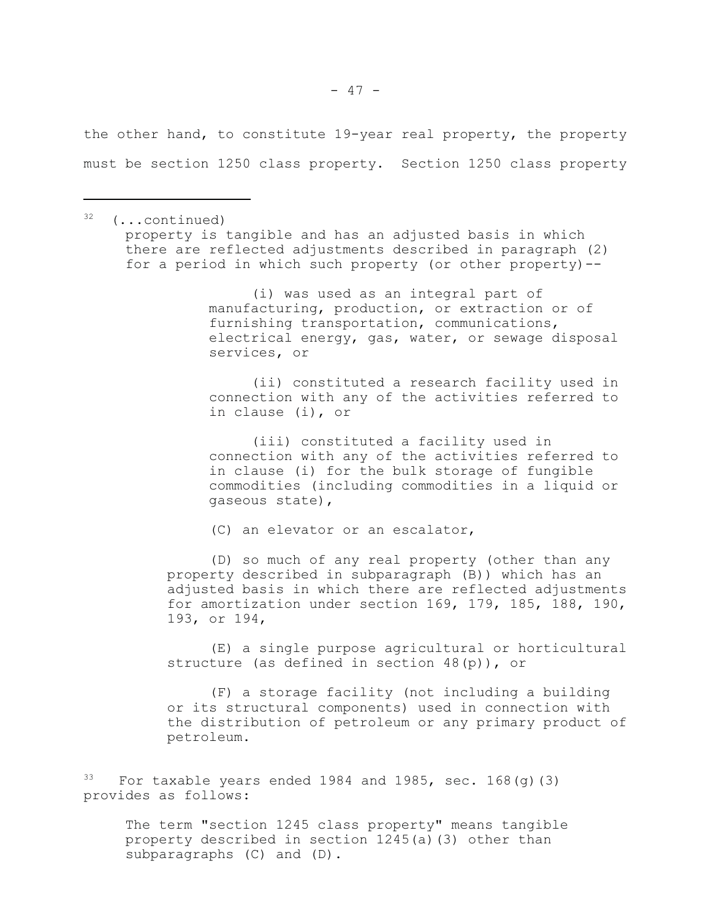the other hand, to constitute 19-year real property, the property must be section 1250 class property. Section 1250 class property

32 (...continued) property is tangible and has an adjusted basis in which there are reflected adjustments described in paragraph (2) for a period in which such property (or other property)--

> (i) was used as an integral part of manufacturing, production, or extraction or of furnishing transportation, communications, electrical energy, gas, water, or sewage disposal services, or

> (ii) constituted a research facility used in connection with any of the activities referred to in clause (i), or

> (iii) constituted a facility used in connection with any of the activities referred to in clause (i) for the bulk storage of fungible commodities (including commodities in a liquid or gaseous state),

(C) an elevator or an escalator,

(D) so much of any real property (other than any property described in subparagraph (B)) which has an adjusted basis in which there are reflected adjustments for amortization under section 169, 179, 185, 188, 190, 193, or 194,

(E) a single purpose agricultural or horticultural structure (as defined in section 48(p)), or

(F) a storage facility (not including a building or its structural components) used in connection with the distribution of petroleum or any primary product of petroleum.

 $33$  For taxable years ended 1984 and 1985, sec. 168(q)(3) provides as follows:

The term "section 1245 class property" means tangible property described in section 1245(a)(3) other than subparagraphs (C) and (D).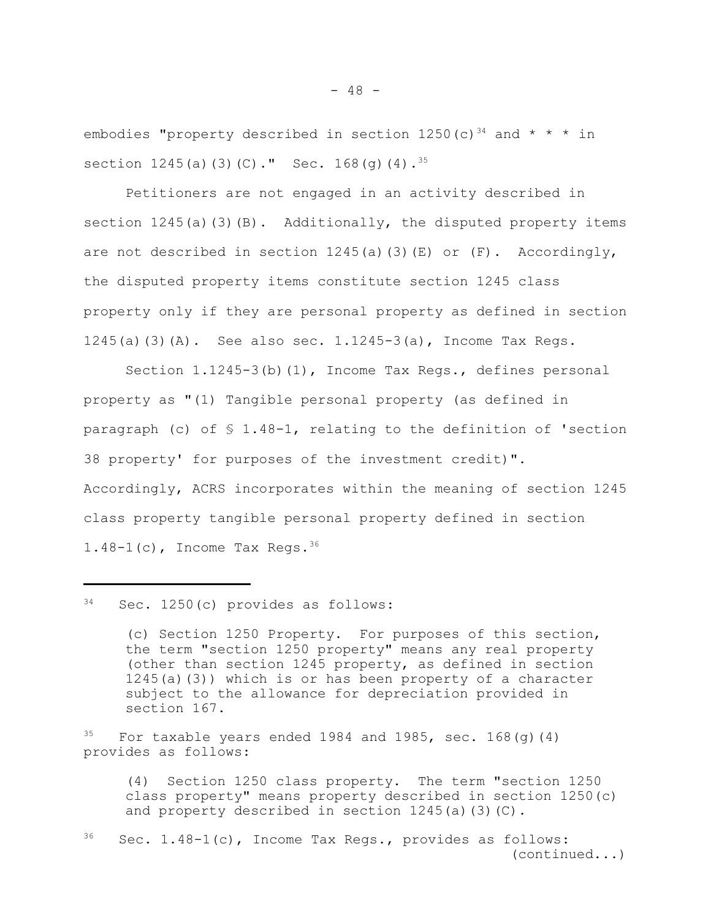embodies "property described in section  $1250(c)$ <sup>34</sup> and \* \* \* in section  $1245(a)(3)(C)$ ." Sec.  $168(q)(4)$ .<sup>35</sup>

Petitioners are not engaged in an activity described in section  $1245(a)(3)(B)$ . Additionally, the disputed property items are not described in section  $1245(a)(3)(E)$  or  $(F)$ . Accordingly, the disputed property items constitute section 1245 class property only if they are personal property as defined in section 1245(a)(3)(A). See also sec.  $1.1245-3(a)$ , Income Tax Regs.

Section 1.1245-3(b)(1), Income Tax Regs., defines personal property as "(1) Tangible personal property (as defined in paragraph (c) of  $\S$  1.48-1, relating to the definition of 'section 38 property' for purposes of the investment credit)". Accordingly, ACRS incorporates within the meaning of section 1245 class property tangible personal property defined in section  $1.48-1(c)$ , Income Tax Regs.  $36$ 

34 Sec. 1250(c) provides as follows:

(c) Section 1250 Property. For purposes of this section, the term "section 1250 property" means any real property (other than section 1245 property, as defined in section  $1245(a)(3)$ ) which is or has been property of a character subject to the allowance for depreciation provided in section 167.

 $35$  For taxable years ended 1984 and 1985, sec. 168(g)(4) provides as follows:

(4) Section 1250 class property. The term "section 1250 class property" means property described in section 1250(c) and property described in section 1245(a)(3)(C).

 $36$  Sec. 1.48-1(c), Income Tax Regs., provides as follows: (continued...)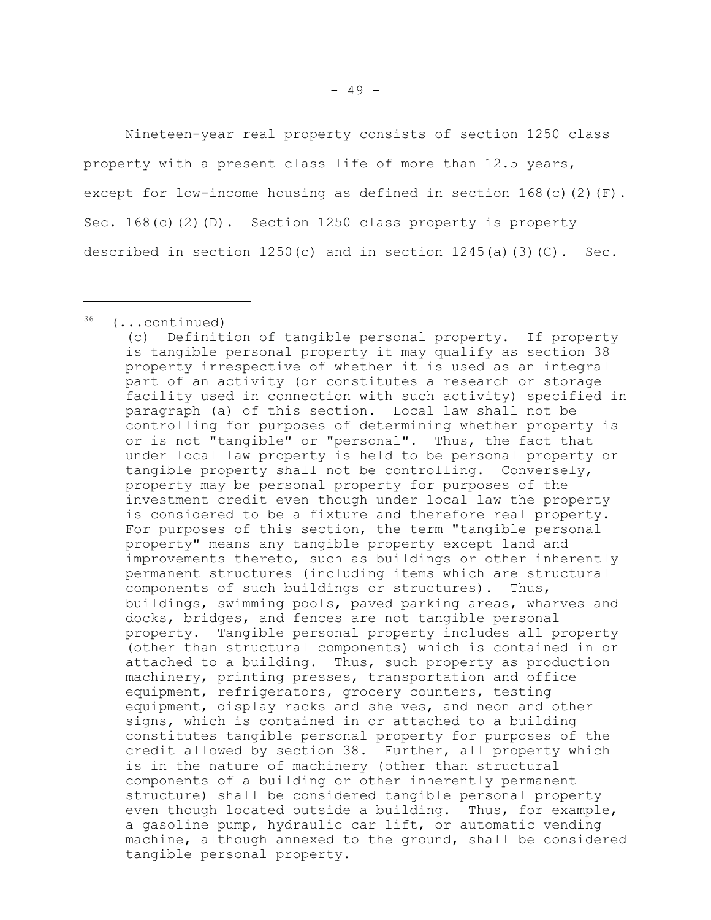Nineteen-year real property consists of section 1250 class property with a present class life of more than 12.5 years, except for low-income housing as defined in section  $168(c)(2)(F)$ . Sec. 168(c)(2)(D). Section 1250 class property is property described in section  $1250(c)$  and in section  $1245(a)(3)(C)$ . Sec.

 $36$  (...continued)

<sup>(</sup>c) Definition of tangible personal property. If property is tangible personal property it may qualify as section 38 property irrespective of whether it is used as an integral part of an activity (or constitutes a research or storage facility used in connection with such activity) specified in paragraph (a) of this section. Local law shall not be controlling for purposes of determining whether property is or is not "tangible" or "personal". Thus, the fact that under local law property is held to be personal property or tangible property shall not be controlling. Conversely, property may be personal property for purposes of the investment credit even though under local law the property is considered to be a fixture and therefore real property. For purposes of this section, the term "tangible personal property" means any tangible property except land and improvements thereto, such as buildings or other inherently permanent structures (including items which are structural components of such buildings or structures). Thus, buildings, swimming pools, paved parking areas, wharves and docks, bridges, and fences are not tangible personal property. Tangible personal property includes all property (other than structural components) which is contained in or attached to a building. Thus, such property as production machinery, printing presses, transportation and office equipment, refrigerators, grocery counters, testing equipment, display racks and shelves, and neon and other signs, which is contained in or attached to a building constitutes tangible personal property for purposes of the credit allowed by section 38. Further, all property which is in the nature of machinery (other than structural components of a building or other inherently permanent structure) shall be considered tangible personal property even though located outside a building. Thus, for example, a gasoline pump, hydraulic car lift, or automatic vending machine, although annexed to the ground, shall be considered tangible personal property.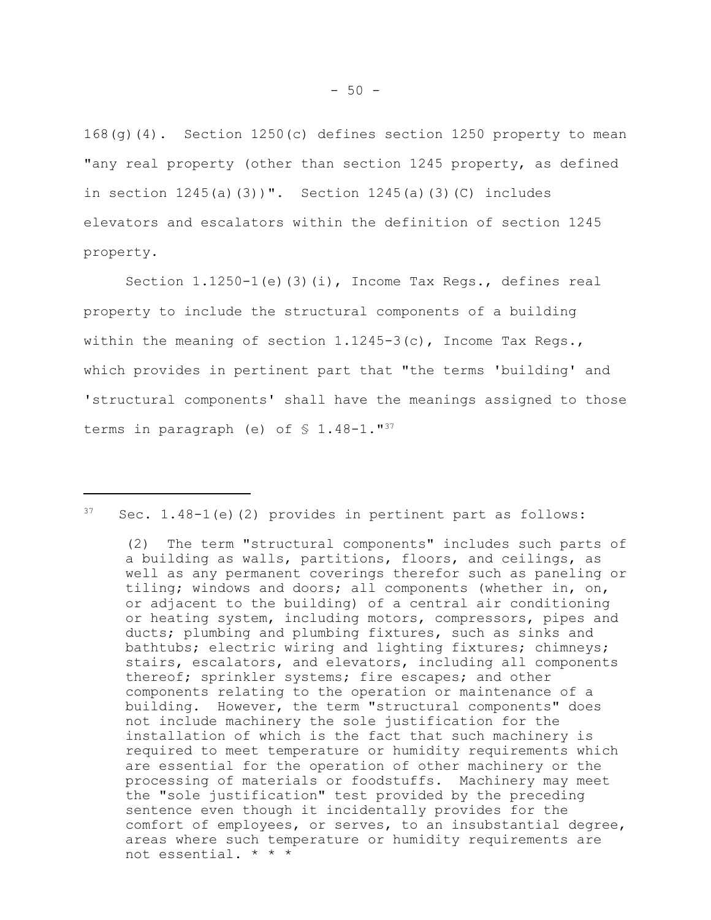168(g)(4). Section 1250(c) defines section 1250 property to mean "any real property (other than section 1245 property, as defined in section  $1245(a)(3)$ ". Section  $1245(a)(3)(C)$  includes elevators and escalators within the definition of section 1245 property.

Section 1.1250-1(e)(3)(i), Income Tax Regs., defines real property to include the structural components of a building within the meaning of section  $1.1245-3(c)$ , Income Tax Regs., which provides in pertinent part that "the terms 'building' and 'structural components' shall have the meanings assigned to those terms in paragraph (e) of  $$1.48-1.^{\text{T}}$ 

 $37$  Sec. 1.48-1(e)(2) provides in pertinent part as follows:

<sup>(2)</sup> The term "structural components" includes such parts of a building as walls, partitions, floors, and ceilings, as well as any permanent coverings therefor such as paneling or tiling; windows and doors; all components (whether in, on, or adjacent to the building) of a central air conditioning or heating system, including motors, compressors, pipes and ducts; plumbing and plumbing fixtures, such as sinks and bathtubs; electric wiring and lighting fixtures; chimneys; stairs, escalators, and elevators, including all components thereof; sprinkler systems; fire escapes; and other components relating to the operation or maintenance of a building. However, the term "structural components" does not include machinery the sole justification for the installation of which is the fact that such machinery is required to meet temperature or humidity requirements which are essential for the operation of other machinery or the processing of materials or foodstuffs. Machinery may meet the "sole justification" test provided by the preceding sentence even though it incidentally provides for the comfort of employees, or serves, to an insubstantial degree, areas where such temperature or humidity requirements are not essential. \* \* \*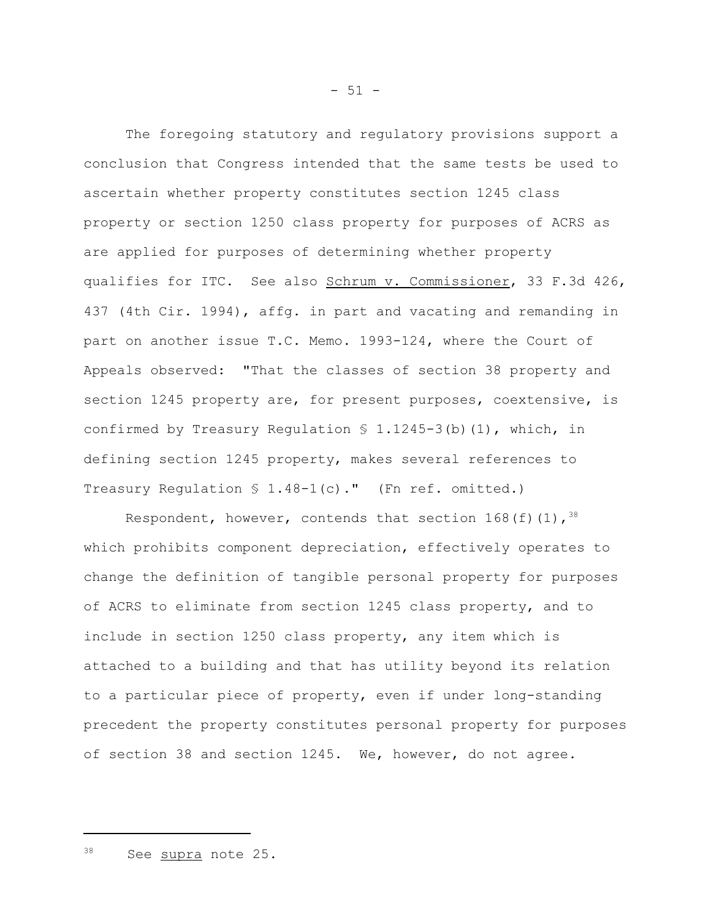The foregoing statutory and regulatory provisions support a conclusion that Congress intended that the same tests be used to ascertain whether property constitutes section 1245 class property or section 1250 class property for purposes of ACRS as are applied for purposes of determining whether property qualifies for ITC. See also Schrum v. Commissioner, 33 F.3d 426, 437 (4th Cir. 1994), affg. in part and vacating and remanding in part on another issue T.C. Memo. 1993-124, where the Court of Appeals observed: "That the classes of section 38 property and section 1245 property are, for present purposes, coextensive, is confirmed by Treasury Regulation  $S$  1.1245-3(b)(1), which, in defining section 1245 property, makes several references to Treasury Regulation  $$ 1.48-1(c)$ ." (Fn ref. omitted.)

Respondent, however, contends that section  $168(f)(1)$ ,  $38$ which prohibits component depreciation, effectively operates to change the definition of tangible personal property for purposes of ACRS to eliminate from section 1245 class property, and to include in section 1250 class property, any item which is attached to a building and that has utility beyond its relation to a particular piece of property, even if under long-standing precedent the property constitutes personal property for purposes of section 38 and section 1245. We, however, do not agree.

<sup>38</sup> See supra note 25.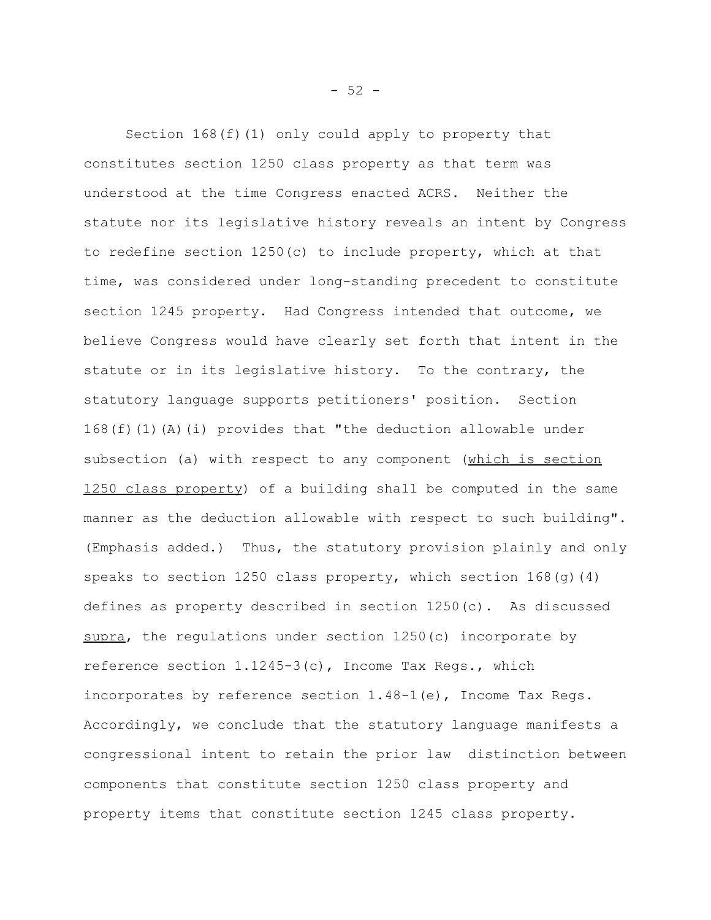Section 168(f)(1) only could apply to property that constitutes section 1250 class property as that term was understood at the time Congress enacted ACRS. Neither the statute nor its legislative history reveals an intent by Congress to redefine section 1250(c) to include property, which at that time, was considered under long-standing precedent to constitute section 1245 property. Had Congress intended that outcome, we believe Congress would have clearly set forth that intent in the statute or in its legislative history. To the contrary, the statutory language supports petitioners' position. Section 168(f)(1)(A)(i) provides that "the deduction allowable under subsection (a) with respect to any component (which is section 1250 class property) of a building shall be computed in the same manner as the deduction allowable with respect to such building". (Emphasis added.) Thus, the statutory provision plainly and only speaks to section 1250 class property, which section  $168(q)(4)$ defines as property described in section 1250(c). As discussed supra, the regulations under section  $1250(c)$  incorporate by reference section 1.1245-3(c), Income Tax Regs., which incorporates by reference section 1.48-1(e), Income Tax Regs. Accordingly, we conclude that the statutory language manifests a congressional intent to retain the prior law distinction between components that constitute section 1250 class property and property items that constitute section 1245 class property.

 $-52 -$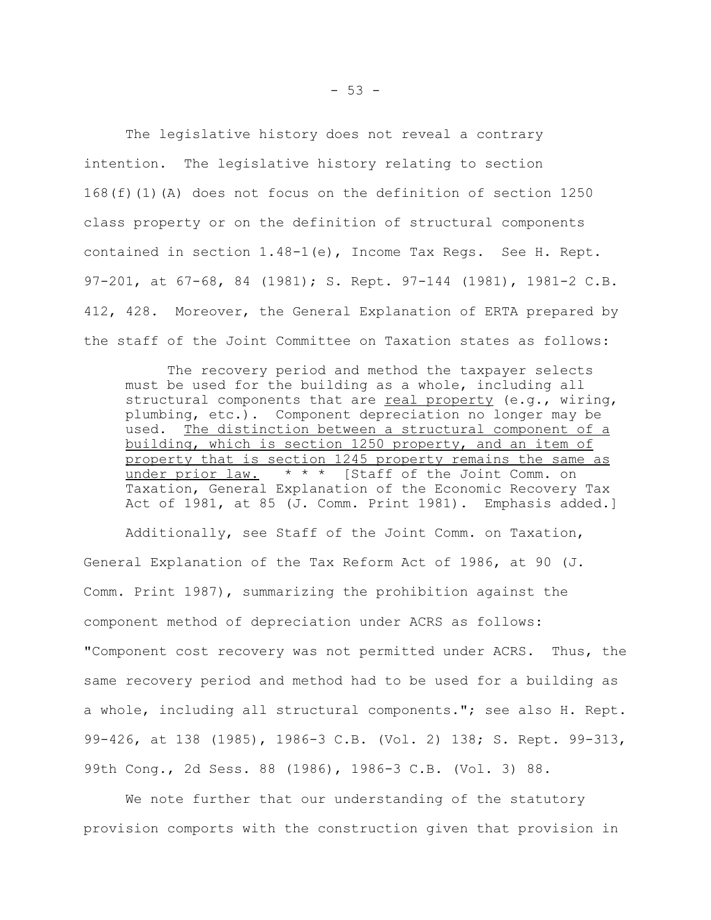The legislative history does not reveal a contrary intention. The legislative history relating to section 168(f)(1)(A) does not focus on the definition of section 1250 class property or on the definition of structural components contained in section 1.48-1(e), Income Tax Regs. See H. Rept. 97-201, at 67-68, 84 (1981); S. Rept. 97-144 (1981), 1981-2 C.B. 412, 428. Moreover, the General Explanation of ERTA prepared by the staff of the Joint Committee on Taxation states as follows:

The recovery period and method the taxpayer selects must be used for the building as a whole, including all structural components that are  $real property (e.g., wiring,$ </u> plumbing, etc.). Component depreciation no longer may be used. The distinction between a structural component of a building, which is section 1250 property, and an item of property that is section 1245 property remains the same as under prior law.  $* * *$  [Staff of the Joint Comm. on Taxation, General Explanation of the Economic Recovery Tax Act of 1981, at 85 (J. Comm. Print 1981). Emphasis added.]

Additionally, see Staff of the Joint Comm. on Taxation, General Explanation of the Tax Reform Act of 1986, at 90 (J. Comm. Print 1987), summarizing the prohibition against the component method of depreciation under ACRS as follows: "Component cost recovery was not permitted under ACRS. Thus, the same recovery period and method had to be used for a building as a whole, including all structural components."; see also H. Rept. 99-426, at 138 (1985), 1986-3 C.B. (Vol. 2) 138; S. Rept. 99-313, 99th Cong., 2d Sess. 88 (1986), 1986-3 C.B. (Vol. 3) 88.

We note further that our understanding of the statutory provision comports with the construction given that provision in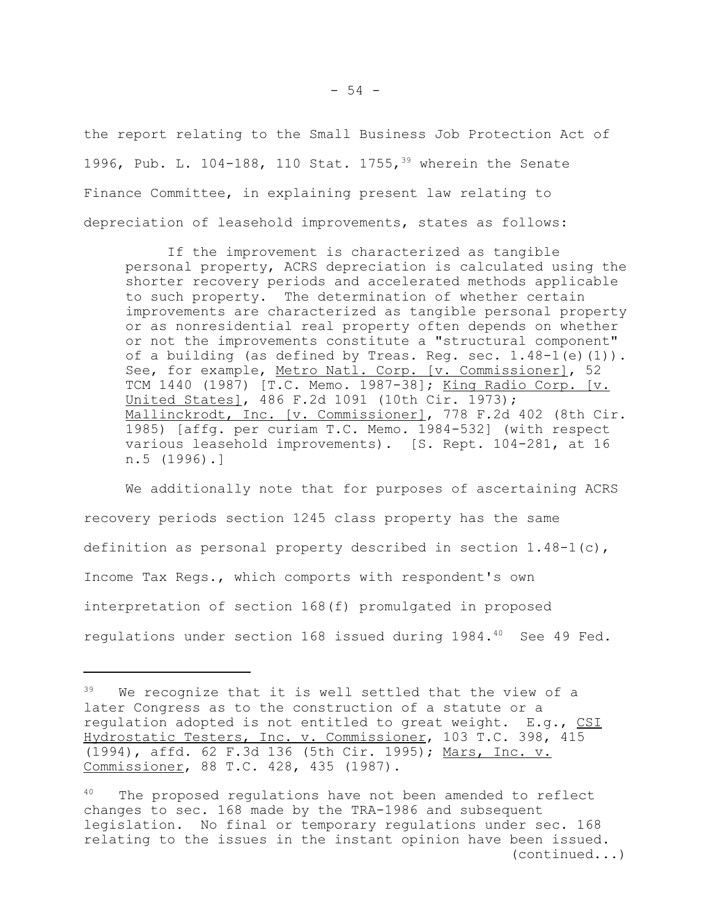the report relating to the Small Business Job Protection Act of 1996, Pub. L. 104-188, 110 Stat. 1755,<sup>39</sup> wherein the Senate Finance Committee, in explaining present law relating to depreciation of leasehold improvements, states as follows:

If the improvement is characterized as tangible personal property, ACRS depreciation is calculated using the shorter recovery periods and accelerated methods applicable to such property. The determination of whether certain improvements are characterized as tangible personal property or as nonresidential real property often depends on whether or not the improvements constitute a "structural component" of a building (as defined by Treas. Reg. sec. 1.48-1(e)(1)). See, for example, Metro Natl. Corp. [v. Commissioner], 52 TCM 1440 (1987) [T.C. Memo. 1987-38]; King Radio Corp. [v. United States], 486 F.2d 1091 (10th Cir. 1973); Mallinckrodt, Inc. [v. Commissioner], 778 F.2d 402 (8th Cir. 1985) [affg. per curiam T.C. Memo. 1984-532] (with respect various leasehold improvements). [S. Rept. 104-281, at 16 n.5 (1996).]

We additionally note that for purposes of ascertaining ACRS recovery periods section 1245 class property has the same definition as personal property described in section  $1.48-1(c)$ , Income Tax Regs., which comports with respondent's own interpretation of section 168(f) promulgated in proposed regulations under section 168 issued during 1984.<sup>40</sup> See 49 Fed.

<sup>&</sup>lt;sup>39</sup> We recognize that it is well settled that the view of a later Congress as to the construction of a statute or a regulation adopted is not entitled to great weight. E.g., CSI Hydrostatic Testers, Inc. v. Commissioner, 103 T.C. 398, 415 (1994), affd. 62 F.3d 136 (5th Cir. 1995); Mars, Inc. v. Commissioner, 88 T.C. 428, 435 (1987).

<sup>&</sup>lt;sup>40</sup> The proposed regulations have not been amended to reflect changes to sec. 168 made by the TRA-1986 and subsequent legislation. No final or temporary regulations under sec. 168 relating to the issues in the instant opinion have been issued. (continued...)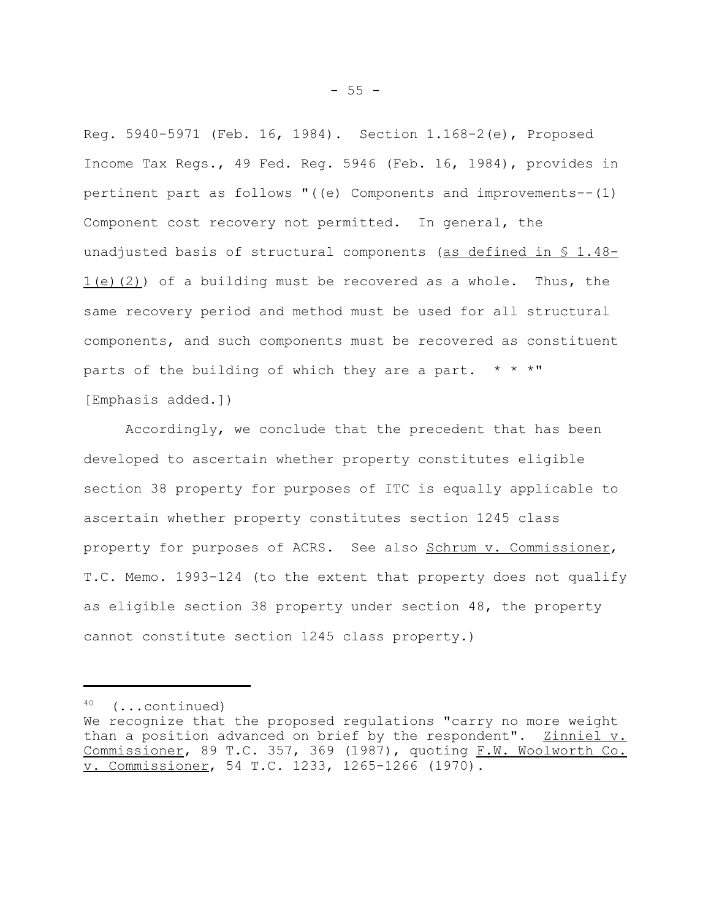Reg. 5940-5971 (Feb. 16, 1984). Section 1.168-2(e), Proposed Income Tax Regs., 49 Fed. Reg. 5946 (Feb. 16, 1984), provides in pertinent part as follows "((e) Components and improvements--(1) Component cost recovery not permitted. In general, the unadjusted basis of structural components (as defined in  $S$  1.48- $1(e)$  (2)) of a building must be recovered as a whole. Thus, the same recovery period and method must be used for all structural components, and such components must be recovered as constituent parts of the building of which they are a part.  $* * * "$ [Emphasis added.])

Accordingly, we conclude that the precedent that has been developed to ascertain whether property constitutes eligible section 38 property for purposes of ITC is equally applicable to ascertain whether property constitutes section 1245 class property for purposes of ACRS. See also Schrum v. Commissioner, T.C. Memo. 1993-124 (to the extent that property does not qualify as eligible section 38 property under section 48, the property cannot constitute section 1245 class property.)

<sup>40 (...</sup>continued)

We recognize that the proposed regulations "carry no more weight than a position advanced on brief by the respondent". Zinniel v. Commissioner, 89 T.C. 357, 369 (1987), quoting F.W. Woolworth Co. v. Commissioner, 54 T.C. 1233, 1265-1266 (1970).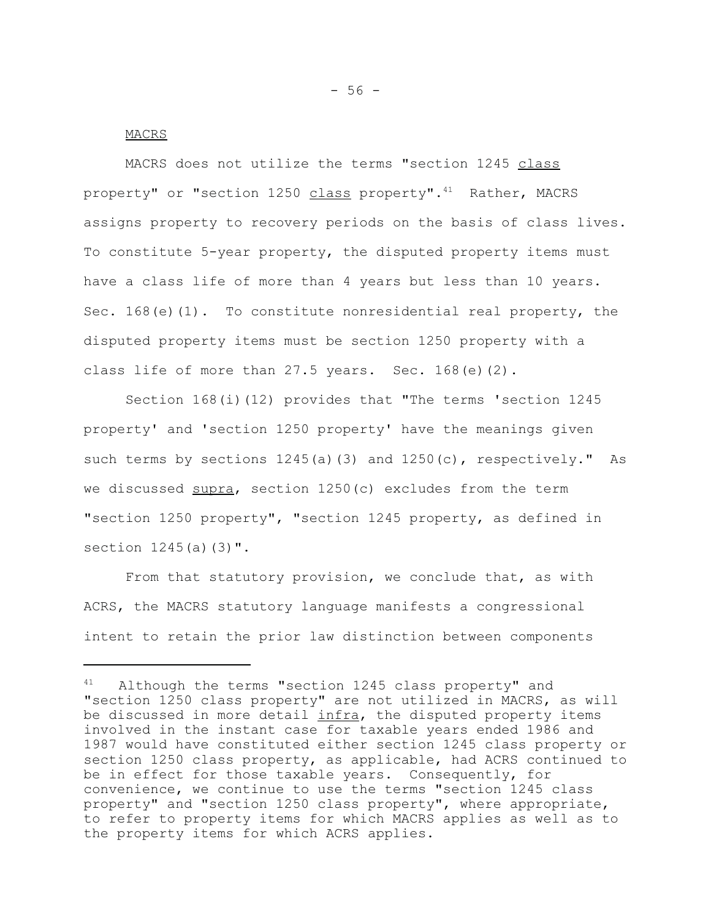## MACRS

MACRS does not utilize the terms "section 1245 class property" or "section 1250 class property". $41$  Rather, MACRS assigns property to recovery periods on the basis of class lives. To constitute 5-year property, the disputed property items must have a class life of more than 4 years but less than 10 years. Sec. 168 $(e)$ (1). To constitute nonresidential real property, the disputed property items must be section 1250 property with a class life of more than  $27.5$  years. Sec.  $168(e)(2)$ .

Section 168(i)(12) provides that "The terms 'section 1245 property' and 'section 1250 property' have the meanings given such terms by sections 1245(a)(3) and 1250(c), respectively." As we discussed supra, section 1250(c) excludes from the term "section 1250 property", "section 1245 property, as defined in section  $1245(a)(3)$ ".

From that statutory provision, we conclude that, as with ACRS, the MACRS statutory language manifests a congressional intent to retain the prior law distinction between components

Although the terms "section 1245 class property" and "section 1250 class property" are not utilized in MACRS, as will be discussed in more detail infra, the disputed property items involved in the instant case for taxable years ended 1986 and 1987 would have constituted either section 1245 class property or section 1250 class property, as applicable, had ACRS continued to be in effect for those taxable years. Consequently, for convenience, we continue to use the terms "section 1245 class property" and "section 1250 class property", where appropriate, to refer to property items for which MACRS applies as well as to the property items for which ACRS applies.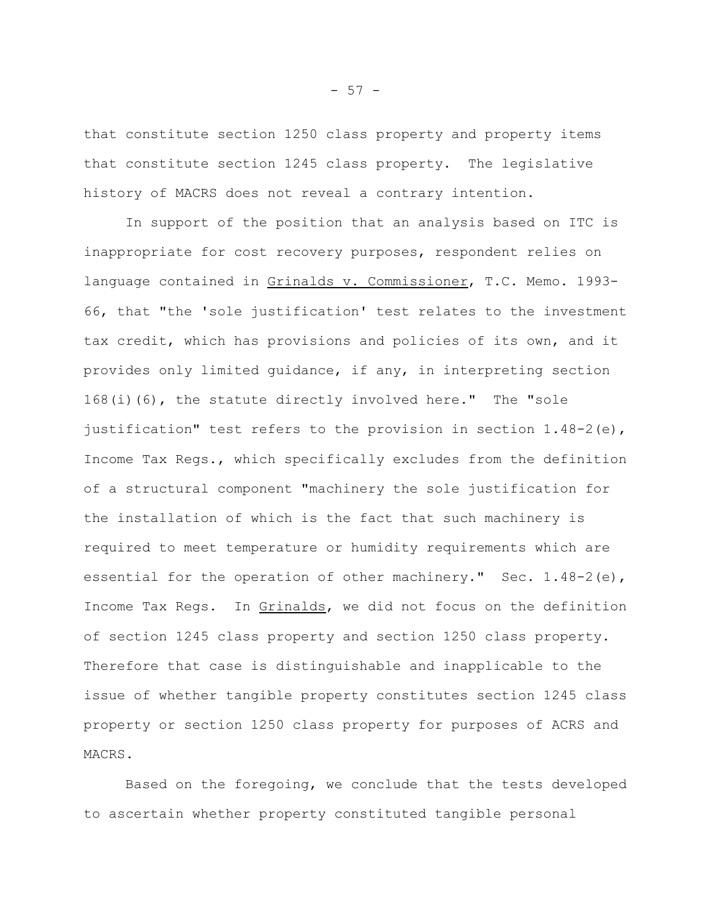that constitute section 1250 class property and property items that constitute section 1245 class property. The legislative history of MACRS does not reveal a contrary intention.

In support of the position that an analysis based on ITC is inappropriate for cost recovery purposes, respondent relies on language contained in Grinalds v. Commissioner, T.C. Memo. 1993- 66, that "the 'sole justification' test relates to the investment tax credit, which has provisions and policies of its own, and it provides only limited guidance, if any, in interpreting section 168(i)(6), the statute directly involved here." The "sole justification" test refers to the provision in section  $1.48-2$  (e), Income Tax Regs., which specifically excludes from the definition of a structural component "machinery the sole justification for the installation of which is the fact that such machinery is required to meet temperature or humidity requirements which are essential for the operation of other machinery." Sec.  $1.48-2$  (e), Income Tax Regs. In Grinalds, we did not focus on the definition of section 1245 class property and section 1250 class property. Therefore that case is distinguishable and inapplicable to the issue of whether tangible property constitutes section 1245 class property or section 1250 class property for purposes of ACRS and MACRS.

Based on the foregoing, we conclude that the tests developed to ascertain whether property constituted tangible personal

- 57 -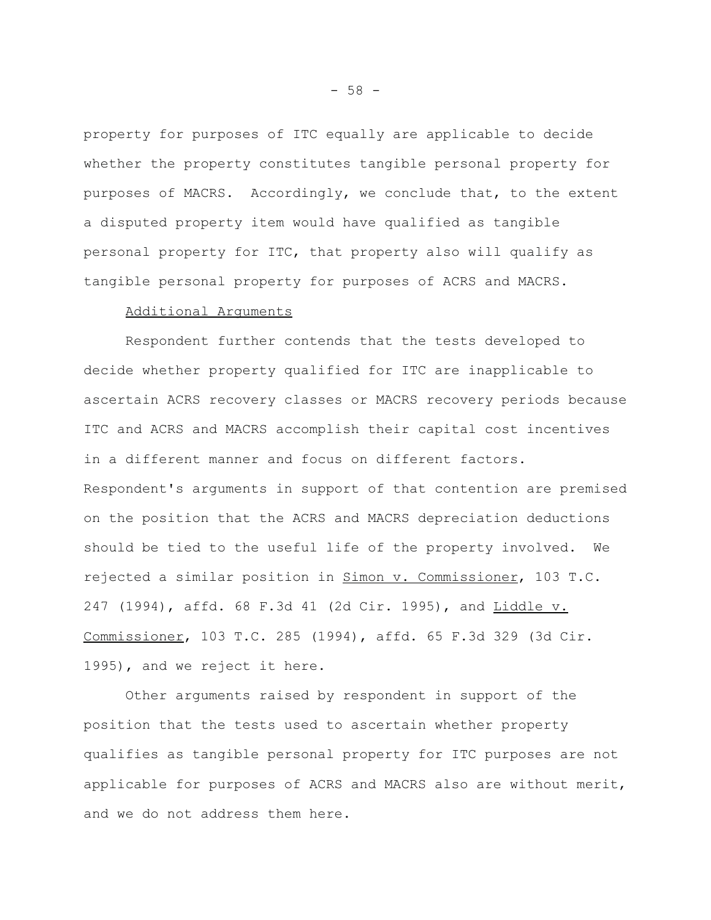property for purposes of ITC equally are applicable to decide whether the property constitutes tangible personal property for purposes of MACRS. Accordingly, we conclude that, to the extent a disputed property item would have qualified as tangible personal property for ITC, that property also will qualify as tangible personal property for purposes of ACRS and MACRS.

#### Additional Arguments

Respondent further contends that the tests developed to decide whether property qualified for ITC are inapplicable to ascertain ACRS recovery classes or MACRS recovery periods because ITC and ACRS and MACRS accomplish their capital cost incentives in a different manner and focus on different factors. Respondent's arguments in support of that contention are premised on the position that the ACRS and MACRS depreciation deductions should be tied to the useful life of the property involved. We rejected a similar position in Simon v. Commissioner, 103 T.C. 247 (1994), affd. 68 F.3d 41 (2d Cir. 1995), and Liddle v. Commissioner, 103 T.C. 285 (1994), affd. 65 F.3d 329 (3d Cir. 1995), and we reject it here.

Other arguments raised by respondent in support of the position that the tests used to ascertain whether property qualifies as tangible personal property for ITC purposes are not applicable for purposes of ACRS and MACRS also are without merit, and we do not address them here.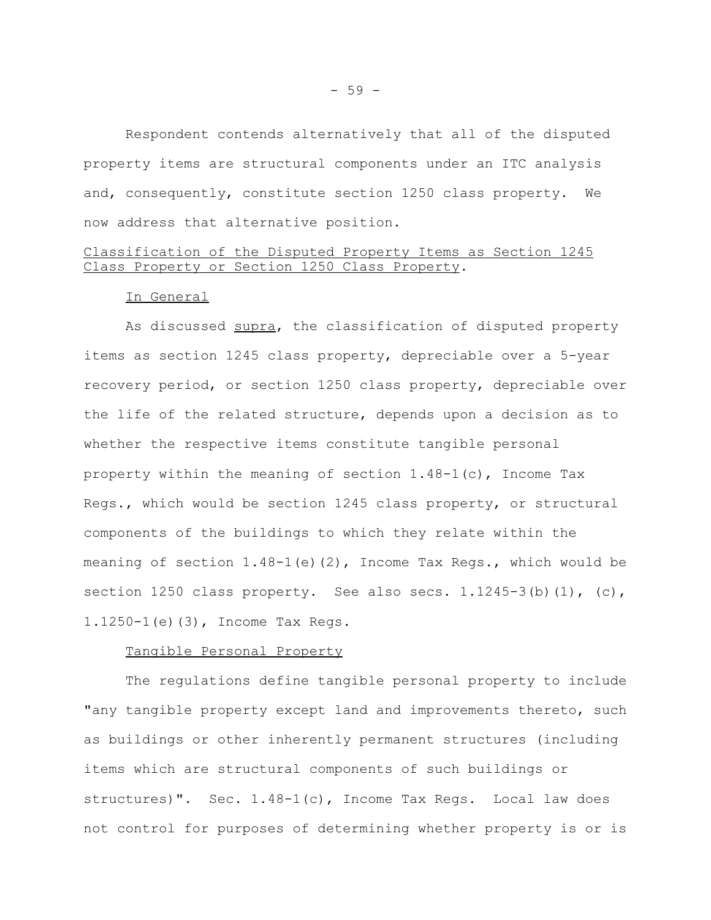Respondent contends alternatively that all of the disputed property items are structural components under an ITC analysis and, consequently, constitute section 1250 class property. We now address that alternative position.

# Classification of the Disputed Property Items as Section 1245 Class Property or Section 1250 Class Property.

### In General

As discussed supra, the classification of disputed property items as section 1245 class property, depreciable over a 5-year recovery period, or section 1250 class property, depreciable over the life of the related structure, depends upon a decision as to whether the respective items constitute tangible personal property within the meaning of section 1.48-1(c), Income Tax Regs., which would be section 1245 class property, or structural components of the buildings to which they relate within the meaning of section 1.48-1(e)(2), Income Tax Regs., which would be section 1250 class property. See also secs.  $1.1245-3(b)(1)$ , (c), 1.1250-1(e)(3), Income Tax Regs.

#### Tangible Personal Property

The regulations define tangible personal property to include "any tangible property except land and improvements thereto, such as buildings or other inherently permanent structures (including items which are structural components of such buildings or structures)". Sec. 1.48-1(c), Income Tax Regs. Local law does not control for purposes of determining whether property is or is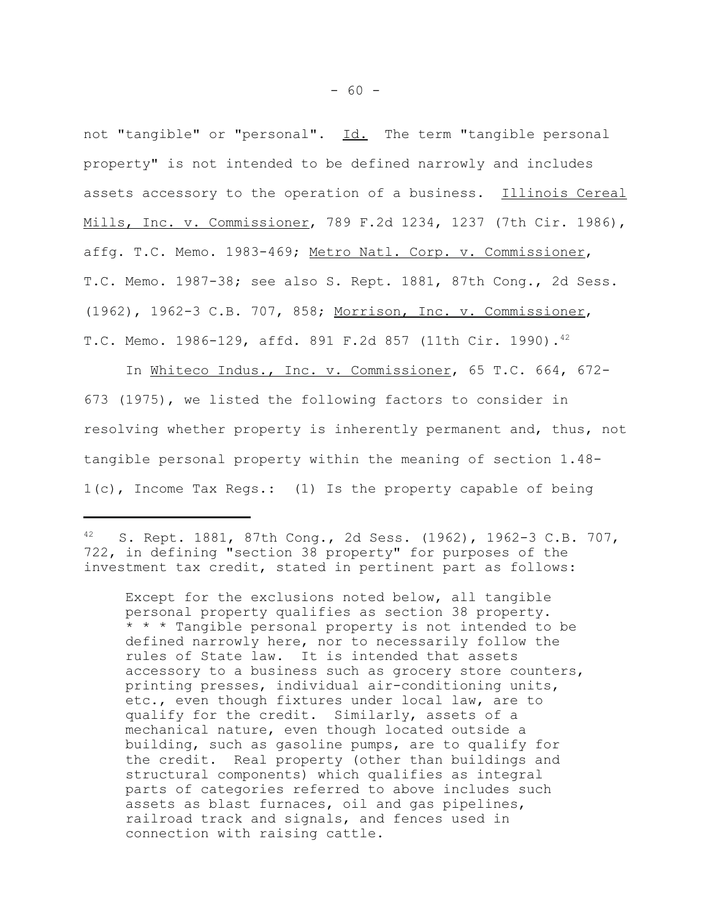not "tangible" or "personal". Id. The term "tangible personal property" is not intended to be defined narrowly and includes assets accessory to the operation of a business. Illinois Cereal Mills, Inc. v. Commissioner, 789 F.2d 1234, 1237 (7th Cir. 1986), affg. T.C. Memo. 1983-469; Metro Natl. Corp. v. Commissioner, T.C. Memo. 1987-38; see also S. Rept. 1881, 87th Cong., 2d Sess. (1962), 1962-3 C.B. 707, 858; Morrison, Inc. v. Commissioner, T.C. Memo. 1986-129, affd. 891 F.2d 857 (11th Cir. 1990).42

In Whiteco Indus., Inc. v. Commissioner, 65 T.C. 664, 672- 673 (1975), we listed the following factors to consider in resolving whether property is inherently permanent and, thus, not tangible personal property within the meaning of section 1.48- 1(c), Income Tax Regs.: (1) Is the property capable of being

42 S. Rept. 1881, 87th Cong., 2d Sess. (1962), 1962-3 C.B. 707, 722, in defining "section 38 property" for purposes of the investment tax credit, stated in pertinent part as follows:

Except for the exclusions noted below, all tangible personal property qualifies as section 38 property. \* \* \* Tangible personal property is not intended to be defined narrowly here, nor to necessarily follow the rules of State law. It is intended that assets accessory to a business such as grocery store counters, printing presses, individual air-conditioning units, etc., even though fixtures under local law, are to qualify for the credit. Similarly, assets of a mechanical nature, even though located outside a building, such as gasoline pumps, are to qualify for the credit. Real property (other than buildings and structural components) which qualifies as integral parts of categories referred to above includes such assets as blast furnaces, oil and gas pipelines, railroad track and signals, and fences used in connection with raising cattle.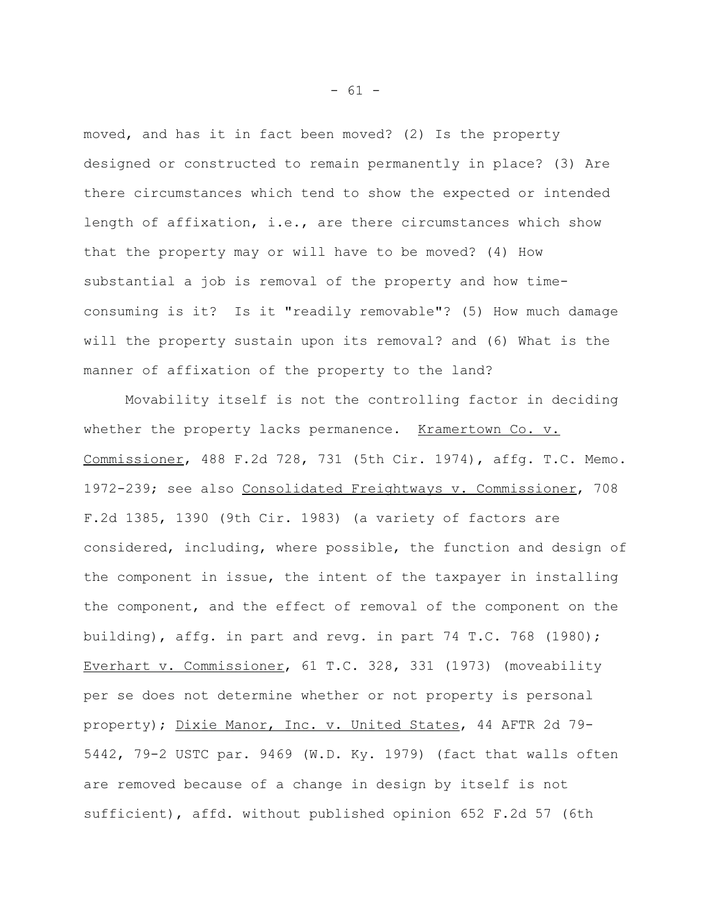moved, and has it in fact been moved? (2) Is the property designed or constructed to remain permanently in place? (3) Are there circumstances which tend to show the expected or intended length of affixation, i.e., are there circumstances which show that the property may or will have to be moved? (4) How substantial a job is removal of the property and how timeconsuming is it? Is it "readily removable"? (5) How much damage will the property sustain upon its removal? and (6) What is the manner of affixation of the property to the land?

Movability itself is not the controlling factor in deciding whether the property lacks permanence. Kramertown Co. v. Commissioner, 488 F.2d 728, 731 (5th Cir. 1974), affg. T.C. Memo. 1972-239; see also Consolidated Freightways v. Commissioner, 708 F.2d 1385, 1390 (9th Cir. 1983) (a variety of factors are considered, including, where possible, the function and design of the component in issue, the intent of the taxpayer in installing the component, and the effect of removal of the component on the building), affg. in part and revg. in part 74 T.C. 768 (1980); Everhart v. Commissioner, 61 T.C. 328, 331 (1973) (moveability per se does not determine whether or not property is personal property); Dixie Manor, Inc. v. United States, 44 AFTR 2d 79- 5442, 79-2 USTC par. 9469 (W.D. Ky. 1979) (fact that walls often are removed because of a change in design by itself is not sufficient), affd. without published opinion 652 F.2d 57 (6th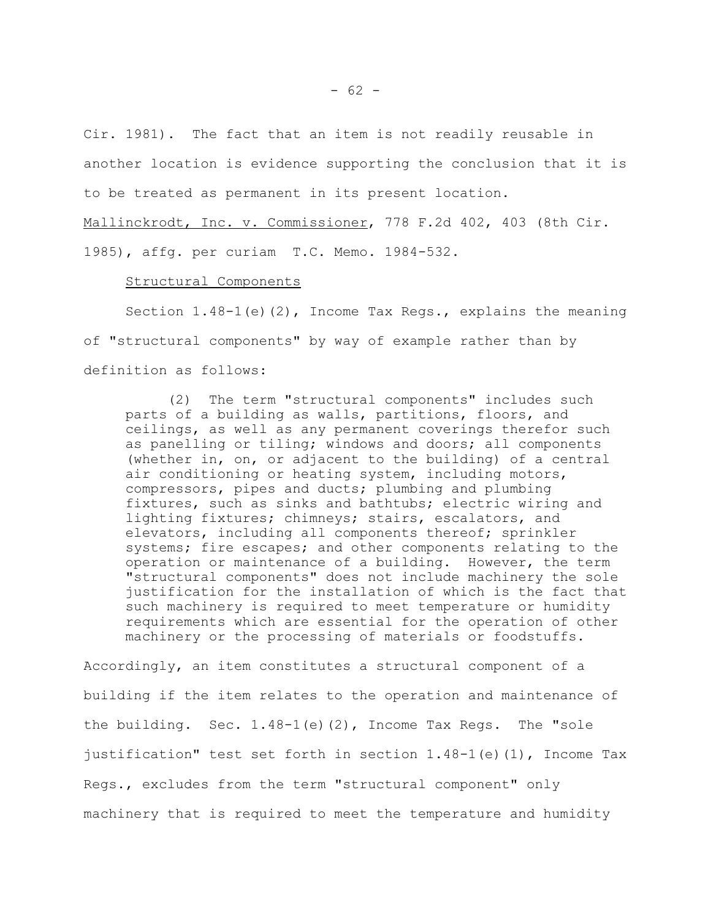Cir. 1981). The fact that an item is not readily reusable in another location is evidence supporting the conclusion that it is to be treated as permanent in its present location. Mallinckrodt, Inc. v. Commissioner, 778 F.2d 402, 403 (8th Cir.

1985), affg. per curiam T.C. Memo. 1984-532.

### Structural Components

Section 1.48-1(e)(2), Income Tax Regs., explains the meaning of "structural components" by way of example rather than by definition as follows:

(2) The term "structural components" includes such parts of a building as walls, partitions, floors, and ceilings, as well as any permanent coverings therefor such as panelling or tiling; windows and doors; all components (whether in, on, or adjacent to the building) of a central air conditioning or heating system, including motors, compressors, pipes and ducts; plumbing and plumbing fixtures, such as sinks and bathtubs; electric wiring and lighting fixtures; chimneys; stairs, escalators, and elevators, including all components thereof; sprinkler systems; fire escapes; and other components relating to the operation or maintenance of a building. However, the term "structural components" does not include machinery the sole justification for the installation of which is the fact that such machinery is required to meet temperature or humidity requirements which are essential for the operation of other machinery or the processing of materials or foodstuffs.

Accordingly, an item constitutes a structural component of a building if the item relates to the operation and maintenance of the building. Sec. 1.48-1(e)(2), Income Tax Regs. The "sole justification" test set forth in section 1.48-1(e)(1), Income Tax Regs., excludes from the term "structural component" only machinery that is required to meet the temperature and humidity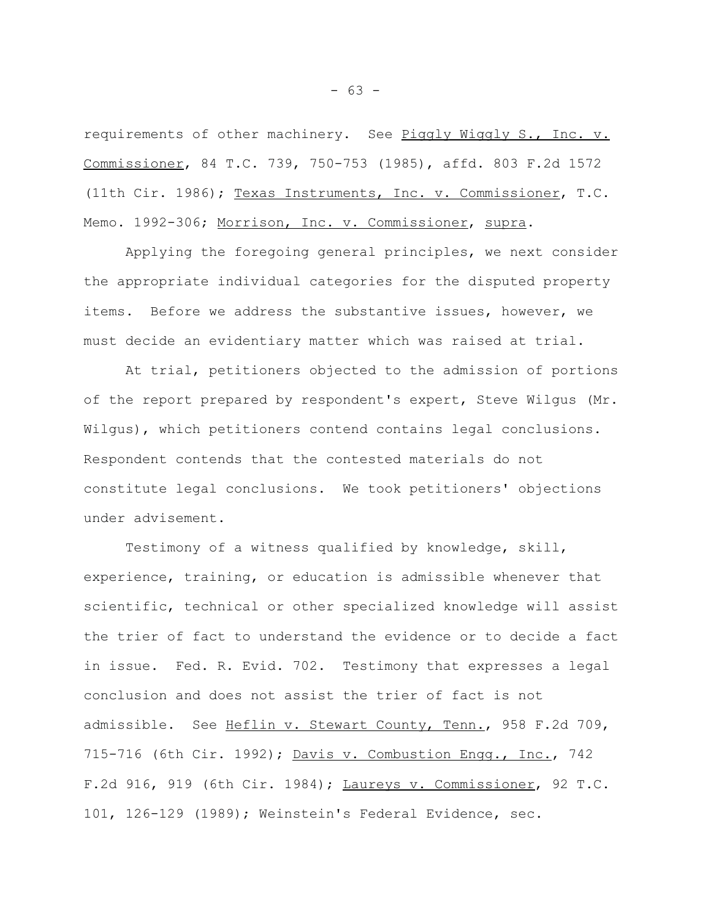requirements of other machinery. See Piggly Wiggly S., Inc. v. Commissioner, 84 T.C. 739, 750-753 (1985), affd. 803 F.2d 1572 (11th Cir. 1986); Texas Instruments, Inc. v. Commissioner, T.C. Memo. 1992-306; Morrison, Inc. v. Commissioner, supra.

Applying the foregoing general principles, we next consider the appropriate individual categories for the disputed property items. Before we address the substantive issues, however, we must decide an evidentiary matter which was raised at trial.

At trial, petitioners objected to the admission of portions of the report prepared by respondent's expert, Steve Wilgus (Mr. Wilgus), which petitioners contend contains legal conclusions. Respondent contends that the contested materials do not constitute legal conclusions. We took petitioners' objections under advisement.

Testimony of a witness qualified by knowledge, skill, experience, training, or education is admissible whenever that scientific, technical or other specialized knowledge will assist the trier of fact to understand the evidence or to decide a fact in issue. Fed. R. Evid. 702. Testimony that expresses a legal conclusion and does not assist the trier of fact is not admissible. See Heflin v. Stewart County, Tenn., 958 F.2d 709, 715-716 (6th Cir. 1992); Davis v. Combustion Engg., Inc., 742 F.2d 916, 919 (6th Cir. 1984); Laureys v. Commissioner, 92 T.C. 101, 126-129 (1989); Weinstein's Federal Evidence, sec.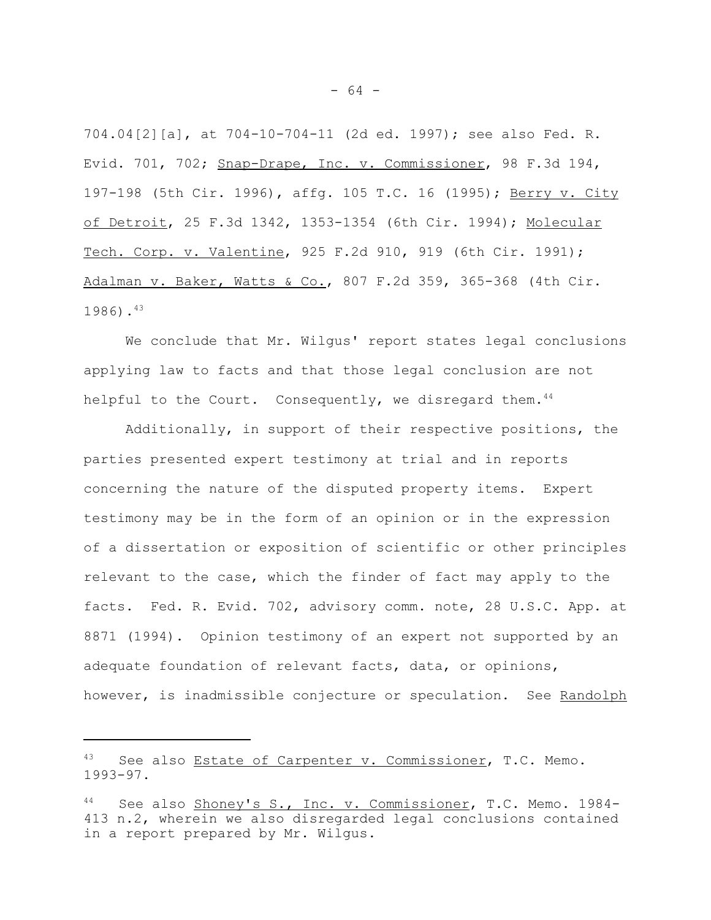704.04[2][a], at 704-10-704-11 (2d ed. 1997); see also Fed. R. Evid. 701, 702; Snap-Drape, Inc. v. Commissioner, 98 F.3d 194, 197-198 (5th Cir. 1996), affg. 105 T.C. 16 (1995); Berry v. City of Detroit, 25 F.3d 1342, 1353-1354 (6th Cir. 1994); Molecular Tech. Corp. v. Valentine, 925 F.2d 910, 919 (6th Cir. 1991); Adalman v. Baker, Watts & Co., 807 F.2d 359, 365-368 (4th Cir. 1986).43

We conclude that Mr. Wilgus' report states legal conclusions applying law to facts and that those legal conclusion are not helpful to the Court. Consequently, we disregard them.<sup>44</sup>

Additionally, in support of their respective positions, the parties presented expert testimony at trial and in reports concerning the nature of the disputed property items. Expert testimony may be in the form of an opinion or in the expression of a dissertation or exposition of scientific or other principles relevant to the case, which the finder of fact may apply to the facts. Fed. R. Evid. 702, advisory comm. note, 28 U.S.C. App. at 8871 (1994). Opinion testimony of an expert not supported by an adequate foundation of relevant facts, data, or opinions, however, is inadmissible conjecture or speculation. See Randolph

<sup>43</sup> See also Estate of Carpenter v. Commissioner, T.C. Memo. 1993-97.

<sup>44</sup> See also Shoney's S., Inc. v. Commissioner, T.C. Memo. 1984-413 n.2, wherein we also disregarded legal conclusions contained in a report prepared by Mr. Wilgus.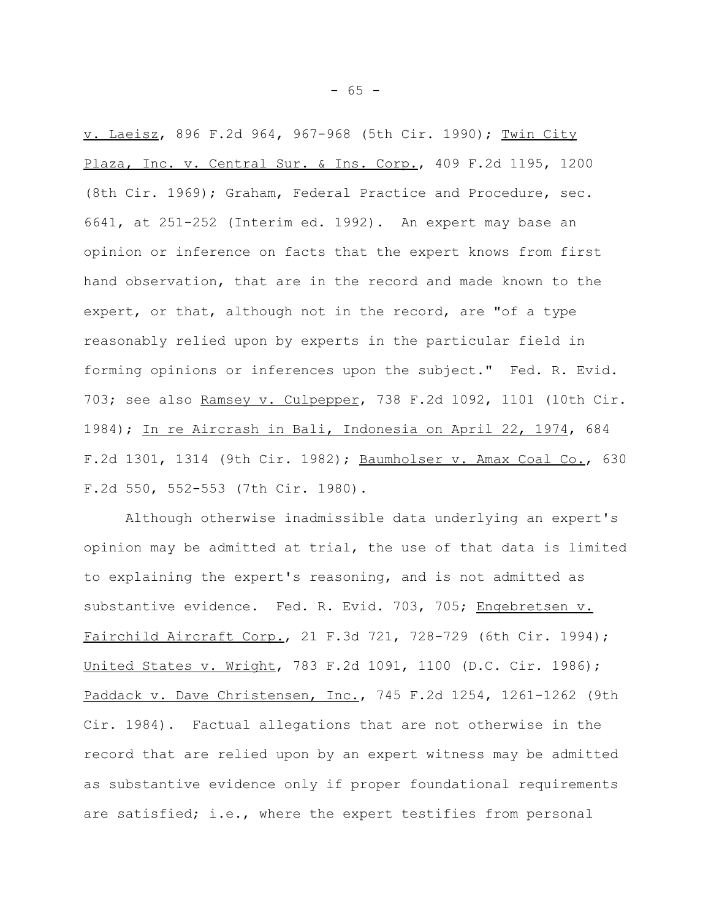v. Laeisz, 896 F.2d 964, 967-968 (5th Cir. 1990); Twin City Plaza, Inc. v. Central Sur. & Ins. Corp., 409 F.2d 1195, 1200 (8th Cir. 1969); Graham, Federal Practice and Procedure, sec. 6641, at 251-252 (Interim ed. 1992). An expert may base an opinion or inference on facts that the expert knows from first hand observation, that are in the record and made known to the expert, or that, although not in the record, are "of a type reasonably relied upon by experts in the particular field in forming opinions or inferences upon the subject." Fed. R. Evid. 703; see also Ramsey v. Culpepper, 738 F.2d 1092, 1101 (10th Cir. 1984); In re Aircrash in Bali, Indonesia on April 22, 1974, 684 F.2d 1301, 1314 (9th Cir. 1982); Baumholser v. Amax Coal Co., 630 F.2d 550, 552-553 (7th Cir. 1980).

Although otherwise inadmissible data underlying an expert's opinion may be admitted at trial, the use of that data is limited to explaining the expert's reasoning, and is not admitted as substantive evidence. Fed. R. Evid. 703, 705; Engebretsen v. Fairchild Aircraft Corp., 21 F.3d 721, 728-729 (6th Cir. 1994); United States v. Wright, 783 F.2d 1091, 1100 (D.C. Cir. 1986); Paddack v. Dave Christensen, Inc., 745 F.2d 1254, 1261-1262 (9th Cir. 1984). Factual allegations that are not otherwise in the record that are relied upon by an expert witness may be admitted as substantive evidence only if proper foundational requirements are satisfied; i.e., where the expert testifies from personal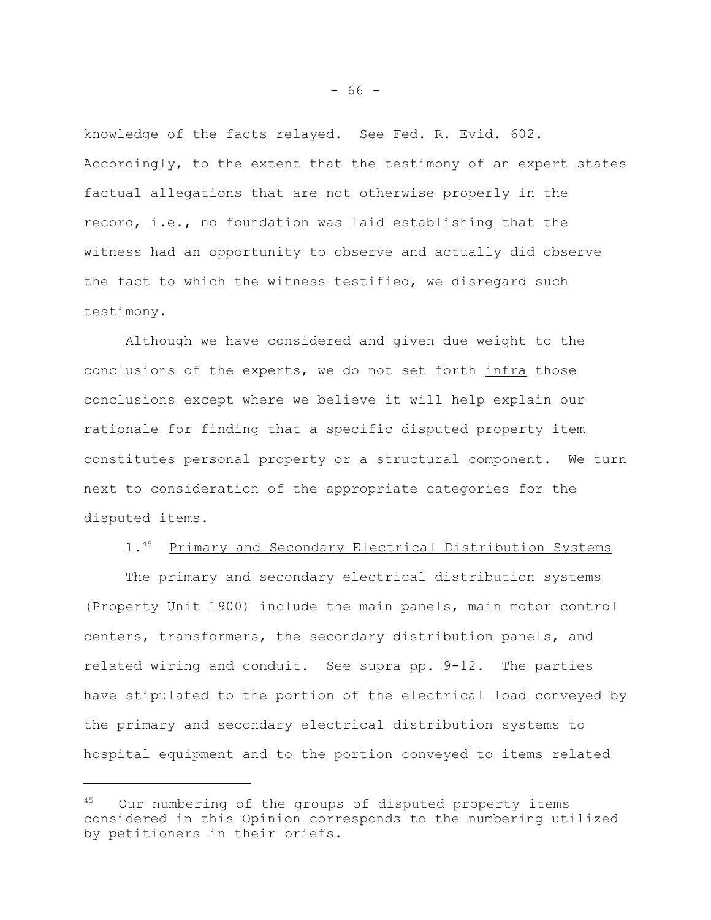knowledge of the facts relayed. See Fed. R. Evid. 602. Accordingly, to the extent that the testimony of an expert states factual allegations that are not otherwise properly in the record, i.e., no foundation was laid establishing that the witness had an opportunity to observe and actually did observe the fact to which the witness testified, we disregard such testimony.

Although we have considered and given due weight to the conclusions of the experts, we do not set forth infra those conclusions except where we believe it will help explain our rationale for finding that a specific disputed property item constitutes personal property or a structural component. We turn next to consideration of the appropriate categories for the disputed items.

## 1.45 Primary and Secondary Electrical Distribution Systems

The primary and secondary electrical distribution systems (Property Unit 1900) include the main panels, main motor control centers, transformers, the secondary distribution panels, and related wiring and conduit. See supra pp. 9-12. The parties have stipulated to the portion of the electrical load conveyed by the primary and secondary electrical distribution systems to hospital equipment and to the portion conveyed to items related

Our numbering of the groups of disputed property items considered in this Opinion corresponds to the numbering utilized by petitioners in their briefs.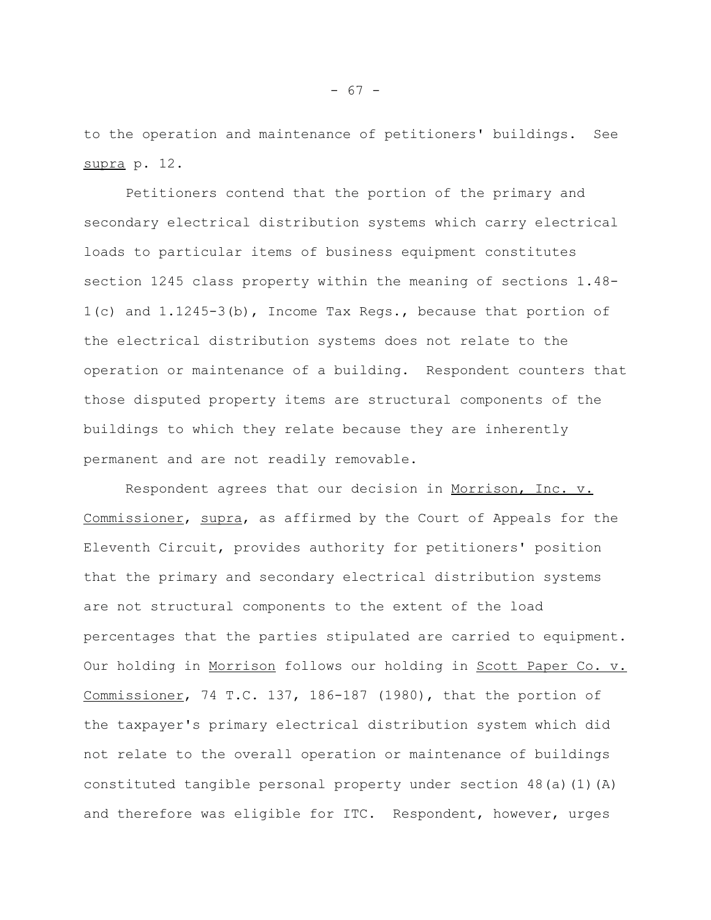to the operation and maintenance of petitioners' buildings. See supra p. 12.

Petitioners contend that the portion of the primary and secondary electrical distribution systems which carry electrical loads to particular items of business equipment constitutes section 1245 class property within the meaning of sections 1.48- 1(c) and 1.1245-3(b), Income Tax Regs., because that portion of the electrical distribution systems does not relate to the operation or maintenance of a building. Respondent counters that those disputed property items are structural components of the buildings to which they relate because they are inherently permanent and are not readily removable.

Respondent agrees that our decision in Morrison, Inc. v. Commissioner, supra, as affirmed by the Court of Appeals for the Eleventh Circuit, provides authority for petitioners' position that the primary and secondary electrical distribution systems are not structural components to the extent of the load percentages that the parties stipulated are carried to equipment. Our holding in Morrison follows our holding in Scott Paper Co. v. Commissioner, 74 T.C. 137, 186-187 (1980), that the portion of the taxpayer's primary electrical distribution system which did not relate to the overall operation or maintenance of buildings constituted tangible personal property under section 48(a)(1)(A) and therefore was eligible for ITC. Respondent, however, urges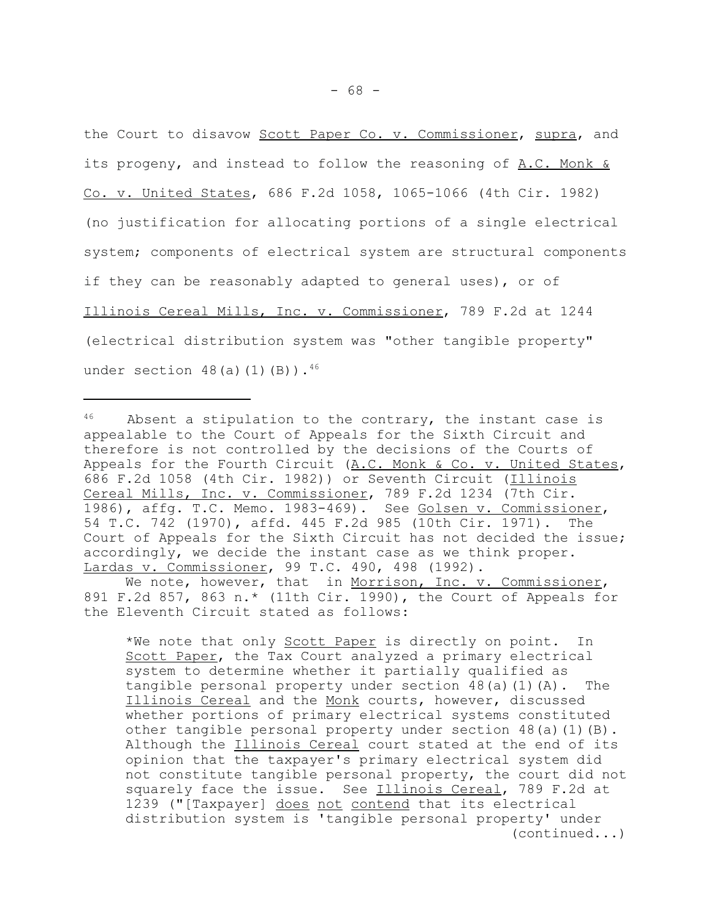the Court to disavow Scott Paper Co. v. Commissioner, supra, and its progeny, and instead to follow the reasoning of A.C. Monk & Co. v. United States, 686 F.2d 1058, 1065-1066 (4th Cir. 1982) (no justification for allocating portions of a single electrical system; components of electrical system are structural components if they can be reasonably adapted to general uses), or of Illinois Cereal Mills, Inc. v. Commissioner, 789 F.2d at 1244 (electrical distribution system was "other tangible property" under section  $48(a)(1)(B)$ .  $46$ 

 $46$  Absent a stipulation to the contrary, the instant case is appealable to the Court of Appeals for the Sixth Circuit and therefore is not controlled by the decisions of the Courts of Appeals for the Fourth Circuit (A.C. Monk & Co. v. United States, 686 F.2d 1058 (4th Cir. 1982)) or Seventh Circuit (Illinois Cereal Mills, Inc. v. Commissioner, 789 F.2d 1234 (7th Cir. 1986), affg. T.C. Memo. 1983-469). See Golsen v. Commissioner, 54 T.C. 742 (1970), affd. 445 F.2d 985 (10th Cir. 1971). The Court of Appeals for the Sixth Circuit has not decided the issue; accordingly, we decide the instant case as we think proper. Lardas v. Commissioner, 99 T.C. 490, 498 (1992).

We note, however, that in Morrison, Inc. v. Commissioner, 891 F.2d 857, 863 n.\* (11th Cir. 1990), the Court of Appeals for the Eleventh Circuit stated as follows:

\*We note that only **Scott Paper** is directly on point. In Scott Paper, the Tax Court analyzed a primary electrical system to determine whether it partially qualified as tangible personal property under section 48(a)(1)(A). The Illinois Cereal and the Monk courts, however, discussed whether portions of primary electrical systems constituted other tangible personal property under section 48(a)(1)(B). Although the Illinois Cereal court stated at the end of its opinion that the taxpayer's primary electrical system did not constitute tangible personal property, the court did not squarely face the issue. See Illinois Cereal, 789 F.2d at 1239 ("[Taxpayer] does not contend that its electrical distribution system is 'tangible personal property' under (continued...)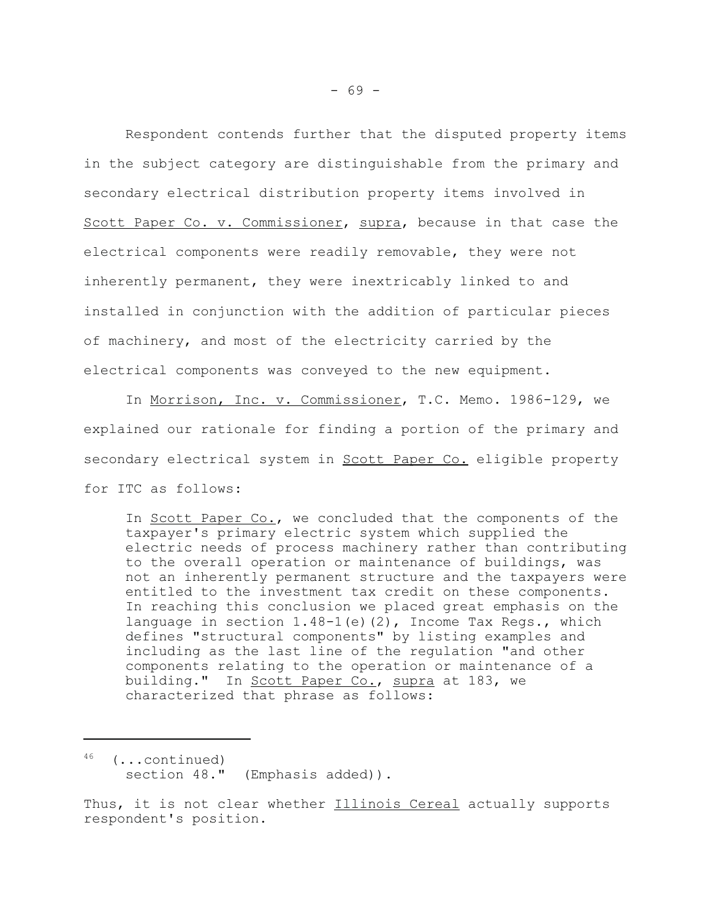Respondent contends further that the disputed property items in the subject category are distinguishable from the primary and secondary electrical distribution property items involved in Scott Paper Co. v. Commissioner, supra, because in that case the electrical components were readily removable, they were not inherently permanent, they were inextricably linked to and installed in conjunction with the addition of particular pieces of machinery, and most of the electricity carried by the electrical components was conveyed to the new equipment.

In Morrison, Inc. v. Commissioner, T.C. Memo. 1986-129, we explained our rationale for finding a portion of the primary and secondary electrical system in Scott Paper Co. eligible property for ITC as follows:

In Scott Paper Co., we concluded that the components of the taxpayer's primary electric system which supplied the electric needs of process machinery rather than contributing to the overall operation or maintenance of buildings, was not an inherently permanent structure and the taxpayers were entitled to the investment tax credit on these components. In reaching this conclusion we placed great emphasis on the language in section  $1.48-1$  (e)(2), Income Tax Regs., which defines "structural components" by listing examples and including as the last line of the regulation "and other components relating to the operation or maintenance of a building." In Scott Paper Co., supra at 183, we characterized that phrase as follows:

46 (...continued) section 48." (Emphasis added)).

Thus, it is not clear whether Illinois Cereal actually supports respondent's position.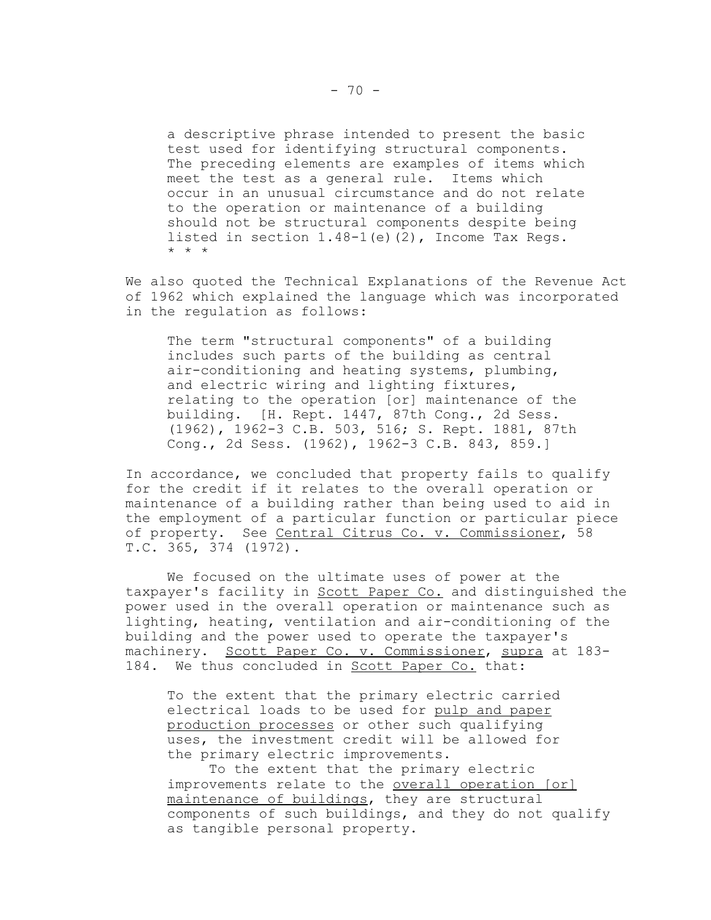a descriptive phrase intended to present the basic test used for identifying structural components. The preceding elements are examples of items which meet the test as a general rule. Items which occur in an unusual circumstance and do not relate to the operation or maintenance of a building should not be structural components despite being listed in section 1.48-1(e)(2), Income Tax Regs. \* \* \*

We also quoted the Technical Explanations of the Revenue Act of 1962 which explained the language which was incorporated in the regulation as follows:

The term "structural components" of a building includes such parts of the building as central air-conditioning and heating systems, plumbing, and electric wiring and lighting fixtures, relating to the operation [or] maintenance of the building. [H. Rept. 1447, 87th Cong., 2d Sess. (1962), 1962-3 C.B. 503, 516; S. Rept. 1881, 87th Cong., 2d Sess. (1962), 1962-3 C.B. 843, 859.]

In accordance, we concluded that property fails to qualify for the credit if it relates to the overall operation or maintenance of a building rather than being used to aid in the employment of a particular function or particular piece of property. See Central Citrus Co. v. Commissioner, 58 T.C. 365, 374 (1972).

We focused on the ultimate uses of power at the taxpayer's facility in Scott Paper Co. and distinguished the power used in the overall operation or maintenance such as lighting, heating, ventilation and air-conditioning of the building and the power used to operate the taxpayer's machinery. Scott Paper Co. v. Commissioner, supra at 183-184. We thus concluded in Scott Paper Co. that:

To the extent that the primary electric carried electrical loads to be used for pulp and paper production processes or other such qualifying uses, the investment credit will be allowed for the primary electric improvements.

To the extent that the primary electric improvements relate to the overall operation [or] maintenance of buildings, they are structural components of such buildings, and they do not qualify as tangible personal property.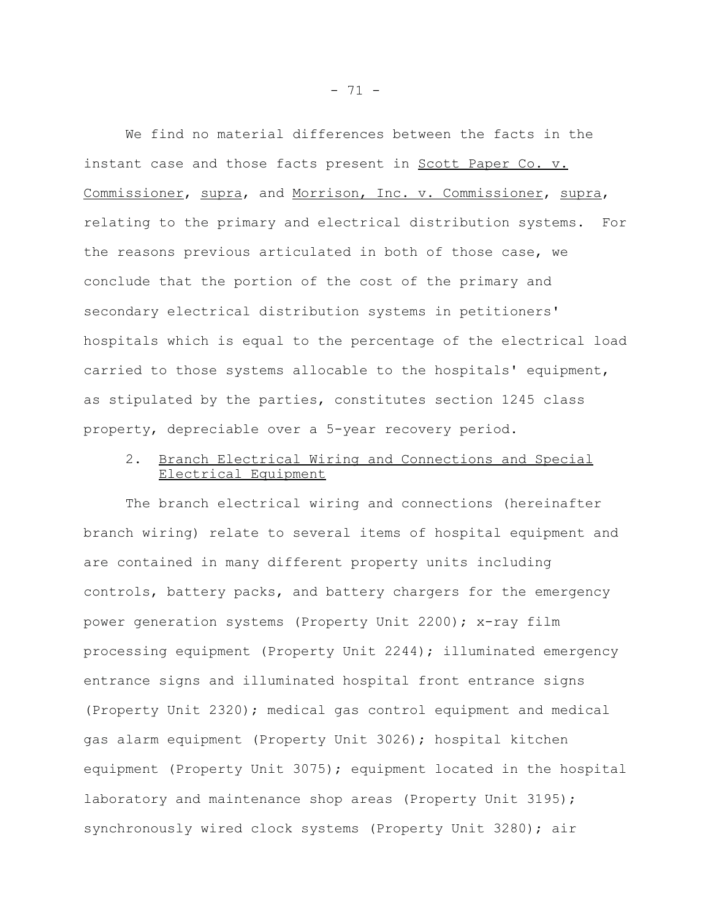We find no material differences between the facts in the instant case and those facts present in Scott Paper Co. v. Commissioner, supra, and Morrison, Inc. v. Commissioner, supra, relating to the primary and electrical distribution systems. For the reasons previous articulated in both of those case, we conclude that the portion of the cost of the primary and secondary electrical distribution systems in petitioners' hospitals which is equal to the percentage of the electrical load carried to those systems allocable to the hospitals' equipment, as stipulated by the parties, constitutes section 1245 class property, depreciable over a 5-year recovery period.

# 2. Branch Electrical Wiring and Connections and Special Electrical Equipment

The branch electrical wiring and connections (hereinafter branch wiring) relate to several items of hospital equipment and are contained in many different property units including controls, battery packs, and battery chargers for the emergency power generation systems (Property Unit 2200); x-ray film processing equipment (Property Unit 2244); illuminated emergency entrance signs and illuminated hospital front entrance signs (Property Unit 2320); medical gas control equipment and medical gas alarm equipment (Property Unit 3026); hospital kitchen equipment (Property Unit 3075); equipment located in the hospital laboratory and maintenance shop areas (Property Unit 3195); synchronously wired clock systems (Property Unit 3280); air

- 71 -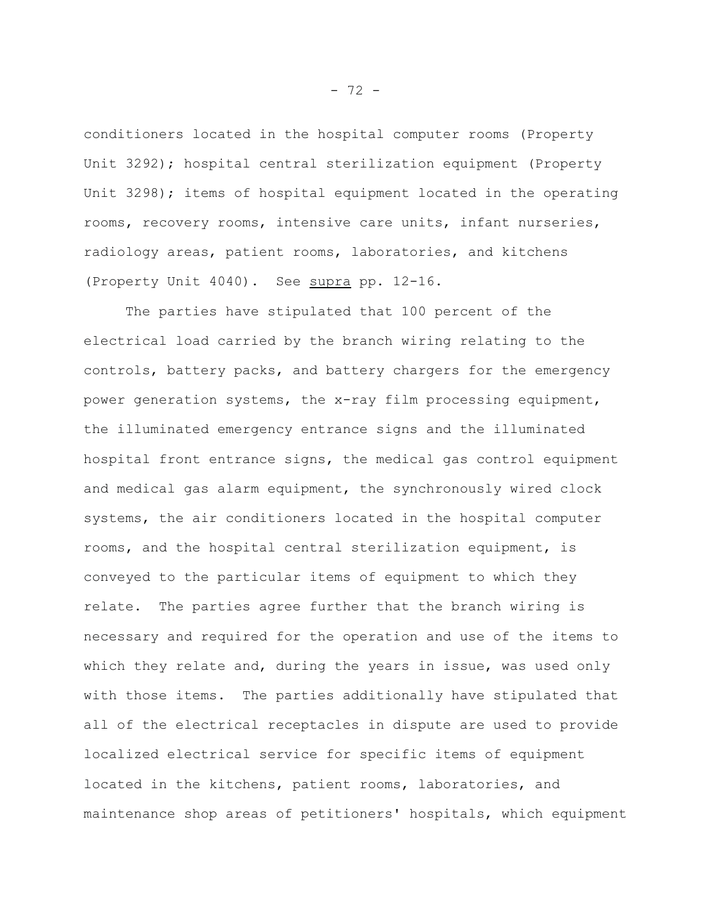conditioners located in the hospital computer rooms (Property Unit 3292); hospital central sterilization equipment (Property Unit 3298); items of hospital equipment located in the operating rooms, recovery rooms, intensive care units, infant nurseries, radiology areas, patient rooms, laboratories, and kitchens (Property Unit 4040). See supra pp. 12-16.

The parties have stipulated that 100 percent of the electrical load carried by the branch wiring relating to the controls, battery packs, and battery chargers for the emergency power generation systems, the x-ray film processing equipment, the illuminated emergency entrance signs and the illuminated hospital front entrance signs, the medical gas control equipment and medical gas alarm equipment, the synchronously wired clock systems, the air conditioners located in the hospital computer rooms, and the hospital central sterilization equipment, is conveyed to the particular items of equipment to which they relate. The parties agree further that the branch wiring is necessary and required for the operation and use of the items to which they relate and, during the years in issue, was used only with those items. The parties additionally have stipulated that all of the electrical receptacles in dispute are used to provide localized electrical service for specific items of equipment located in the kitchens, patient rooms, laboratories, and maintenance shop areas of petitioners' hospitals, which equipment

- 72 -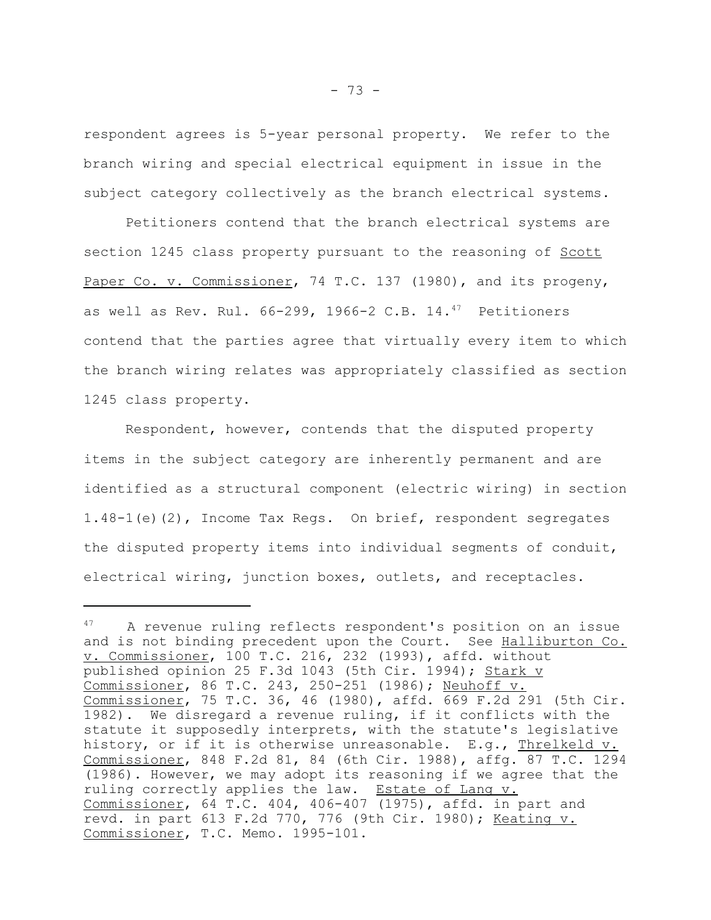respondent agrees is 5-year personal property. We refer to the branch wiring and special electrical equipment in issue in the subject category collectively as the branch electrical systems.

Petitioners contend that the branch electrical systems are section 1245 class property pursuant to the reasoning of Scott Paper Co. v. Commissioner, 74 T.C. 137 (1980), and its progeny, as well as Rev. Rul. 66-299, 1966-2 C.B. 14.<sup>47</sup> Petitioners contend that the parties agree that virtually every item to which the branch wiring relates was appropriately classified as section 1245 class property.

Respondent, however, contends that the disputed property items in the subject category are inherently permanent and are identified as a structural component (electric wiring) in section 1.48-1(e)(2), Income Tax Regs. On brief, respondent segregates the disputed property items into individual segments of conduit, electrical wiring, junction boxes, outlets, and receptacles.

<sup>47</sup> A revenue ruling reflects respondent's position on an issue and is not binding precedent upon the Court. See Halliburton Co. v. Commissioner, 100 T.C. 216, 232 (1993), affd. without published opinion 25 F.3d 1043 (5th Cir. 1994); Stark v Commissioner, 86 T.C. 243, 250-251 (1986); Neuhoff v. Commissioner, 75 T.C. 36, 46 (1980), affd. 669 F.2d 291 (5th Cir. 1982). We disregard a revenue ruling, if it conflicts with the statute it supposedly interprets, with the statute's legislative history, or if it is otherwise unreasonable. E.g., Threlkeld v. Commissioner, 848 F.2d 81, 84 (6th Cir. 1988), affg. 87 T.C. 1294 (1986). However, we may adopt its reasoning if we agree that the ruling correctly applies the law. Estate of Lang v. Commissioner, 64 T.C. 404, 406-407 (1975), affd. in part and revd. in part 613 F.2d 770, 776 (9th Cir. 1980); Keating v. Commissioner, T.C. Memo. 1995-101.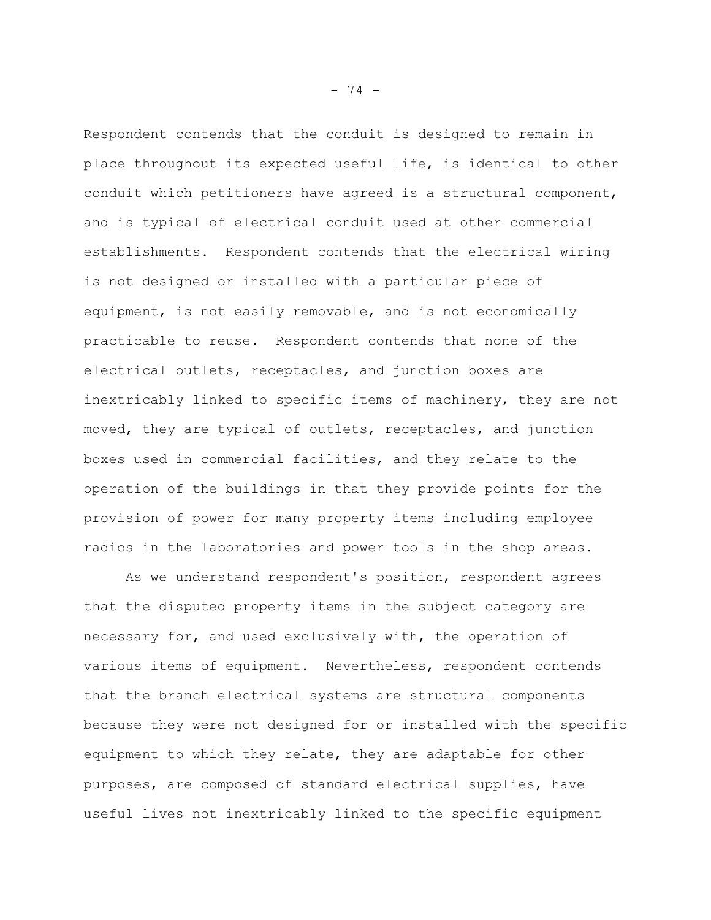Respondent contends that the conduit is designed to remain in place throughout its expected useful life, is identical to other conduit which petitioners have agreed is a structural component, and is typical of electrical conduit used at other commercial establishments. Respondent contends that the electrical wiring is not designed or installed with a particular piece of equipment, is not easily removable, and is not economically practicable to reuse. Respondent contends that none of the electrical outlets, receptacles, and junction boxes are inextricably linked to specific items of machinery, they are not moved, they are typical of outlets, receptacles, and junction boxes used in commercial facilities, and they relate to the operation of the buildings in that they provide points for the provision of power for many property items including employee radios in the laboratories and power tools in the shop areas.

As we understand respondent's position, respondent agrees that the disputed property items in the subject category are necessary for, and used exclusively with, the operation of various items of equipment. Nevertheless, respondent contends that the branch electrical systems are structural components because they were not designed for or installed with the specific equipment to which they relate, they are adaptable for other purposes, are composed of standard electrical supplies, have useful lives not inextricably linked to the specific equipment

- 74 -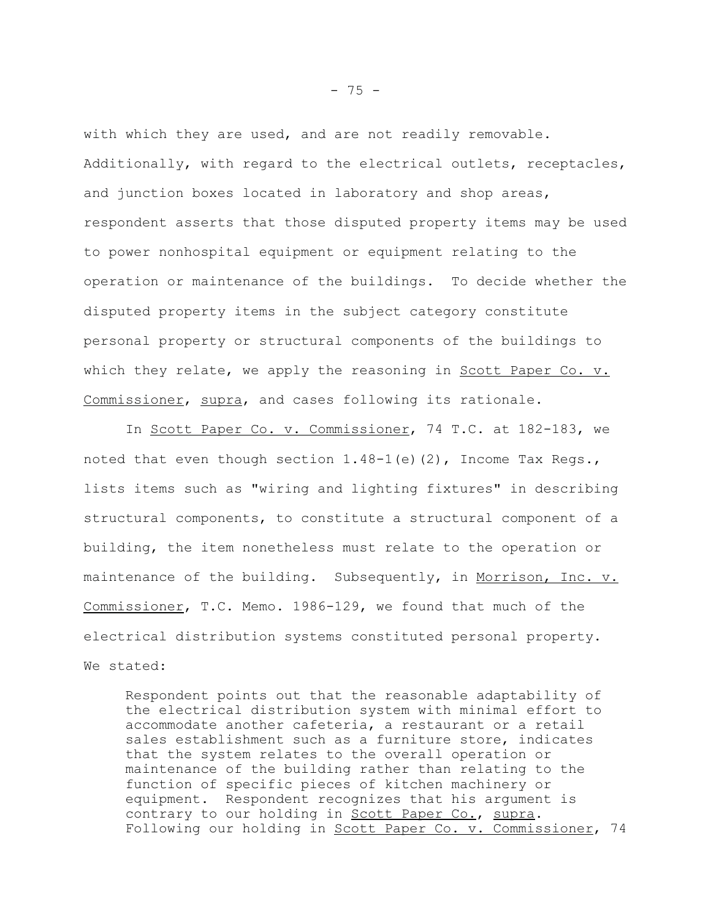with which they are used, and are not readily removable. Additionally, with regard to the electrical outlets, receptacles, and junction boxes located in laboratory and shop areas, respondent asserts that those disputed property items may be used to power nonhospital equipment or equipment relating to the operation or maintenance of the buildings. To decide whether the disputed property items in the subject category constitute personal property or structural components of the buildings to which they relate, we apply the reasoning in Scott Paper Co. v. Commissioner, supra, and cases following its rationale.

In Scott Paper Co. v. Commissioner, 74 T.C. at 182-183, we noted that even though section  $1.48-1$  (e)(2), Income Tax Regs., lists items such as "wiring and lighting fixtures" in describing structural components, to constitute a structural component of a building, the item nonetheless must relate to the operation or maintenance of the building. Subsequently, in Morrison, Inc. v. Commissioner, T.C. Memo. 1986-129, we found that much of the electrical distribution systems constituted personal property. We stated:

Respondent points out that the reasonable adaptability of the electrical distribution system with minimal effort to accommodate another cafeteria, a restaurant or a retail sales establishment such as a furniture store, indicates that the system relates to the overall operation or maintenance of the building rather than relating to the function of specific pieces of kitchen machinery or equipment. Respondent recognizes that his argument is contrary to our holding in Scott Paper Co., supra. Following our holding in Scott Paper Co. v. Commissioner, 74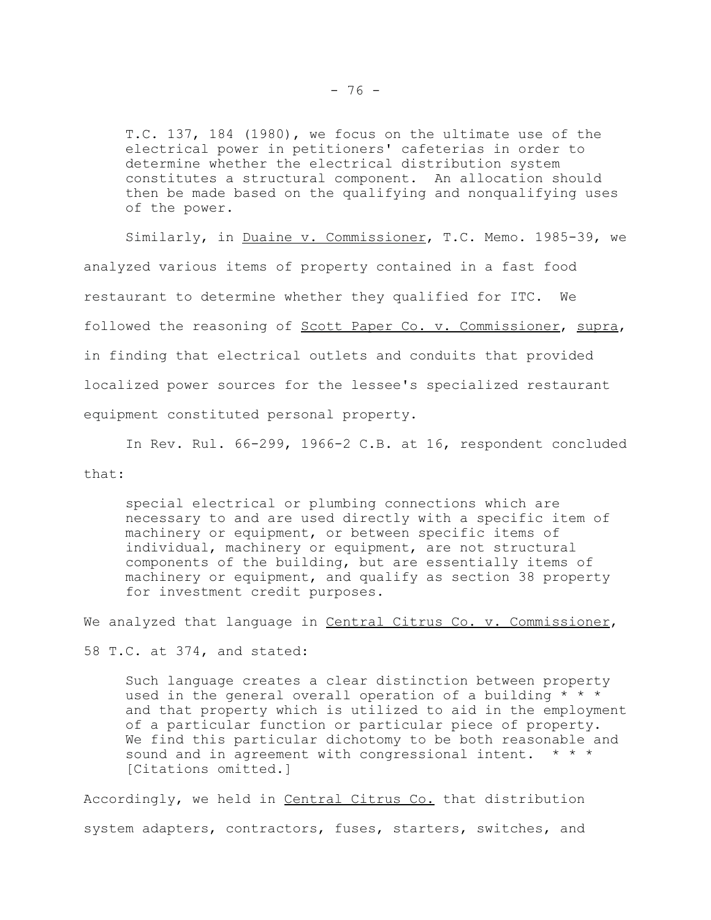T.C. 137, 184 (1980), we focus on the ultimate use of the electrical power in petitioners' cafeterias in order to determine whether the electrical distribution system constitutes a structural component. An allocation should then be made based on the qualifying and nonqualifying uses of the power.

Similarly, in Duaine v. Commissioner, T.C. Memo. 1985-39, we analyzed various items of property contained in a fast food restaurant to determine whether they qualified for ITC. We followed the reasoning of Scott Paper Co. v. Commissioner, supra, in finding that electrical outlets and conduits that provided localized power sources for the lessee's specialized restaurant equipment constituted personal property.

In Rev. Rul. 66-299, 1966-2 C.B. at 16, respondent concluded that:

special electrical or plumbing connections which are necessary to and are used directly with a specific item of machinery or equipment, or between specific items of individual, machinery or equipment, are not structural components of the building, but are essentially items of machinery or equipment, and qualify as section 38 property for investment credit purposes.

We analyzed that language in Central Citrus Co. v. Commissioner,

58 T.C. at 374, and stated:

Such language creates a clear distinction between property used in the general overall operation of a building  $* * *$ and that property which is utilized to aid in the employment of a particular function or particular piece of property. We find this particular dichotomy to be both reasonable and sound and in agreement with congressional intent. \* \* \* [Citations omitted.]

Accordingly, we held in Central Citrus Co. that distribution system adapters, contractors, fuses, starters, switches, and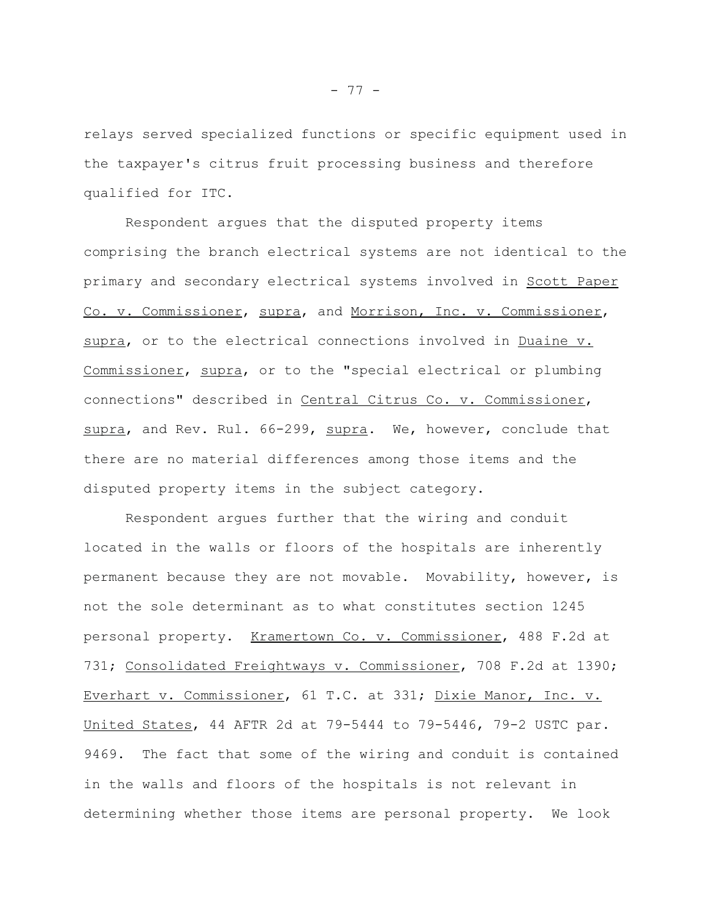relays served specialized functions or specific equipment used in the taxpayer's citrus fruit processing business and therefore qualified for ITC.

Respondent argues that the disputed property items comprising the branch electrical systems are not identical to the primary and secondary electrical systems involved in Scott Paper Co. v. Commissioner, supra, and Morrison, Inc. v. Commissioner, supra, or to the electrical connections involved in Duaine v. Commissioner, supra, or to the "special electrical or plumbing connections" described in Central Citrus Co. v. Commissioner, supra, and Rev. Rul. 66-299, supra. We, however, conclude that there are no material differences among those items and the disputed property items in the subject category.

Respondent argues further that the wiring and conduit located in the walls or floors of the hospitals are inherently permanent because they are not movable. Movability, however, is not the sole determinant as to what constitutes section 1245 personal property. Kramertown Co. v. Commissioner, 488 F.2d at 731; Consolidated Freightways v. Commissioner, 708 F.2d at 1390; Everhart v. Commissioner, 61 T.C. at 331; Dixie Manor, Inc. v. United States, 44 AFTR 2d at 79-5444 to 79-5446, 79-2 USTC par. 9469. The fact that some of the wiring and conduit is contained in the walls and floors of the hospitals is not relevant in determining whether those items are personal property. We look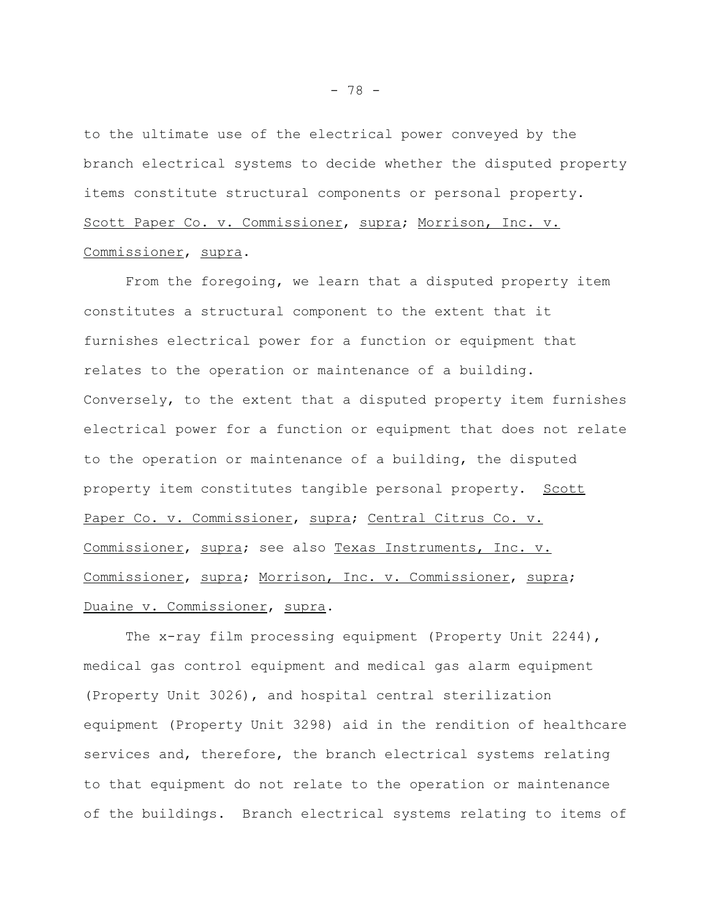to the ultimate use of the electrical power conveyed by the branch electrical systems to decide whether the disputed property items constitute structural components or personal property. Scott Paper Co. v. Commissioner, supra; Morrison, Inc. v. Commissioner, supra.

From the foregoing, we learn that a disputed property item constitutes a structural component to the extent that it furnishes electrical power for a function or equipment that relates to the operation or maintenance of a building. Conversely, to the extent that a disputed property item furnishes electrical power for a function or equipment that does not relate to the operation or maintenance of a building, the disputed property item constitutes tangible personal property. Scott Paper Co. v. Commissioner, supra; Central Citrus Co. v. Commissioner, supra; see also Texas Instruments, Inc. v. Commissioner, supra; Morrison, Inc. v. Commissioner, supra; Duaine v. Commissioner, supra.

The x-ray film processing equipment (Property Unit 2244), medical gas control equipment and medical gas alarm equipment (Property Unit 3026), and hospital central sterilization equipment (Property Unit 3298) aid in the rendition of healthcare services and, therefore, the branch electrical systems relating to that equipment do not relate to the operation or maintenance of the buildings. Branch electrical systems relating to items of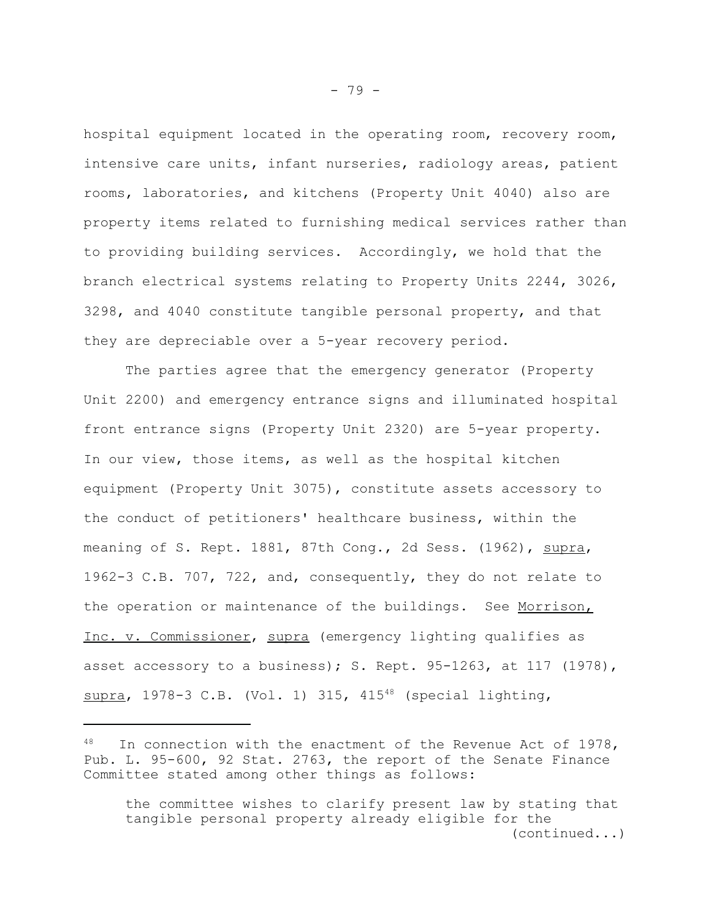hospital equipment located in the operating room, recovery room, intensive care units, infant nurseries, radiology areas, patient rooms, laboratories, and kitchens (Property Unit 4040) also are property items related to furnishing medical services rather than to providing building services. Accordingly, we hold that the branch electrical systems relating to Property Units 2244, 3026, 3298, and 4040 constitute tangible personal property, and that they are depreciable over a 5-year recovery period.

The parties agree that the emergency generator (Property Unit 2200) and emergency entrance signs and illuminated hospital front entrance signs (Property Unit 2320) are 5-year property. In our view, those items, as well as the hospital kitchen equipment (Property Unit 3075), constitute assets accessory to the conduct of petitioners' healthcare business, within the meaning of S. Rept. 1881, 87th Cong., 2d Sess. (1962), supra, 1962-3 C.B. 707, 722, and, consequently, they do not relate to the operation or maintenance of the buildings. See Morrison, Inc. v. Commissioner, supra (emergency lighting qualifies as asset accessory to a business); S. Rept.  $95-1263$ , at  $117$  (1978), supra, 1978-3 C.B. (Vol. 1) 315, 415 $48$  (special lighting,

In connection with the enactment of the Revenue Act of  $1978$ , Pub. L. 95-600, 92 Stat. 2763, the report of the Senate Finance Committee stated among other things as follows:

the committee wishes to clarify present law by stating that tangible personal property already eligible for the (continued...)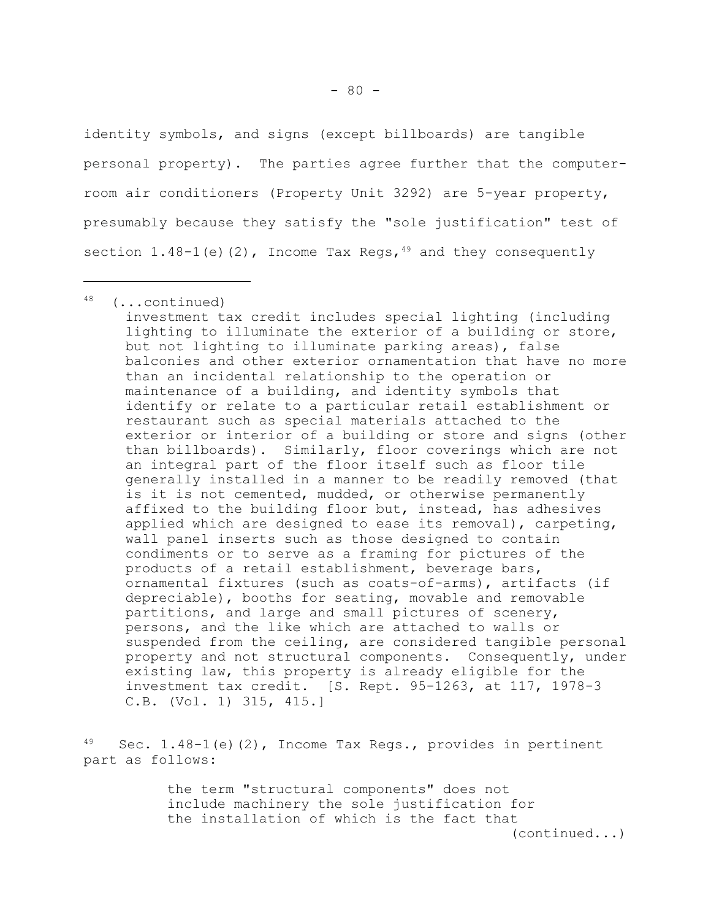identity symbols, and signs (except billboards) are tangible personal property). The parties agree further that the computerroom air conditioners (Property Unit 3292) are 5-year property, presumably because they satisfy the "sole justification" test of section 1.48-1(e)(2), Income Tax Regs,  $49$  and they consequently

investment tax credit includes special lighting (including lighting to illuminate the exterior of a building or store, but not lighting to illuminate parking areas), false balconies and other exterior ornamentation that have no more than an incidental relationship to the operation or maintenance of a building, and identity symbols that identify or relate to a particular retail establishment or restaurant such as special materials attached to the exterior or interior of a building or store and signs (other than billboards). Similarly, floor coverings which are not an integral part of the floor itself such as floor tile generally installed in a manner to be readily removed (that is it is not cemented, mudded, or otherwise permanently affixed to the building floor but, instead, has adhesives applied which are designed to ease its removal), carpeting, wall panel inserts such as those designed to contain condiments or to serve as a framing for pictures of the products of a retail establishment, beverage bars, ornamental fixtures (such as coats-of-arms), artifacts (if depreciable), booths for seating, movable and removable partitions, and large and small pictures of scenery, persons, and the like which are attached to walls or suspended from the ceiling, are considered tangible personal property and not structural components. Consequently, under existing law, this property is already eligible for the investment tax credit. [S. Rept. 95-1263, at 117, 1978-3 C.B. (Vol. 1) 315, 415.]

Sec. 1.48-1(e)(2), Income Tax Regs., provides in pertinent part as follows:

> the term "structural components" does not include machinery the sole justification for the installation of which is the fact that

(continued...)

<sup>48 (...</sup>continued)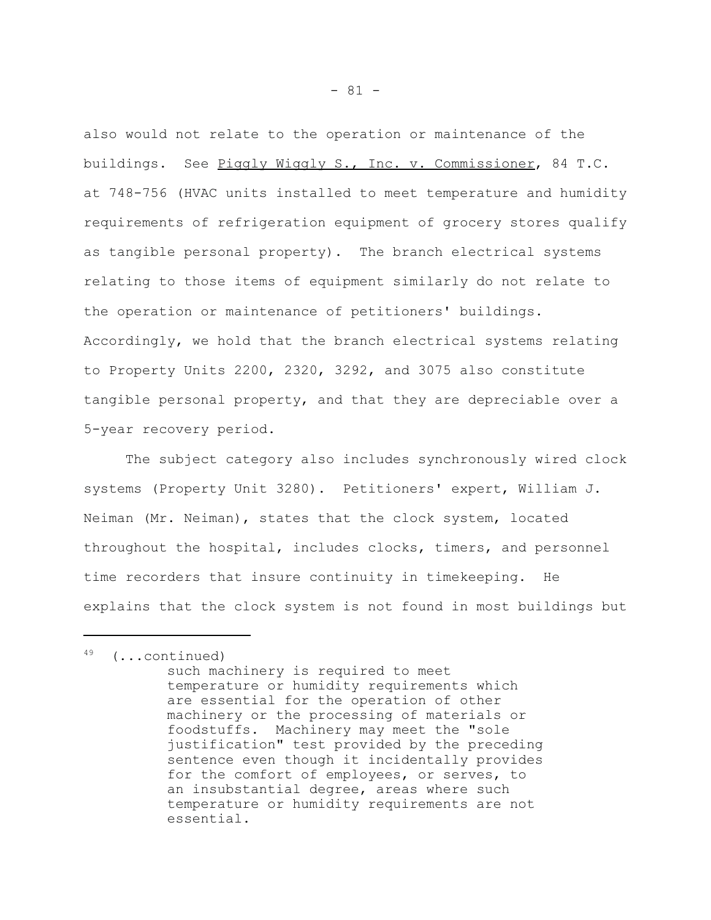also would not relate to the operation or maintenance of the buildings. See Piggly Wiggly S., Inc. v. Commissioner, 84 T.C. at 748-756 (HVAC units installed to meet temperature and humidity requirements of refrigeration equipment of grocery stores qualify as tangible personal property). The branch electrical systems relating to those items of equipment similarly do not relate to the operation or maintenance of petitioners' buildings. Accordingly, we hold that the branch electrical systems relating to Property Units 2200, 2320, 3292, and 3075 also constitute tangible personal property, and that they are depreciable over a 5-year recovery period.

The subject category also includes synchronously wired clock systems (Property Unit 3280). Petitioners' expert, William J. Neiman (Mr. Neiman), states that the clock system, located throughout the hospital, includes clocks, timers, and personnel time recorders that insure continuity in timekeeping. He explains that the clock system is not found in most buildings but

 $49$  (...continued)

such machinery is required to meet temperature or humidity requirements which are essential for the operation of other machinery or the processing of materials or foodstuffs. Machinery may meet the "sole justification" test provided by the preceding sentence even though it incidentally provides for the comfort of employees, or serves, to an insubstantial degree, areas where such temperature or humidity requirements are not essential.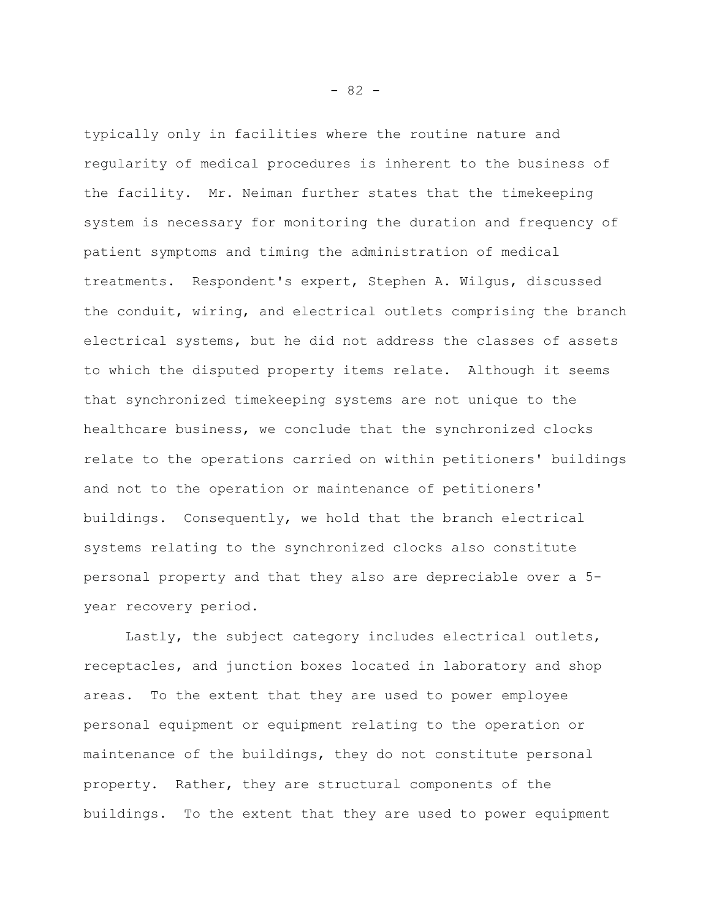typically only in facilities where the routine nature and regularity of medical procedures is inherent to the business of the facility. Mr. Neiman further states that the timekeeping system is necessary for monitoring the duration and frequency of patient symptoms and timing the administration of medical treatments. Respondent's expert, Stephen A. Wilgus, discussed the conduit, wiring, and electrical outlets comprising the branch electrical systems, but he did not address the classes of assets to which the disputed property items relate. Although it seems that synchronized timekeeping systems are not unique to the healthcare business, we conclude that the synchronized clocks relate to the operations carried on within petitioners' buildings and not to the operation or maintenance of petitioners' buildings. Consequently, we hold that the branch electrical systems relating to the synchronized clocks also constitute personal property and that they also are depreciable over a 5 year recovery period.

Lastly, the subject category includes electrical outlets, receptacles, and junction boxes located in laboratory and shop areas. To the extent that they are used to power employee personal equipment or equipment relating to the operation or maintenance of the buildings, they do not constitute personal property. Rather, they are structural components of the buildings. To the extent that they are used to power equipment

 $- 82 -$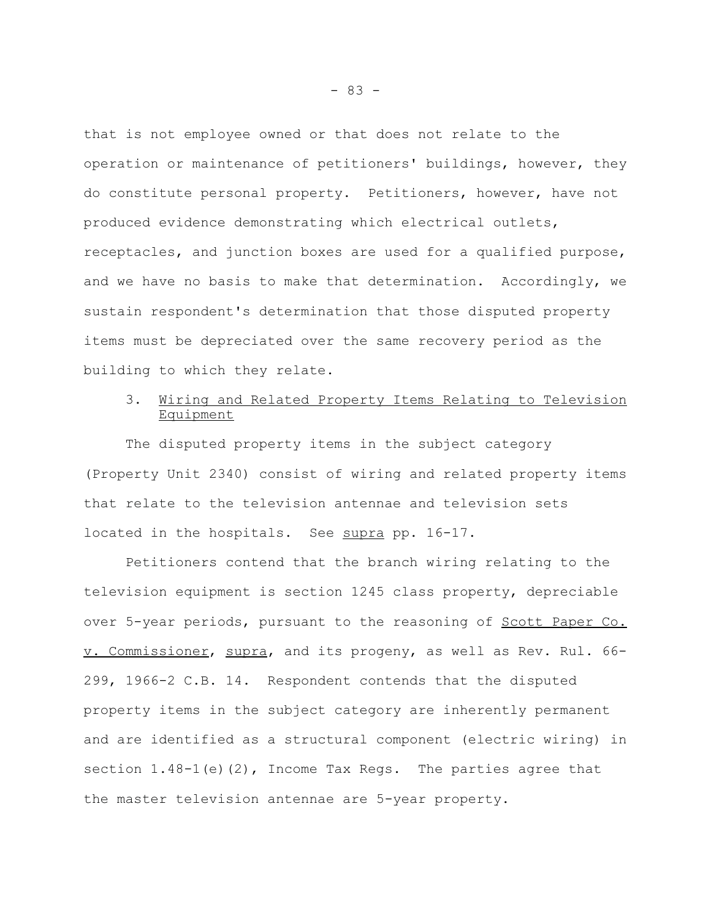that is not employee owned or that does not relate to the operation or maintenance of petitioners' buildings, however, they do constitute personal property. Petitioners, however, have not produced evidence demonstrating which electrical outlets, receptacles, and junction boxes are used for a qualified purpose, and we have no basis to make that determination. Accordingly, we sustain respondent's determination that those disputed property items must be depreciated over the same recovery period as the building to which they relate.

# 3. Wiring and Related Property Items Relating to Television **Equipment**

The disputed property items in the subject category (Property Unit 2340) consist of wiring and related property items that relate to the television antennae and television sets located in the hospitals. See supra pp. 16-17.

Petitioners contend that the branch wiring relating to the television equipment is section 1245 class property, depreciable over 5-year periods, pursuant to the reasoning of Scott Paper Co. v. Commissioner, supra, and its progeny, as well as Rev. Rul. 66- 299, 1966-2 C.B. 14. Respondent contends that the disputed property items in the subject category are inherently permanent and are identified as a structural component (electric wiring) in section  $1.48-1$  (e) (2), Income Tax Regs. The parties agree that the master television antennae are 5-year property.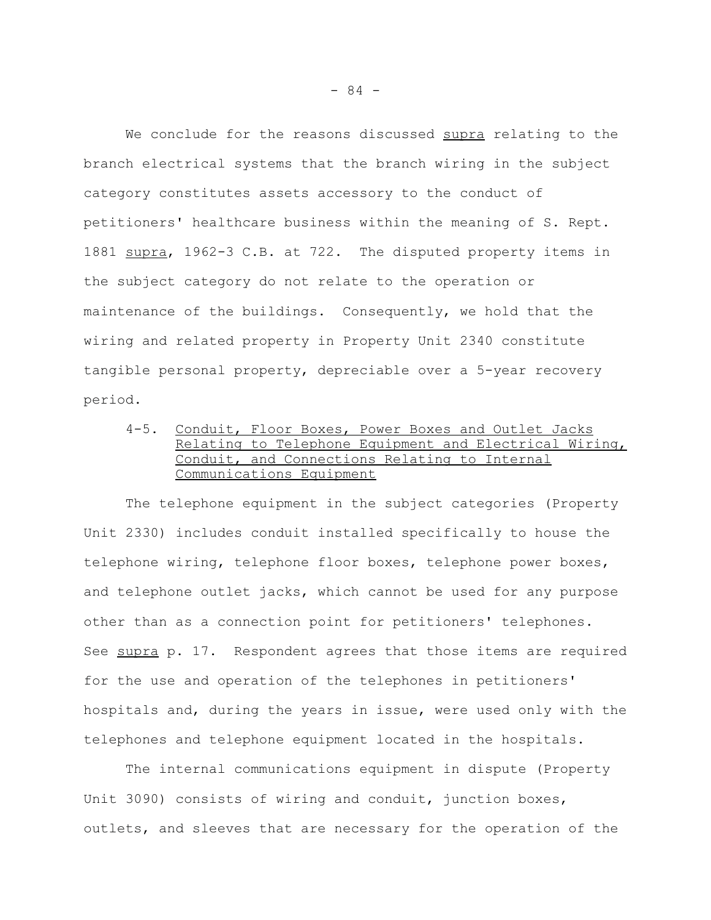We conclude for the reasons discussed supra relating to the branch electrical systems that the branch wiring in the subject category constitutes assets accessory to the conduct of petitioners' healthcare business within the meaning of S. Rept. 1881 supra, 1962-3 C.B. at 722. The disputed property items in the subject category do not relate to the operation or maintenance of the buildings. Consequently, we hold that the wiring and related property in Property Unit 2340 constitute tangible personal property, depreciable over a 5-year recovery period.

4-5. Conduit, Floor Boxes, Power Boxes and Outlet Jacks Relating to Telephone Equipment and Electrical Wiring, Conduit, and Connections Relating to Internal Communications Equipment

The telephone equipment in the subject categories (Property Unit 2330) includes conduit installed specifically to house the telephone wiring, telephone floor boxes, telephone power boxes, and telephone outlet jacks, which cannot be used for any purpose other than as a connection point for petitioners' telephones. See supra p. 17. Respondent agrees that those items are required for the use and operation of the telephones in petitioners' hospitals and, during the years in issue, were used only with the telephones and telephone equipment located in the hospitals.

The internal communications equipment in dispute (Property Unit 3090) consists of wiring and conduit, junction boxes, outlets, and sleeves that are necessary for the operation of the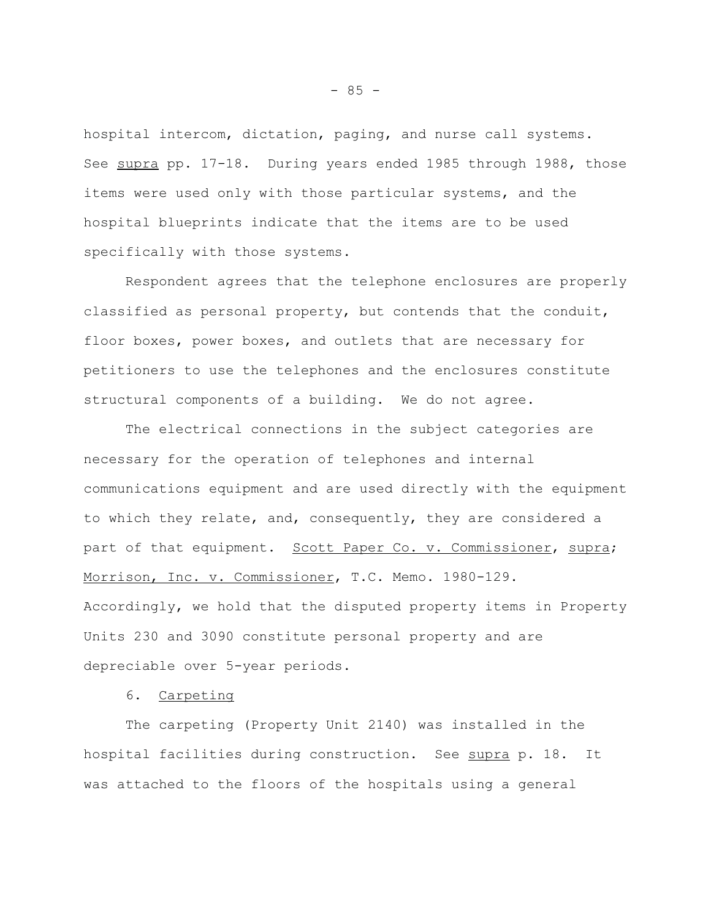hospital intercom, dictation, paging, and nurse call systems. See supra pp. 17-18. During years ended 1985 through 1988, those items were used only with those particular systems, and the hospital blueprints indicate that the items are to be used specifically with those systems.

Respondent agrees that the telephone enclosures are properly classified as personal property, but contends that the conduit, floor boxes, power boxes, and outlets that are necessary for petitioners to use the telephones and the enclosures constitute structural components of a building. We do not agree.

The electrical connections in the subject categories are necessary for the operation of telephones and internal communications equipment and are used directly with the equipment to which they relate, and, consequently, they are considered a part of that equipment. Scott Paper Co. v. Commissioner, supra; Morrison, Inc. v. Commissioner, T.C. Memo. 1980-129. Accordingly, we hold that the disputed property items in Property Units 230 and 3090 constitute personal property and are depreciable over 5-year periods.

6. Carpeting

The carpeting (Property Unit 2140) was installed in the hospital facilities during construction. See supra p. 18. It was attached to the floors of the hospitals using a general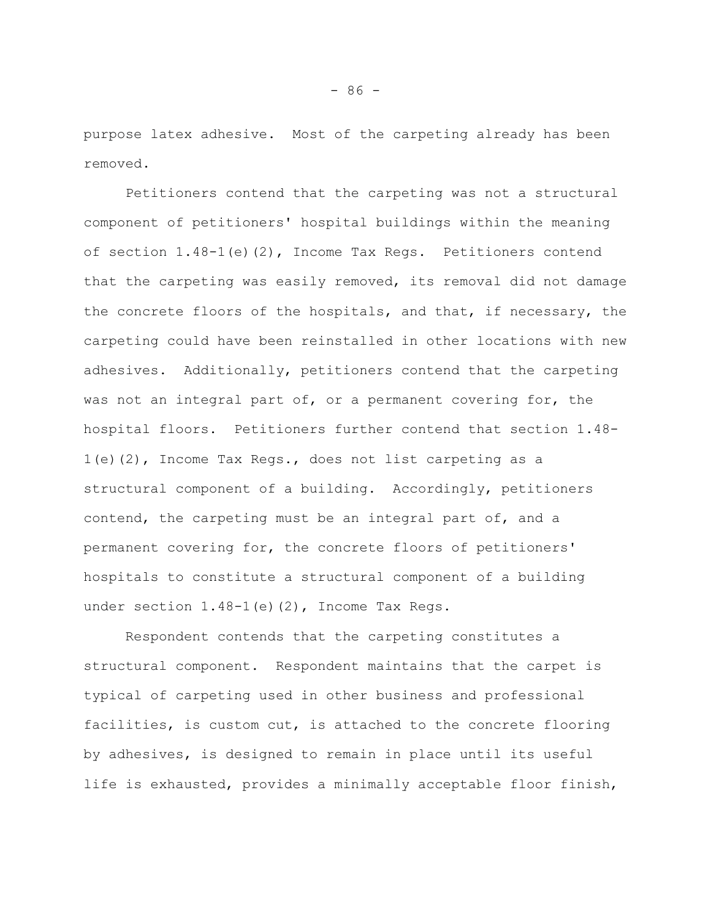purpose latex adhesive. Most of the carpeting already has been removed.

Petitioners contend that the carpeting was not a structural component of petitioners' hospital buildings within the meaning of section 1.48-1(e)(2), Income Tax Regs. Petitioners contend that the carpeting was easily removed, its removal did not damage the concrete floors of the hospitals, and that, if necessary, the carpeting could have been reinstalled in other locations with new adhesives. Additionally, petitioners contend that the carpeting was not an integral part of, or a permanent covering for, the hospital floors. Petitioners further contend that section 1.48- 1(e)(2), Income Tax Regs., does not list carpeting as a structural component of a building. Accordingly, petitioners contend, the carpeting must be an integral part of, and a permanent covering for, the concrete floors of petitioners' hospitals to constitute a structural component of a building under section 1.48-1(e)(2), Income Tax Regs.

Respondent contends that the carpeting constitutes a structural component. Respondent maintains that the carpet is typical of carpeting used in other business and professional facilities, is custom cut, is attached to the concrete flooring by adhesives, is designed to remain in place until its useful life is exhausted, provides a minimally acceptable floor finish,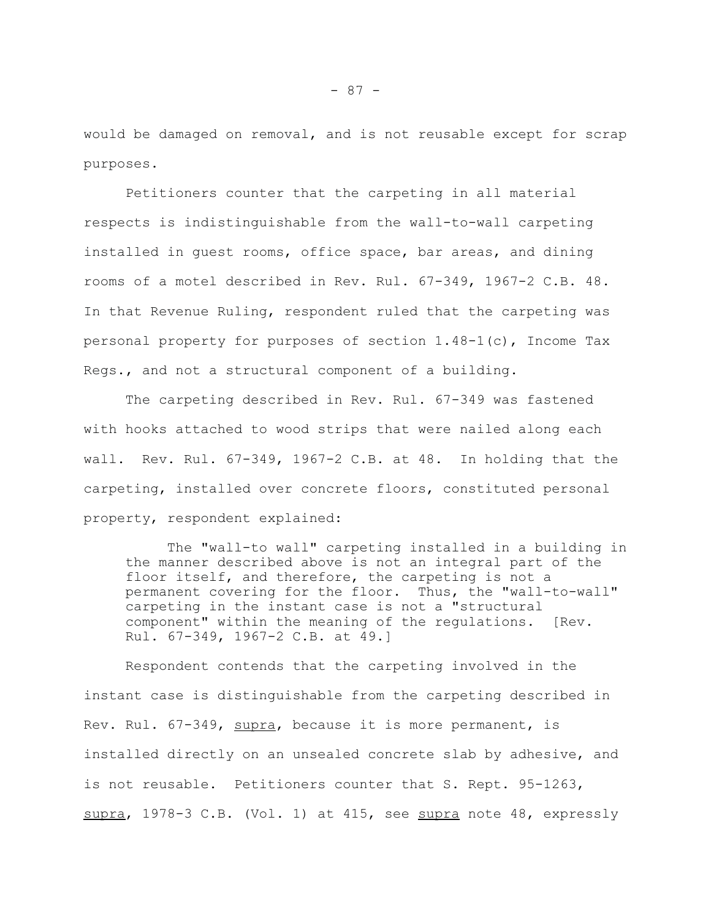would be damaged on removal, and is not reusable except for scrap purposes.

Petitioners counter that the carpeting in all material respects is indistinguishable from the wall-to-wall carpeting installed in guest rooms, office space, bar areas, and dining rooms of a motel described in Rev. Rul. 67-349, 1967-2 C.B. 48. In that Revenue Ruling, respondent ruled that the carpeting was personal property for purposes of section 1.48-1(c), Income Tax Regs., and not a structural component of a building.

The carpeting described in Rev. Rul. 67-349 was fastened with hooks attached to wood strips that were nailed along each wall. Rev. Rul. 67-349, 1967-2 C.B. at 48. In holding that the carpeting, installed over concrete floors, constituted personal property, respondent explained:

The "wall-to wall" carpeting installed in a building in the manner described above is not an integral part of the floor itself, and therefore, the carpeting is not a permanent covering for the floor. Thus, the "wall-to-wall" carpeting in the instant case is not a "structural component" within the meaning of the regulations. [Rev. Rul. 67-349, 1967-2 C.B. at 49.]

Respondent contends that the carpeting involved in the instant case is distinguishable from the carpeting described in Rev. Rul. 67-349, supra, because it is more permanent, is installed directly on an unsealed concrete slab by adhesive, and is not reusable. Petitioners counter that S. Rept. 95-1263, supra, 1978-3 C.B. (Vol. 1) at 415, see supra note 48, expressly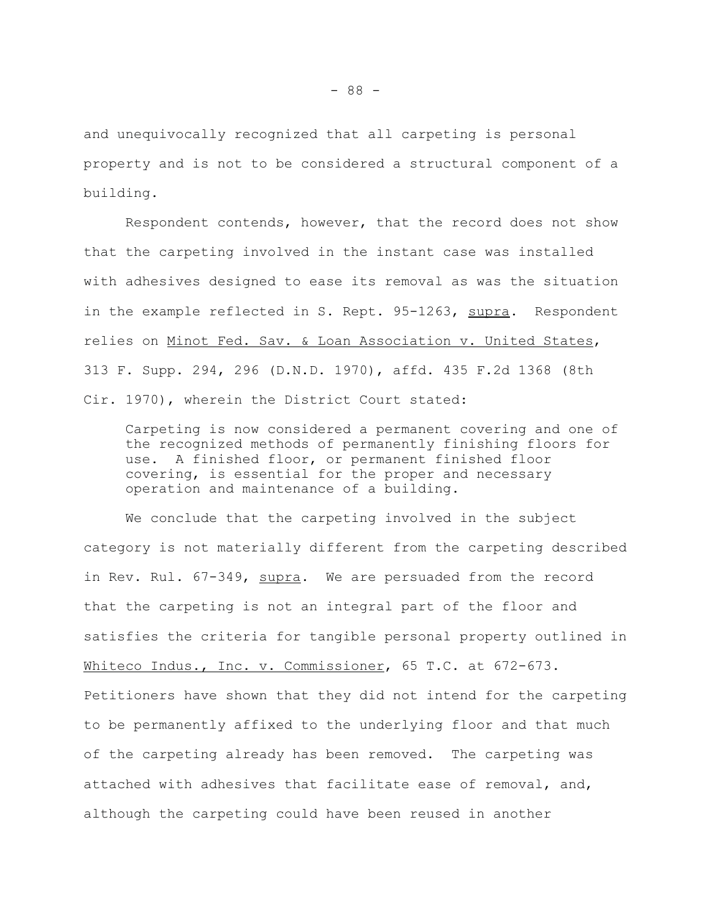and unequivocally recognized that all carpeting is personal property and is not to be considered a structural component of a building.

Respondent contends, however, that the record does not show that the carpeting involved in the instant case was installed with adhesives designed to ease its removal as was the situation in the example reflected in S. Rept. 95-1263, supra. Respondent relies on Minot Fed. Sav. & Loan Association v. United States, 313 F. Supp. 294, 296 (D.N.D. 1970), affd. 435 F.2d 1368 (8th Cir. 1970), wherein the District Court stated:

Carpeting is now considered a permanent covering and one of the recognized methods of permanently finishing floors for use. A finished floor, or permanent finished floor covering, is essential for the proper and necessary operation and maintenance of a building.

We conclude that the carpeting involved in the subject category is not materially different from the carpeting described in Rev. Rul. 67-349, supra. We are persuaded from the record that the carpeting is not an integral part of the floor and satisfies the criteria for tangible personal property outlined in Whiteco Indus., Inc. v. Commissioner, 65 T.C. at 672-673. Petitioners have shown that they did not intend for the carpeting to be permanently affixed to the underlying floor and that much of the carpeting already has been removed. The carpeting was attached with adhesives that facilitate ease of removal, and, although the carpeting could have been reused in another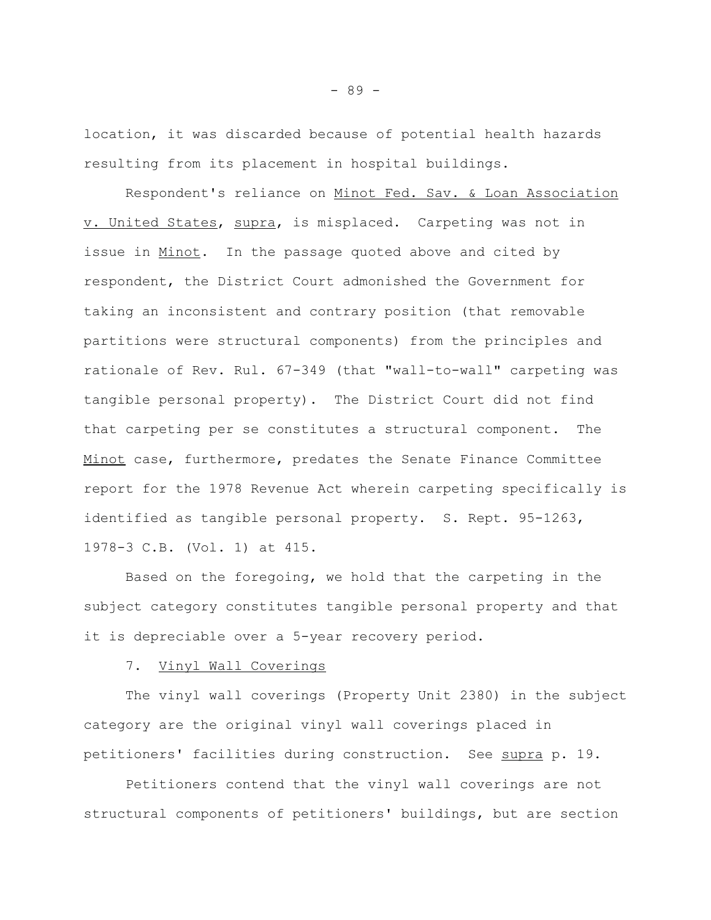location, it was discarded because of potential health hazards resulting from its placement in hospital buildings.

Respondent's reliance on Minot Fed. Sav. & Loan Association v. United States, supra, is misplaced. Carpeting was not in issue in Minot. In the passage quoted above and cited by respondent, the District Court admonished the Government for taking an inconsistent and contrary position (that removable partitions were structural components) from the principles and rationale of Rev. Rul. 67-349 (that "wall-to-wall" carpeting was tangible personal property). The District Court did not find that carpeting per se constitutes a structural component. The Minot case, furthermore, predates the Senate Finance Committee report for the 1978 Revenue Act wherein carpeting specifically is identified as tangible personal property. S. Rept. 95-1263, 1978-3 C.B. (Vol. 1) at 415.

Based on the foregoing, we hold that the carpeting in the subject category constitutes tangible personal property and that it is depreciable over a 5-year recovery period.

# 7. Vinyl Wall Coverings

The vinyl wall coverings (Property Unit 2380) in the subject category are the original vinyl wall coverings placed in petitioners' facilities during construction. See supra p. 19.

Petitioners contend that the vinyl wall coverings are not structural components of petitioners' buildings, but are section

- 89 -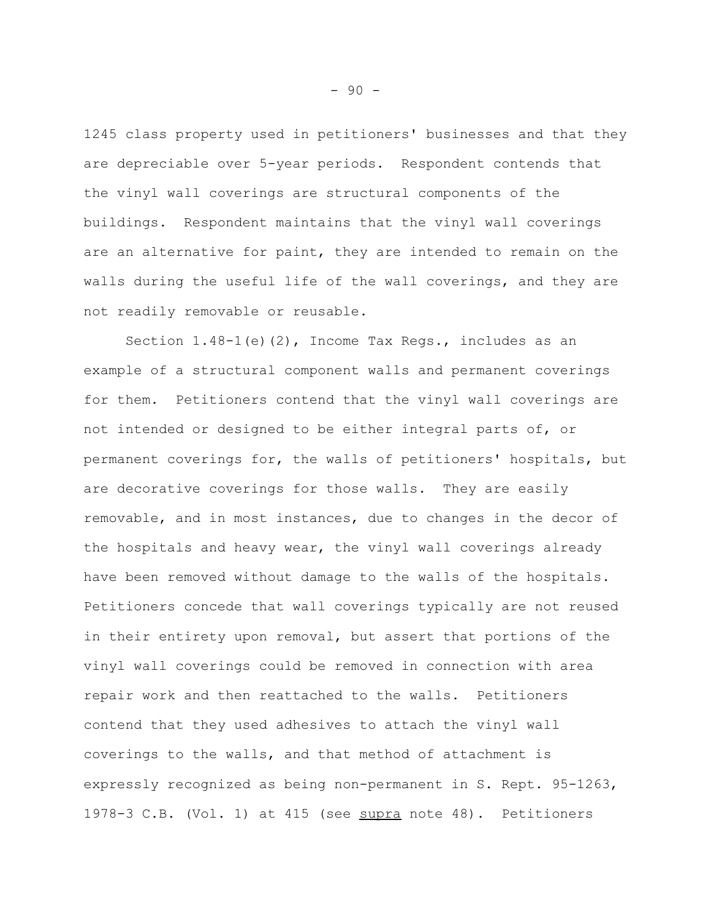1245 class property used in petitioners' businesses and that they are depreciable over 5-year periods. Respondent contends that the vinyl wall coverings are structural components of the buildings. Respondent maintains that the vinyl wall coverings are an alternative for paint, they are intended to remain on the walls during the useful life of the wall coverings, and they are not readily removable or reusable.

Section  $1.48-1$  (e)(2), Income Tax Regs., includes as an example of a structural component walls and permanent coverings for them. Petitioners contend that the vinyl wall coverings are not intended or designed to be either integral parts of, or permanent coverings for, the walls of petitioners' hospitals, but are decorative coverings for those walls. They are easily removable, and in most instances, due to changes in the decor of the hospitals and heavy wear, the vinyl wall coverings already have been removed without damage to the walls of the hospitals. Petitioners concede that wall coverings typically are not reused in their entirety upon removal, but assert that portions of the vinyl wall coverings could be removed in connection with area repair work and then reattached to the walls. Petitioners contend that they used adhesives to attach the vinyl wall coverings to the walls, and that method of attachment is expressly recognized as being non-permanent in S. Rept. 95-1263, 1978-3 C.B. (Vol. 1) at 415 (see supra note 48). Petitioners

- 90 -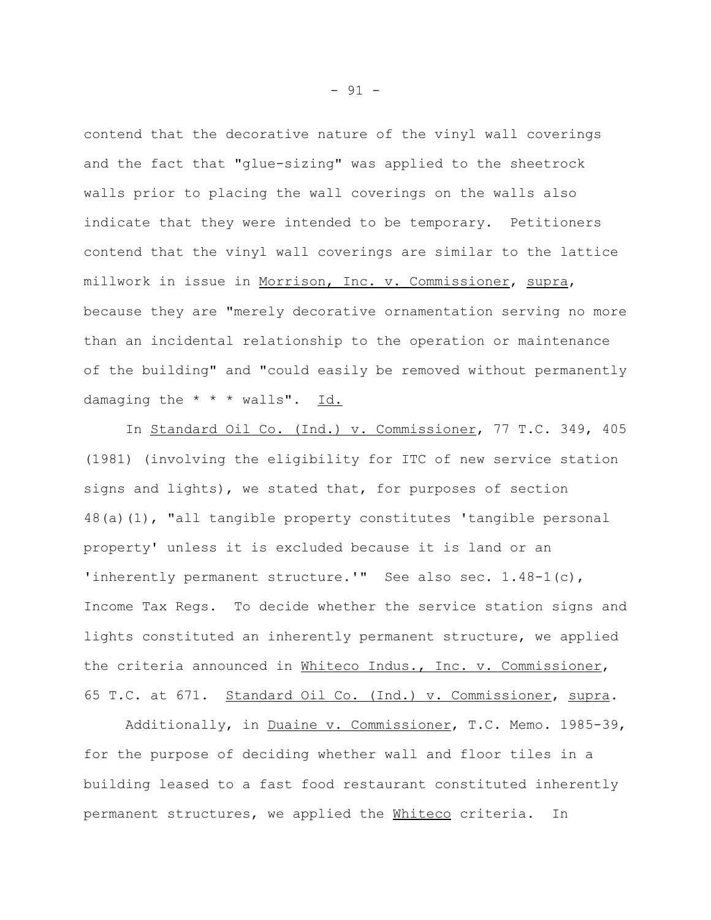contend that the decorative nature of the vinyl wall coverings and the fact that "glue-sizing" was applied to the sheetrock walls prior to placing the wall coverings on the walls also indicate that they were intended to be temporary. Petitioners contend that the vinyl wall coverings are similar to the lattice millwork in issue in Morrison, Inc. v. Commissioner, supra, because they are "merely decorative ornamentation serving no more than an incidental relationship to the operation or maintenance of the building" and "could easily be removed without permanently damaging the  $* * *$  walls". Id.

In Standard Oil Co. (Ind.) v. Commissioner, 77 T.C. 349, 405 (1981) (involving the eligibility for ITC of new service station signs and lights), we stated that, for purposes of section 48(a)(1), "all tangible property constitutes 'tangible personal property' unless it is excluded because it is land or an 'inherently permanent structure.'" See also sec. 1.48-1(c), Income Tax Regs. To decide whether the service station signs and lights constituted an inherently permanent structure, we applied the criteria announced in Whiteco Indus., Inc. v. Commissioner, 65 T.C. at 671. Standard Oil Co. (Ind.) v. Commissioner, supra.

Additionally, in Duaine v. Commissioner, T.C. Memo. 1985-39, for the purpose of deciding whether wall and floor tiles in a building leased to a fast food restaurant constituted inherently permanent structures, we applied the Whiteco criteria. In

- 91 -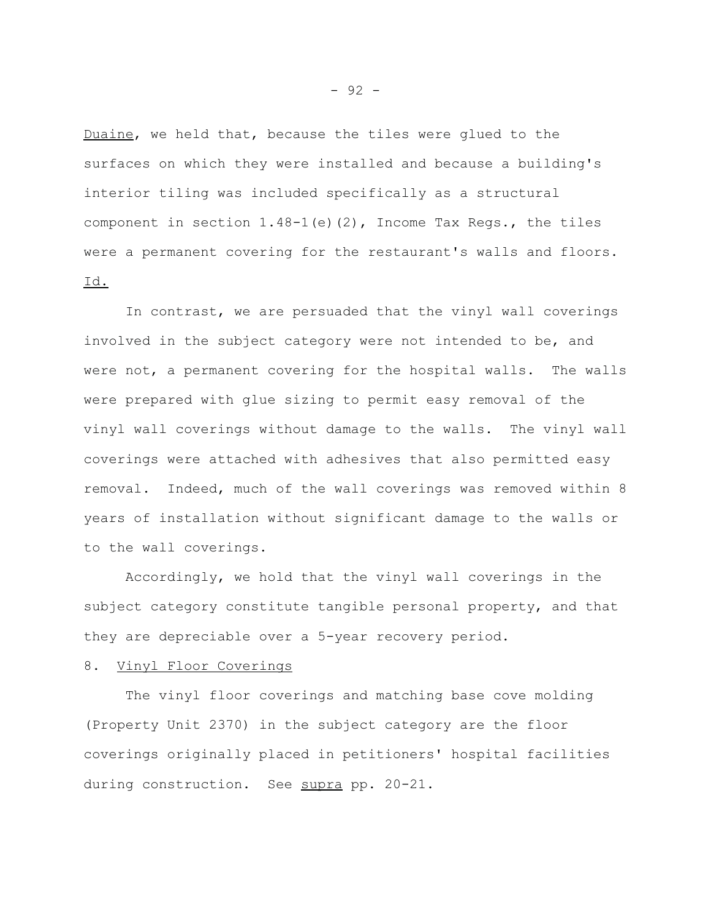Duaine, we held that, because the tiles were glued to the surfaces on which they were installed and because a building's interior tiling was included specifically as a structural component in section  $1.48-1$  (e)(2), Income Tax Regs., the tiles were a permanent covering for the restaurant's walls and floors. Id.

In contrast, we are persuaded that the vinyl wall coverings involved in the subject category were not intended to be, and were not, a permanent covering for the hospital walls. The walls were prepared with glue sizing to permit easy removal of the vinyl wall coverings without damage to the walls. The vinyl wall coverings were attached with adhesives that also permitted easy removal. Indeed, much of the wall coverings was removed within 8 years of installation without significant damage to the walls or to the wall coverings.

Accordingly, we hold that the vinyl wall coverings in the subject category constitute tangible personal property, and that they are depreciable over a 5-year recovery period.

## 8. Vinyl Floor Coverings

The vinyl floor coverings and matching base cove molding (Property Unit 2370) in the subject category are the floor coverings originally placed in petitioners' hospital facilities during construction. See supra pp. 20-21.

- 92 -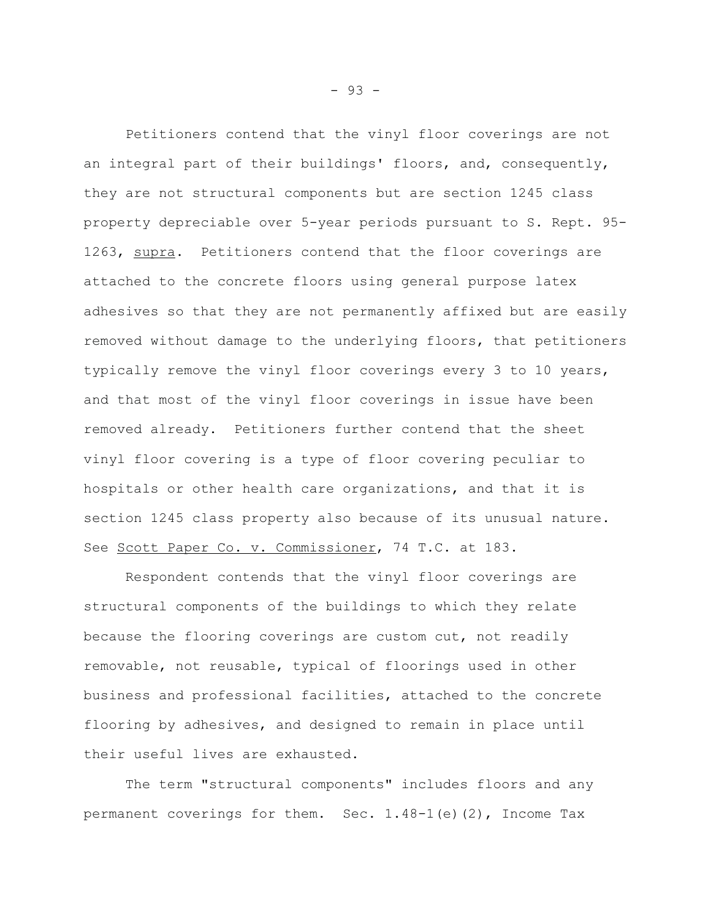Petitioners contend that the vinyl floor coverings are not an integral part of their buildings' floors, and, consequently, they are not structural components but are section 1245 class property depreciable over 5-year periods pursuant to S. Rept. 95- 1263, supra. Petitioners contend that the floor coverings are attached to the concrete floors using general purpose latex adhesives so that they are not permanently affixed but are easily removed without damage to the underlying floors, that petitioners typically remove the vinyl floor coverings every 3 to 10 years, and that most of the vinyl floor coverings in issue have been removed already. Petitioners further contend that the sheet vinyl floor covering is a type of floor covering peculiar to hospitals or other health care organizations, and that it is section 1245 class property also because of its unusual nature. See Scott Paper Co. v. Commissioner, 74 T.C. at 183.

Respondent contends that the vinyl floor coverings are structural components of the buildings to which they relate because the flooring coverings are custom cut, not readily removable, not reusable, typical of floorings used in other business and professional facilities, attached to the concrete flooring by adhesives, and designed to remain in place until their useful lives are exhausted.

The term "structural components" includes floors and any permanent coverings for them. Sec. 1.48-1(e)(2), Income Tax

- 93 -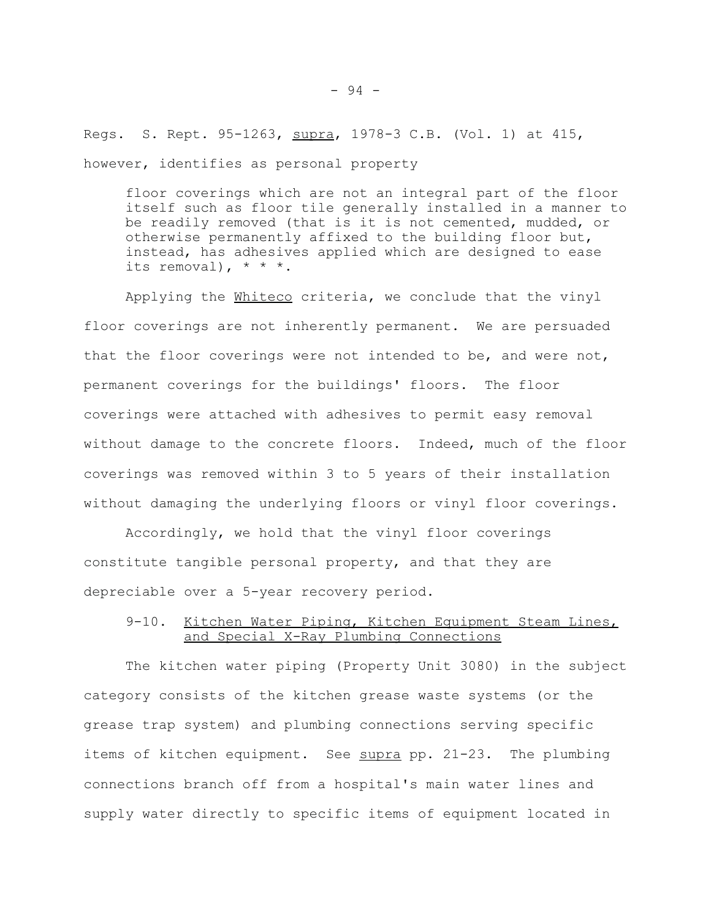Regs. S. Rept. 95-1263, supra, 1978-3 C.B. (Vol. 1) at 415, however, identifies as personal property

floor coverings which are not an integral part of the floor itself such as floor tile generally installed in a manner to be readily removed (that is it is not cemented, mudded, or otherwise permanently affixed to the building floor but, instead, has adhesives applied which are designed to ease its removal),  $* * *$ .

Applying the Whiteco criteria, we conclude that the vinyl floor coverings are not inherently permanent. We are persuaded that the floor coverings were not intended to be, and were not, permanent coverings for the buildings' floors. The floor coverings were attached with adhesives to permit easy removal without damage to the concrete floors. Indeed, much of the floor coverings was removed within 3 to 5 years of their installation without damaging the underlying floors or vinyl floor coverings.

Accordingly, we hold that the vinyl floor coverings constitute tangible personal property, and that they are depreciable over a 5-year recovery period.

# 9-10. Kitchen Water Piping, Kitchen Equipment Steam Lines, and Special X-Ray Plumbing Connections

The kitchen water piping (Property Unit 3080) in the subject category consists of the kitchen grease waste systems (or the grease trap system) and plumbing connections serving specific items of kitchen equipment. See supra pp. 21-23. The plumbing connections branch off from a hospital's main water lines and supply water directly to specific items of equipment located in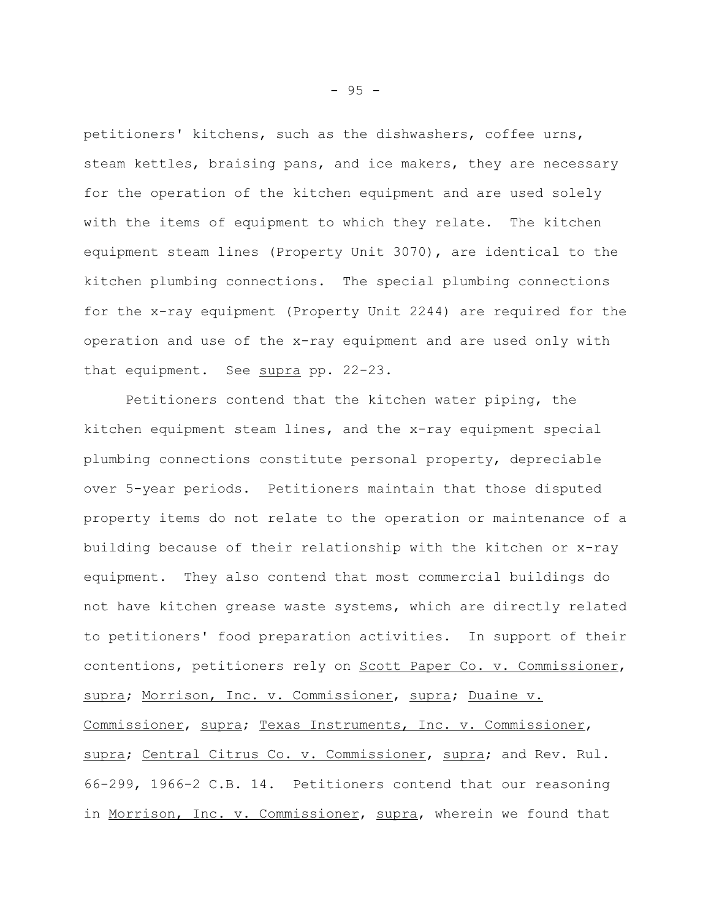petitioners' kitchens, such as the dishwashers, coffee urns, steam kettles, braising pans, and ice makers, they are necessary for the operation of the kitchen equipment and are used solely with the items of equipment to which they relate. The kitchen equipment steam lines (Property Unit 3070), are identical to the kitchen plumbing connections. The special plumbing connections for the x-ray equipment (Property Unit 2244) are required for the operation and use of the x-ray equipment and are used only with that equipment. See supra pp. 22-23.

Petitioners contend that the kitchen water piping, the kitchen equipment steam lines, and the x-ray equipment special plumbing connections constitute personal property, depreciable over 5-year periods. Petitioners maintain that those disputed property items do not relate to the operation or maintenance of a building because of their relationship with the kitchen or x-ray equipment. They also contend that most commercial buildings do not have kitchen grease waste systems, which are directly related to petitioners' food preparation activities. In support of their contentions, petitioners rely on Scott Paper Co. v. Commissioner, supra; Morrison, Inc. v. Commissioner, supra; Duaine v. Commissioner, supra; Texas Instruments, Inc. v. Commissioner, supra; Central Citrus Co. v. Commissioner, supra; and Rev. Rul. 66-299, 1966-2 C.B. 14. Petitioners contend that our reasoning in Morrison, Inc. v. Commissioner, supra, wherein we found that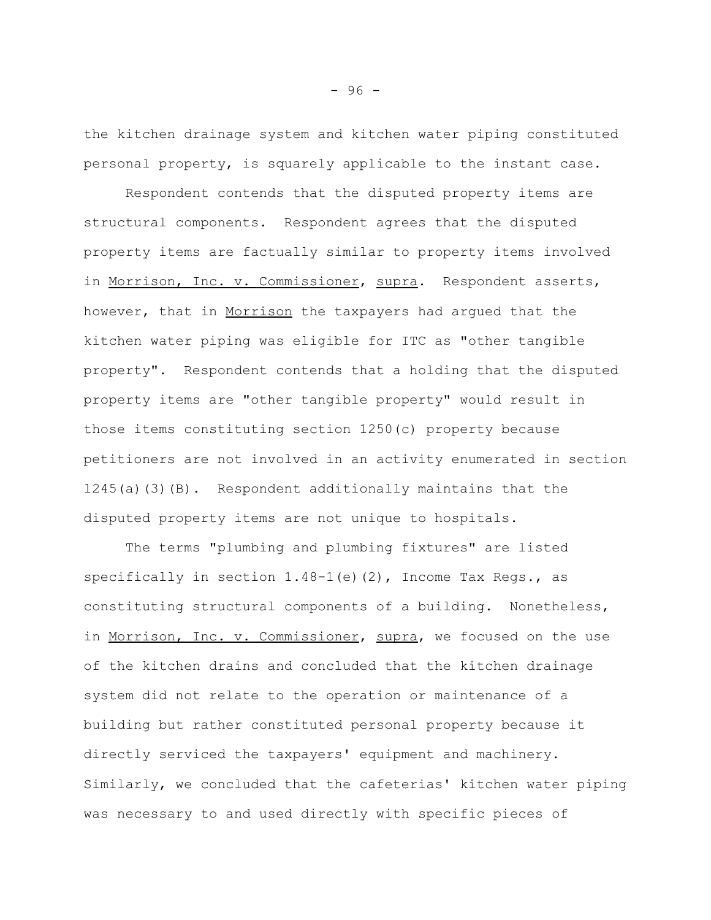the kitchen drainage system and kitchen water piping constituted personal property, is squarely applicable to the instant case.

Respondent contends that the disputed property items are structural components. Respondent agrees that the disputed property items are factually similar to property items involved in Morrison, Inc. v. Commissioner, supra. Respondent asserts, however, that in Morrison the taxpayers had argued that the kitchen water piping was eligible for ITC as "other tangible property". Respondent contends that a holding that the disputed property items are "other tangible property" would result in those items constituting section 1250(c) property because petitioners are not involved in an activity enumerated in section 1245(a)(3)(B). Respondent additionally maintains that the disputed property items are not unique to hospitals.

The terms "plumbing and plumbing fixtures" are listed specifically in section  $1.48-1$  (e) (2), Income Tax Regs., as constituting structural components of a building. Nonetheless, in Morrison, Inc. v. Commissioner, supra, we focused on the use of the kitchen drains and concluded that the kitchen drainage system did not relate to the operation or maintenance of a building but rather constituted personal property because it directly serviced the taxpayers' equipment and machinery. Similarly, we concluded that the cafeterias' kitchen water piping was necessary to and used directly with specific pieces of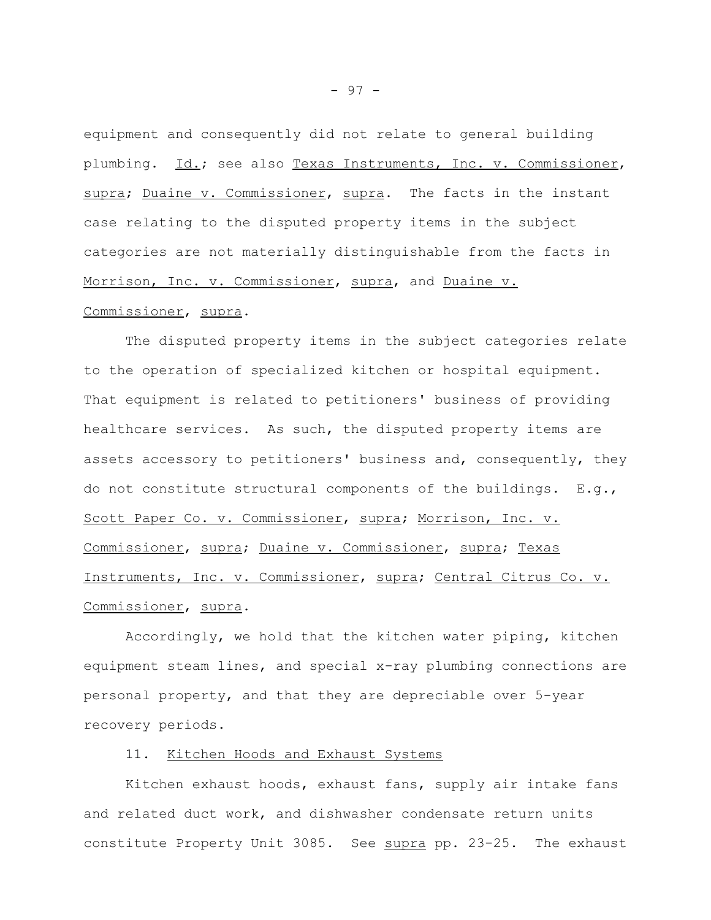equipment and consequently did not relate to general building plumbing. Id.; see also Texas Instruments, Inc. v. Commissioner, supra; Duaine v. Commissioner, supra. The facts in the instant case relating to the disputed property items in the subject categories are not materially distinguishable from the facts in Morrison, Inc. v. Commissioner, supra, and Duaine v.

#### Commissioner, supra.

The disputed property items in the subject categories relate to the operation of specialized kitchen or hospital equipment. That equipment is related to petitioners' business of providing healthcare services. As such, the disputed property items are assets accessory to petitioners' business and, consequently, they do not constitute structural components of the buildings. E.g., Scott Paper Co. v. Commissioner, supra; Morrison, Inc. v. Commissioner, supra; Duaine v. Commissioner, supra; Texas Instruments, Inc. v. Commissioner, supra; Central Citrus Co. v. Commissioner, supra.

Accordingly, we hold that the kitchen water piping, kitchen equipment steam lines, and special x-ray plumbing connections are personal property, and that they are depreciable over 5-year recovery periods.

#### 11. Kitchen Hoods and Exhaust Systems

Kitchen exhaust hoods, exhaust fans, supply air intake fans and related duct work, and dishwasher condensate return units constitute Property Unit 3085. See supra pp. 23-25. The exhaust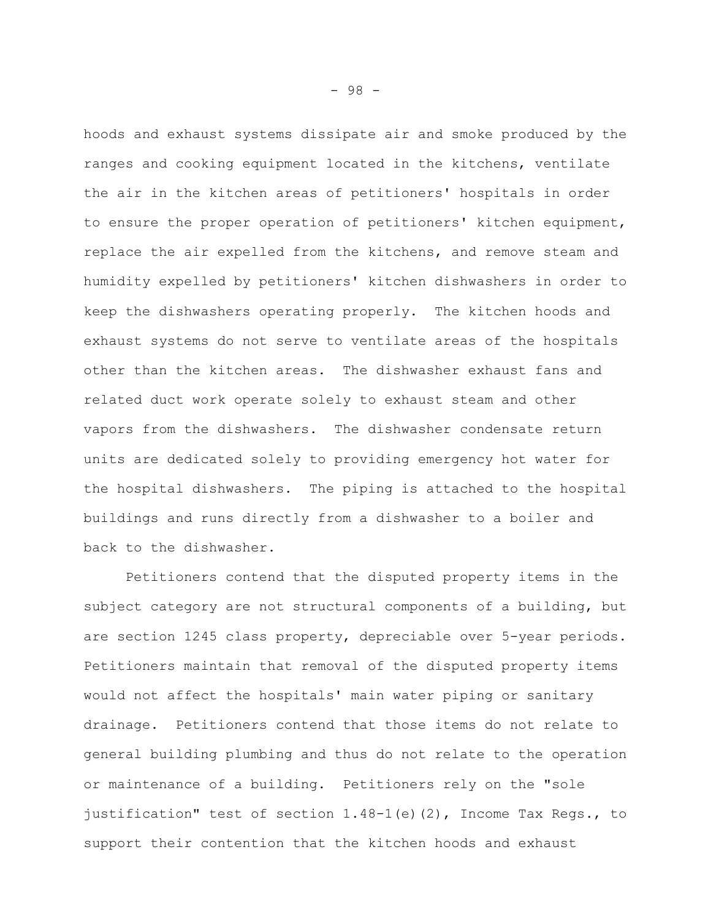hoods and exhaust systems dissipate air and smoke produced by the ranges and cooking equipment located in the kitchens, ventilate the air in the kitchen areas of petitioners' hospitals in order to ensure the proper operation of petitioners' kitchen equipment, replace the air expelled from the kitchens, and remove steam and humidity expelled by petitioners' kitchen dishwashers in order to keep the dishwashers operating properly. The kitchen hoods and exhaust systems do not serve to ventilate areas of the hospitals other than the kitchen areas. The dishwasher exhaust fans and related duct work operate solely to exhaust steam and other vapors from the dishwashers. The dishwasher condensate return units are dedicated solely to providing emergency hot water for the hospital dishwashers. The piping is attached to the hospital buildings and runs directly from a dishwasher to a boiler and back to the dishwasher.

Petitioners contend that the disputed property items in the subject category are not structural components of a building, but are section 1245 class property, depreciable over 5-year periods. Petitioners maintain that removal of the disputed property items would not affect the hospitals' main water piping or sanitary drainage. Petitioners contend that those items do not relate to general building plumbing and thus do not relate to the operation or maintenance of a building. Petitioners rely on the "sole justification" test of section 1.48-1(e)(2), Income Tax Regs., to support their contention that the kitchen hoods and exhaust

- 98 -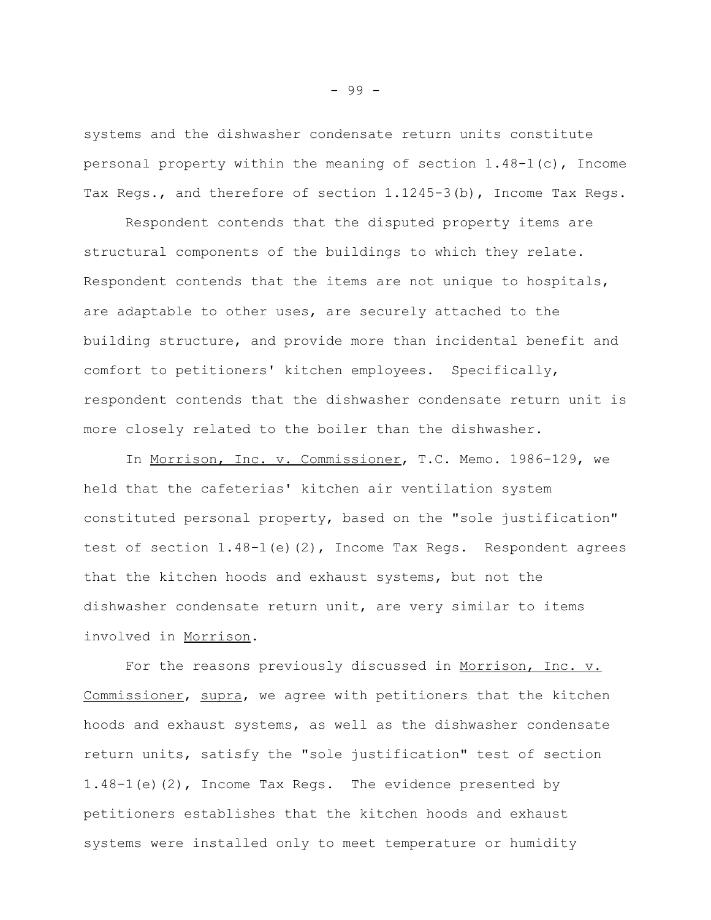systems and the dishwasher condensate return units constitute personal property within the meaning of section 1.48-1(c), Income Tax Regs., and therefore of section 1.1245-3(b), Income Tax Regs.

Respondent contends that the disputed property items are structural components of the buildings to which they relate. Respondent contends that the items are not unique to hospitals, are adaptable to other uses, are securely attached to the building structure, and provide more than incidental benefit and comfort to petitioners' kitchen employees. Specifically, respondent contends that the dishwasher condensate return unit is more closely related to the boiler than the dishwasher.

In Morrison, Inc. v. Commissioner, T.C. Memo. 1986-129, we held that the cafeterias' kitchen air ventilation system constituted personal property, based on the "sole justification" test of section 1.48-1(e)(2), Income Tax Regs. Respondent agrees that the kitchen hoods and exhaust systems, but not the dishwasher condensate return unit, are very similar to items involved in Morrison.

For the reasons previously discussed in Morrison, Inc. v. Commissioner, supra, we agree with petitioners that the kitchen hoods and exhaust systems, as well as the dishwasher condensate return units, satisfy the "sole justification" test of section 1.48-1(e)(2), Income Tax Regs. The evidence presented by petitioners establishes that the kitchen hoods and exhaust systems were installed only to meet temperature or humidity

- 99 -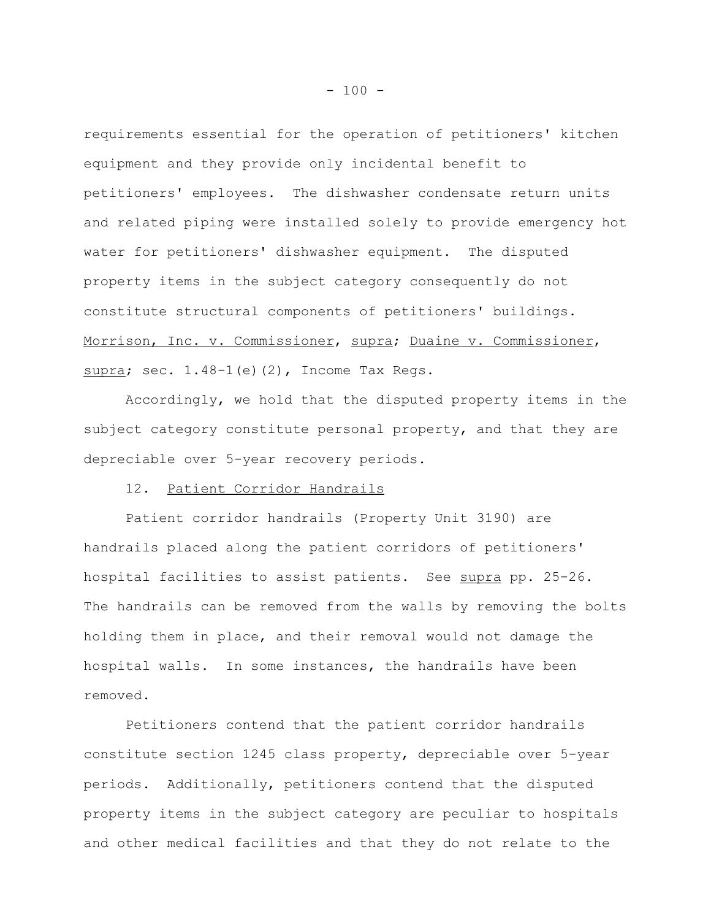requirements essential for the operation of petitioners' kitchen equipment and they provide only incidental benefit to petitioners' employees. The dishwasher condensate return units and related piping were installed solely to provide emergency hot water for petitioners' dishwasher equipment. The disputed property items in the subject category consequently do not constitute structural components of petitioners' buildings. Morrison, Inc. v. Commissioner, supra; Duaine v. Commissioner, supra; sec.  $1.48-1$  (e)(2), Income Tax Regs.

Accordingly, we hold that the disputed property items in the subject category constitute personal property, and that they are depreciable over 5-year recovery periods.

### 12. Patient Corridor Handrails

Patient corridor handrails (Property Unit 3190) are handrails placed along the patient corridors of petitioners' hospital facilities to assist patients. See supra pp. 25-26. The handrails can be removed from the walls by removing the bolts holding them in place, and their removal would not damage the hospital walls. In some instances, the handrails have been removed.

Petitioners contend that the patient corridor handrails constitute section 1245 class property, depreciable over 5-year periods. Additionally, petitioners contend that the disputed property items in the subject category are peculiar to hospitals and other medical facilities and that they do not relate to the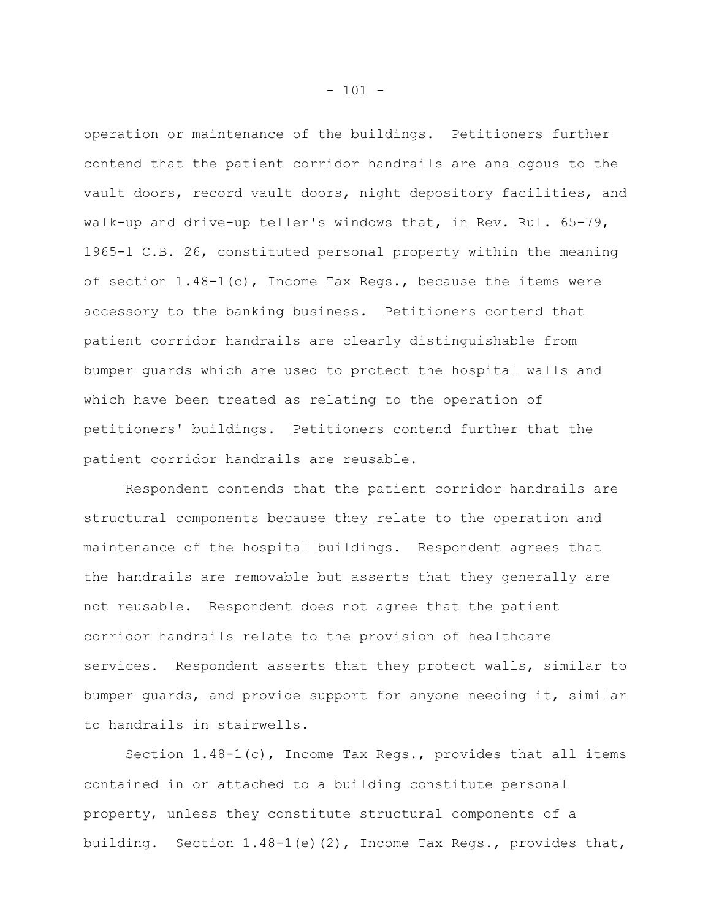operation or maintenance of the buildings. Petitioners further contend that the patient corridor handrails are analogous to the vault doors, record vault doors, night depository facilities, and walk-up and drive-up teller's windows that, in Rev. Rul. 65-79, 1965-1 C.B. 26, constituted personal property within the meaning of section 1.48-1(c), Income Tax Regs., because the items were accessory to the banking business. Petitioners contend that patient corridor handrails are clearly distinguishable from bumper guards which are used to protect the hospital walls and which have been treated as relating to the operation of petitioners' buildings. Petitioners contend further that the patient corridor handrails are reusable.

Respondent contends that the patient corridor handrails are structural components because they relate to the operation and maintenance of the hospital buildings. Respondent agrees that the handrails are removable but asserts that they generally are not reusable. Respondent does not agree that the patient corridor handrails relate to the provision of healthcare services. Respondent asserts that they protect walls, similar to bumper guards, and provide support for anyone needing it, similar to handrails in stairwells.

Section  $1.48-1(c)$ , Income Tax Regs., provides that all items contained in or attached to a building constitute personal property, unless they constitute structural components of a building. Section 1.48-1(e)(2), Income Tax Regs., provides that,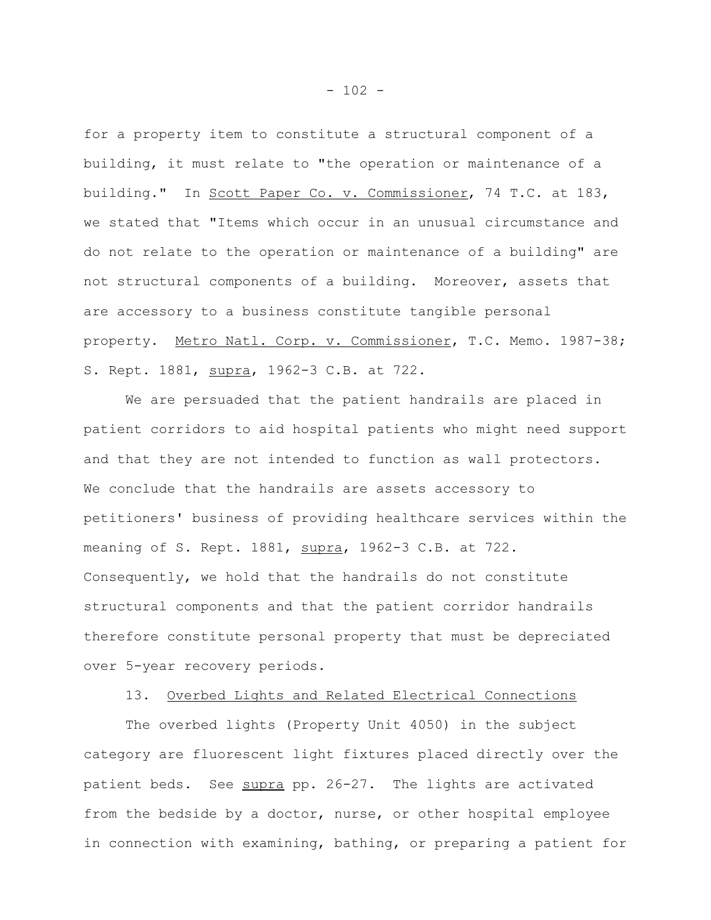for a property item to constitute a structural component of a building, it must relate to "the operation or maintenance of a building." In Scott Paper Co. v. Commissioner, 74 T.C. at 183, we stated that "Items which occur in an unusual circumstance and do not relate to the operation or maintenance of a building" are not structural components of a building. Moreover, assets that are accessory to a business constitute tangible personal property. Metro Natl. Corp. v. Commissioner, T.C. Memo. 1987-38; S. Rept. 1881, supra, 1962-3 C.B. at 722.

We are persuaded that the patient handrails are placed in patient corridors to aid hospital patients who might need support and that they are not intended to function as wall protectors. We conclude that the handrails are assets accessory to petitioners' business of providing healthcare services within the meaning of S. Rept. 1881, supra, 1962-3 C.B. at 722. Consequently, we hold that the handrails do not constitute structural components and that the patient corridor handrails therefore constitute personal property that must be depreciated over 5-year recovery periods.

# 13. Overbed Lights and Related Electrical Connections

The overbed lights (Property Unit 4050) in the subject category are fluorescent light fixtures placed directly over the patient beds. See supra pp. 26-27. The lights are activated from the bedside by a doctor, nurse, or other hospital employee in connection with examining, bathing, or preparing a patient for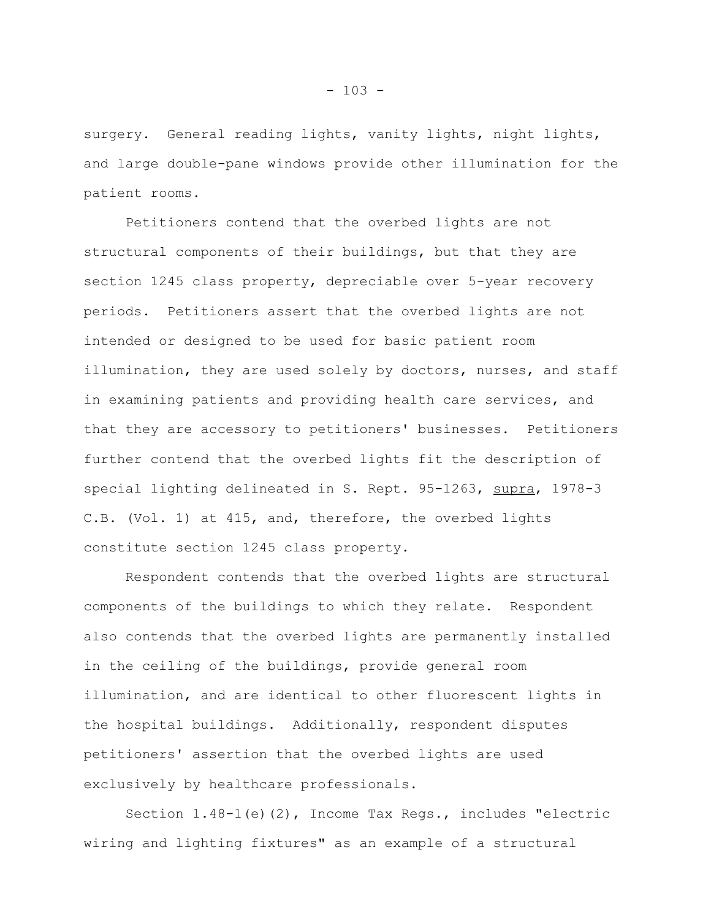surgery. General reading lights, vanity lights, night lights, and large double-pane windows provide other illumination for the patient rooms.

Petitioners contend that the overbed lights are not structural components of their buildings, but that they are section 1245 class property, depreciable over 5-year recovery periods. Petitioners assert that the overbed lights are not intended or designed to be used for basic patient room illumination, they are used solely by doctors, nurses, and staff in examining patients and providing health care services, and that they are accessory to petitioners' businesses. Petitioners further contend that the overbed lights fit the description of special lighting delineated in S. Rept. 95-1263, supra, 1978-3 C.B. (Vol. 1) at 415, and, therefore, the overbed lights constitute section 1245 class property.

Respondent contends that the overbed lights are structural components of the buildings to which they relate. Respondent also contends that the overbed lights are permanently installed in the ceiling of the buildings, provide general room illumination, and are identical to other fluorescent lights in the hospital buildings. Additionally, respondent disputes petitioners' assertion that the overbed lights are used exclusively by healthcare professionals.

Section 1.48-1(e)(2), Income Tax Regs., includes "electric wiring and lighting fixtures" as an example of a structural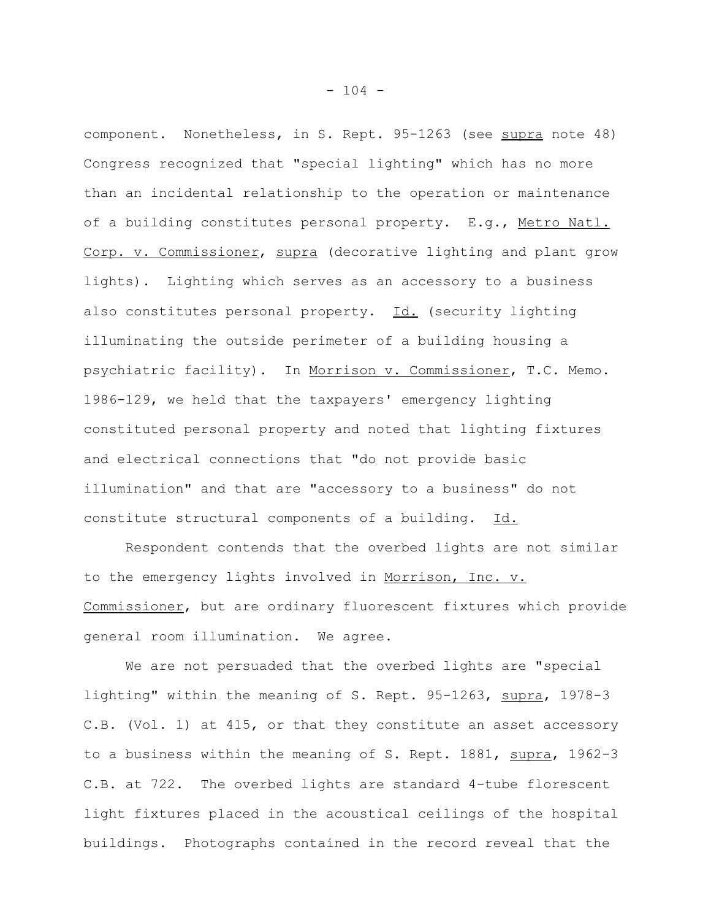component. Nonetheless, in S. Rept. 95-1263 (see supra note 48) Congress recognized that "special lighting" which has no more than an incidental relationship to the operation or maintenance of a building constitutes personal property. E.g., Metro Natl. Corp. v. Commissioner, supra (decorative lighting and plant grow lights). Lighting which serves as an accessory to a business also constitutes personal property.  $Id.$  (security lighting illuminating the outside perimeter of a building housing a psychiatric facility). In Morrison v. Commissioner, T.C. Memo. 1986-129, we held that the taxpayers' emergency lighting constituted personal property and noted that lighting fixtures and electrical connections that "do not provide basic illumination" and that are "accessory to a business" do not constitute structural components of a building. Id.

Respondent contends that the overbed lights are not similar to the emergency lights involved in Morrison, Inc. v. Commissioner, but are ordinary fluorescent fixtures which provide general room illumination. We agree.

We are not persuaded that the overbed lights are "special lighting" within the meaning of S. Rept. 95-1263, supra, 1978-3 C.B. (Vol. 1) at 415, or that they constitute an asset accessory to a business within the meaning of S. Rept. 1881, supra, 1962-3 C.B. at 722. The overbed lights are standard 4-tube florescent light fixtures placed in the acoustical ceilings of the hospital buildings. Photographs contained in the record reveal that the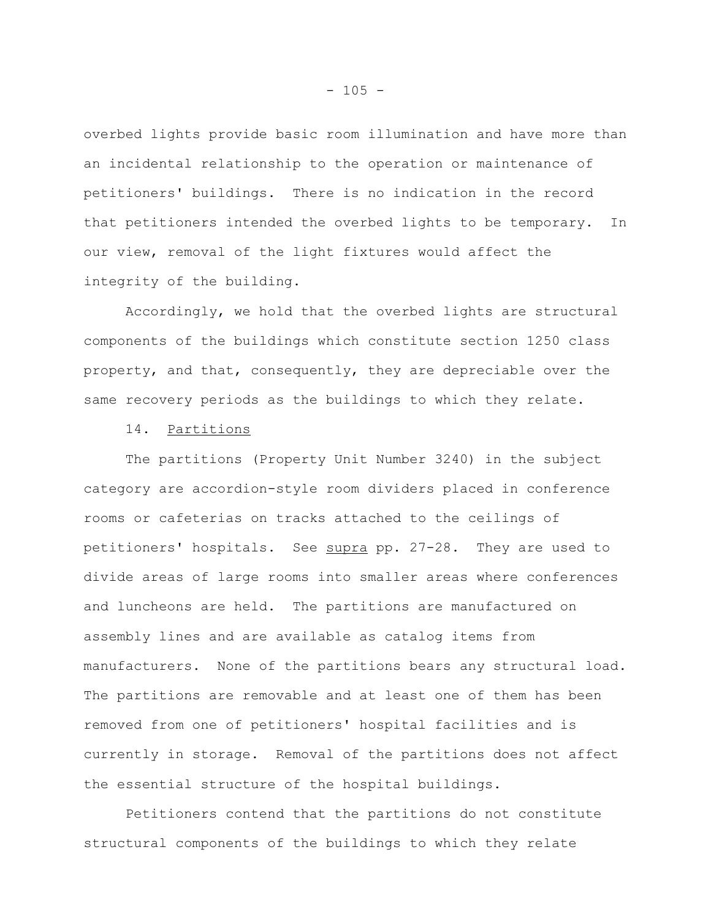overbed lights provide basic room illumination and have more than an incidental relationship to the operation or maintenance of petitioners' buildings. There is no indication in the record that petitioners intended the overbed lights to be temporary. In our view, removal of the light fixtures would affect the integrity of the building.

Accordingly, we hold that the overbed lights are structural components of the buildings which constitute section 1250 class property, and that, consequently, they are depreciable over the same recovery periods as the buildings to which they relate.

# 14. Partitions

The partitions (Property Unit Number 3240) in the subject category are accordion-style room dividers placed in conference rooms or cafeterias on tracks attached to the ceilings of petitioners' hospitals. See supra pp. 27-28. They are used to divide areas of large rooms into smaller areas where conferences and luncheons are held. The partitions are manufactured on assembly lines and are available as catalog items from manufacturers. None of the partitions bears any structural load. The partitions are removable and at least one of them has been removed from one of petitioners' hospital facilities and is currently in storage. Removal of the partitions does not affect the essential structure of the hospital buildings.

Petitioners contend that the partitions do not constitute structural components of the buildings to which they relate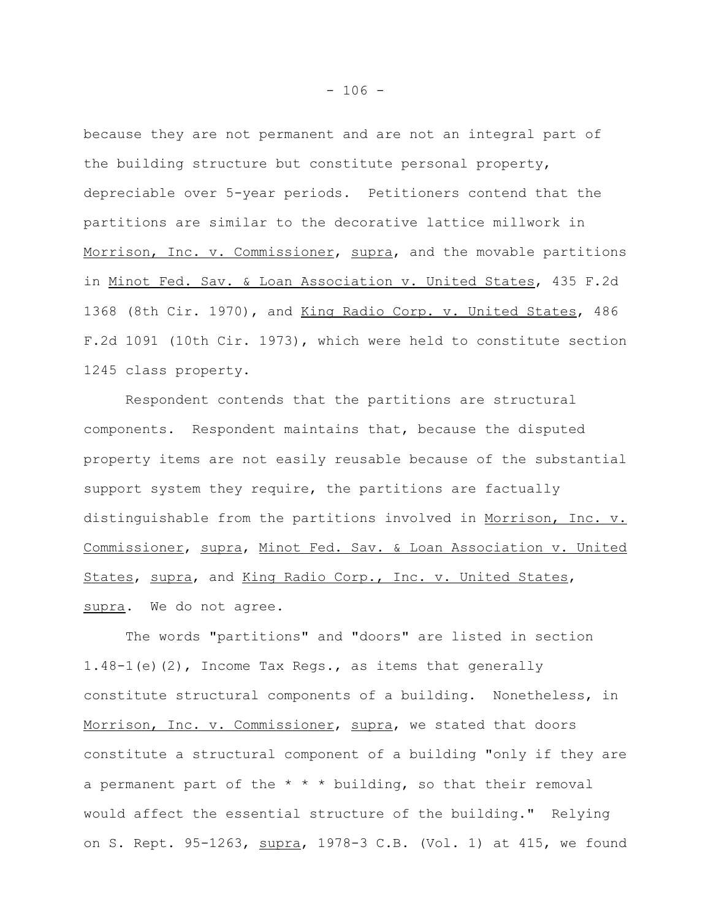because they are not permanent and are not an integral part of the building structure but constitute personal property, depreciable over 5-year periods. Petitioners contend that the partitions are similar to the decorative lattice millwork in Morrison, Inc. v. Commissioner, supra, and the movable partitions in Minot Fed. Sav. & Loan Association v. United States, 435 F.2d 1368 (8th Cir. 1970), and King Radio Corp. v. United States, 486 F.2d 1091 (10th Cir. 1973), which were held to constitute section 1245 class property.

Respondent contends that the partitions are structural components. Respondent maintains that, because the disputed property items are not easily reusable because of the substantial support system they require, the partitions are factually distinguishable from the partitions involved in Morrison, Inc. v. Commissioner, supra, Minot Fed. Sav. & Loan Association v. United States, supra, and King Radio Corp., Inc. v. United States, supra. We do not agree.

The words "partitions" and "doors" are listed in section 1.48-1(e)(2), Income Tax Regs., as items that generally constitute structural components of a building. Nonetheless, in Morrison, Inc. v. Commissioner, supra, we stated that doors constitute a structural component of a building "only if they are a permanent part of the  $* * *$  building, so that their removal would affect the essential structure of the building." Relying on S. Rept. 95-1263, supra, 1978-3 C.B. (Vol. 1) at 415, we found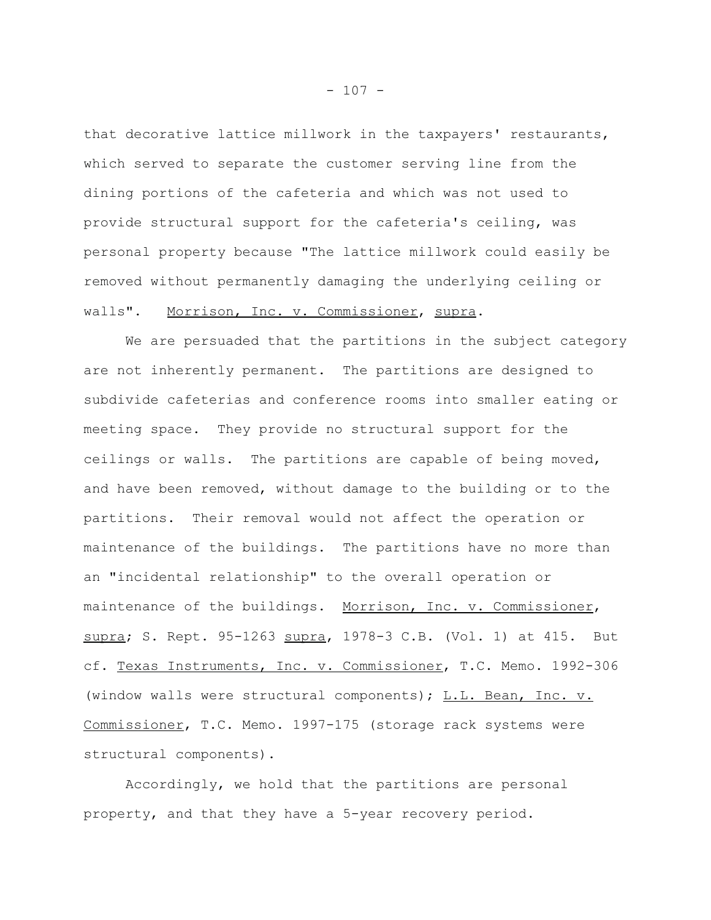that decorative lattice millwork in the taxpayers' restaurants, which served to separate the customer serving line from the dining portions of the cafeteria and which was not used to provide structural support for the cafeteria's ceiling, was personal property because "The lattice millwork could easily be removed without permanently damaging the underlying ceiling or walls". Morrison, Inc. v. Commissioner, supra.

We are persuaded that the partitions in the subject category are not inherently permanent. The partitions are designed to subdivide cafeterias and conference rooms into smaller eating or meeting space. They provide no structural support for the ceilings or walls. The partitions are capable of being moved, and have been removed, without damage to the building or to the partitions. Their removal would not affect the operation or maintenance of the buildings. The partitions have no more than an "incidental relationship" to the overall operation or maintenance of the buildings. Morrison, Inc. v. Commissioner, supra; S. Rept. 95-1263 supra, 1978-3 C.B. (Vol. 1) at 415. But cf. Texas Instruments, Inc. v. Commissioner, T.C. Memo. 1992-306 (window walls were structural components);  $L.L.$  Bean, Inc. v. Commissioner, T.C. Memo. 1997-175 (storage rack systems were structural components).

Accordingly, we hold that the partitions are personal property, and that they have a 5-year recovery period.

 $- 107 -$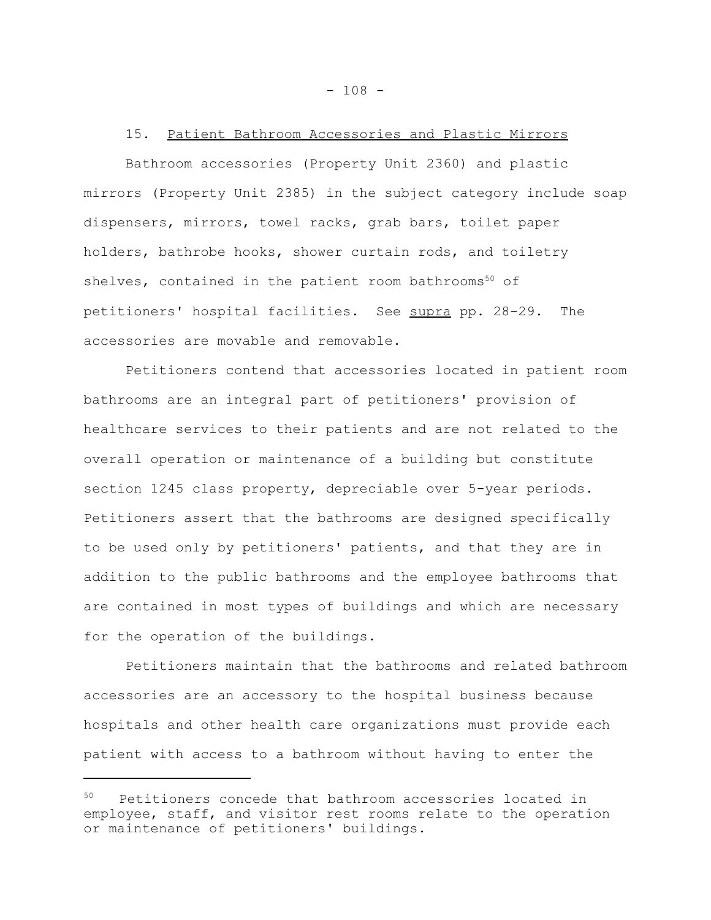## 15. Patient Bathroom Accessories and Plastic Mirrors

Bathroom accessories (Property Unit 2360) and plastic mirrors (Property Unit 2385) in the subject category include soap dispensers, mirrors, towel racks, grab bars, toilet paper holders, bathrobe hooks, shower curtain rods, and toiletry shelves, contained in the patient room bathrooms $50$  of petitioners' hospital facilities. See supra pp. 28-29. The accessories are movable and removable.

Petitioners contend that accessories located in patient room bathrooms are an integral part of petitioners' provision of healthcare services to their patients and are not related to the overall operation or maintenance of a building but constitute section 1245 class property, depreciable over 5-year periods. Petitioners assert that the bathrooms are designed specifically to be used only by petitioners' patients, and that they are in addition to the public bathrooms and the employee bathrooms that are contained in most types of buildings and which are necessary for the operation of the buildings.

Petitioners maintain that the bathrooms and related bathroom accessories are an accessory to the hospital business because hospitals and other health care organizations must provide each patient with access to a bathroom without having to enter the

<sup>50</sup> Petitioners concede that bathroom accessories located in employee, staff, and visitor rest rooms relate to the operation or maintenance of petitioners' buildings.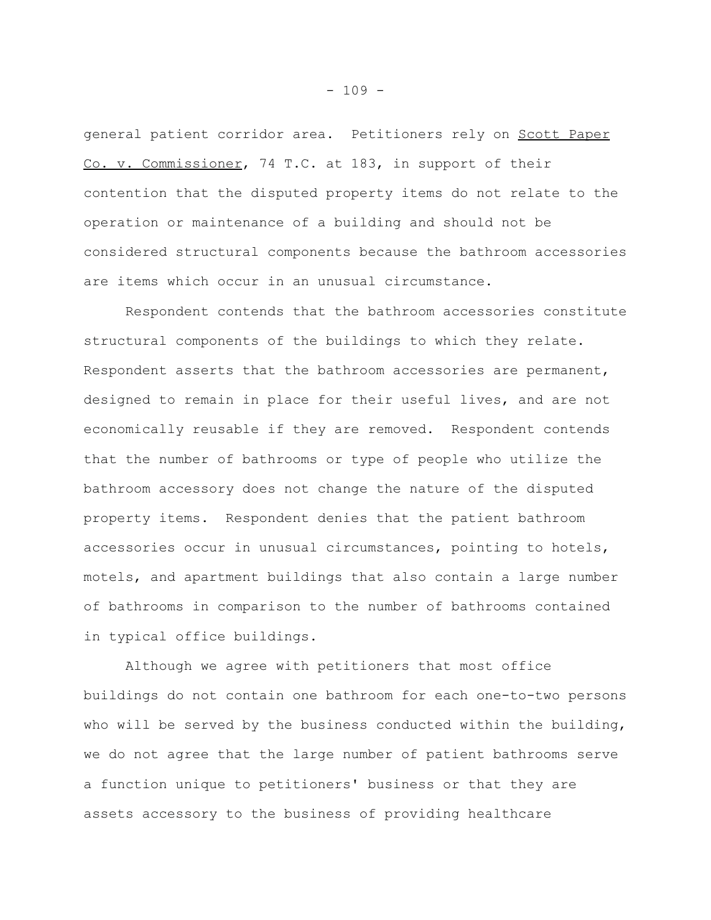general patient corridor area. Petitioners rely on Scott Paper Co. v. Commissioner, 74 T.C. at 183, in support of their contention that the disputed property items do not relate to the operation or maintenance of a building and should not be considered structural components because the bathroom accessories are items which occur in an unusual circumstance.

Respondent contends that the bathroom accessories constitute structural components of the buildings to which they relate. Respondent asserts that the bathroom accessories are permanent, designed to remain in place for their useful lives, and are not economically reusable if they are removed. Respondent contends that the number of bathrooms or type of people who utilize the bathroom accessory does not change the nature of the disputed property items. Respondent denies that the patient bathroom accessories occur in unusual circumstances, pointing to hotels, motels, and apartment buildings that also contain a large number of bathrooms in comparison to the number of bathrooms contained in typical office buildings.

Although we agree with petitioners that most office buildings do not contain one bathroom for each one-to-two persons who will be served by the business conducted within the building, we do not agree that the large number of patient bathrooms serve a function unique to petitioners' business or that they are assets accessory to the business of providing healthcare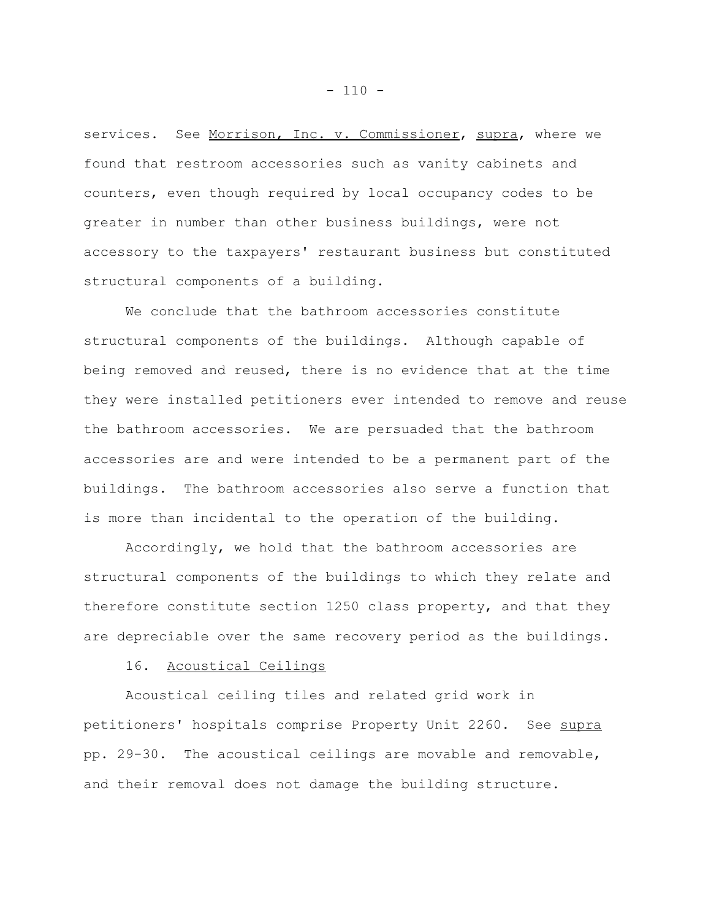services. See Morrison, Inc. v. Commissioner, supra, where we found that restroom accessories such as vanity cabinets and counters, even though required by local occupancy codes to be greater in number than other business buildings, were not accessory to the taxpayers' restaurant business but constituted structural components of a building.

We conclude that the bathroom accessories constitute structural components of the buildings. Although capable of being removed and reused, there is no evidence that at the time they were installed petitioners ever intended to remove and reuse the bathroom accessories. We are persuaded that the bathroom accessories are and were intended to be a permanent part of the buildings. The bathroom accessories also serve a function that is more than incidental to the operation of the building.

Accordingly, we hold that the bathroom accessories are structural components of the buildings to which they relate and therefore constitute section 1250 class property, and that they are depreciable over the same recovery period as the buildings.

## 16. Acoustical Ceilings

Acoustical ceiling tiles and related grid work in petitioners' hospitals comprise Property Unit 2260. See supra pp. 29-30. The acoustical ceilings are movable and removable, and their removal does not damage the building structure.

 $- 110 -$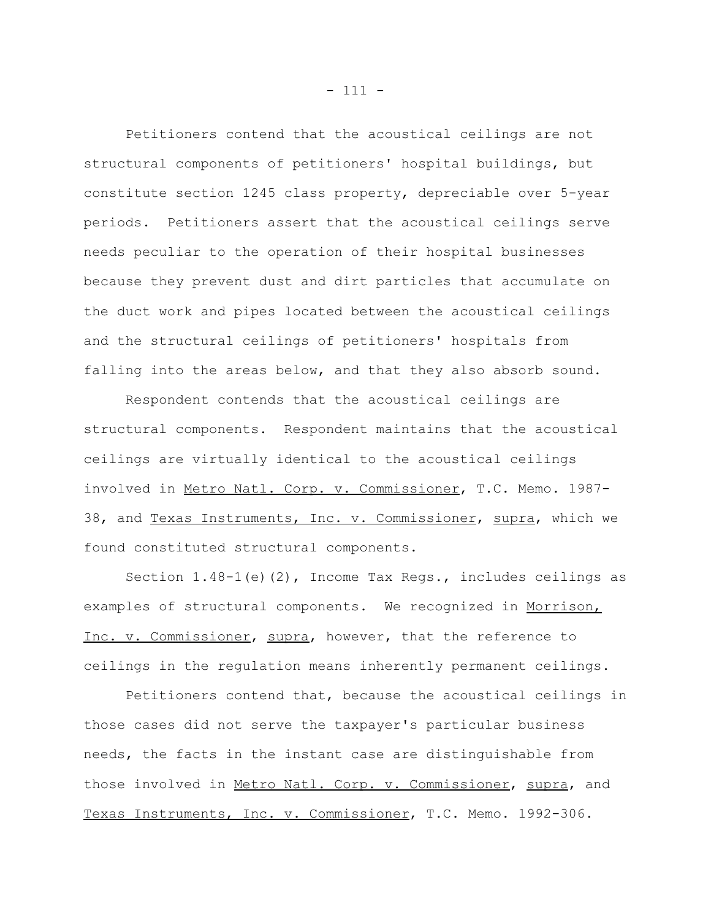Petitioners contend that the acoustical ceilings are not structural components of petitioners' hospital buildings, but constitute section 1245 class property, depreciable over 5-year periods. Petitioners assert that the acoustical ceilings serve needs peculiar to the operation of their hospital businesses because they prevent dust and dirt particles that accumulate on the duct work and pipes located between the acoustical ceilings and the structural ceilings of petitioners' hospitals from falling into the areas below, and that they also absorb sound.

Respondent contends that the acoustical ceilings are structural components. Respondent maintains that the acoustical ceilings are virtually identical to the acoustical ceilings involved in Metro Natl. Corp. v. Commissioner, T.C. Memo. 1987- 38, and Texas Instruments, Inc. v. Commissioner, supra, which we found constituted structural components.

Section  $1.48-1$  (e)(2), Income Tax Regs., includes ceilings as examples of structural components. We recognized in Morrison, Inc. v. Commissioner, supra, however, that the reference to ceilings in the regulation means inherently permanent ceilings.

Petitioners contend that, because the acoustical ceilings in those cases did not serve the taxpayer's particular business needs, the facts in the instant case are distinguishable from those involved in Metro Natl. Corp. v. Commissioner, supra, and Texas Instruments, Inc. v. Commissioner, T.C. Memo. 1992-306.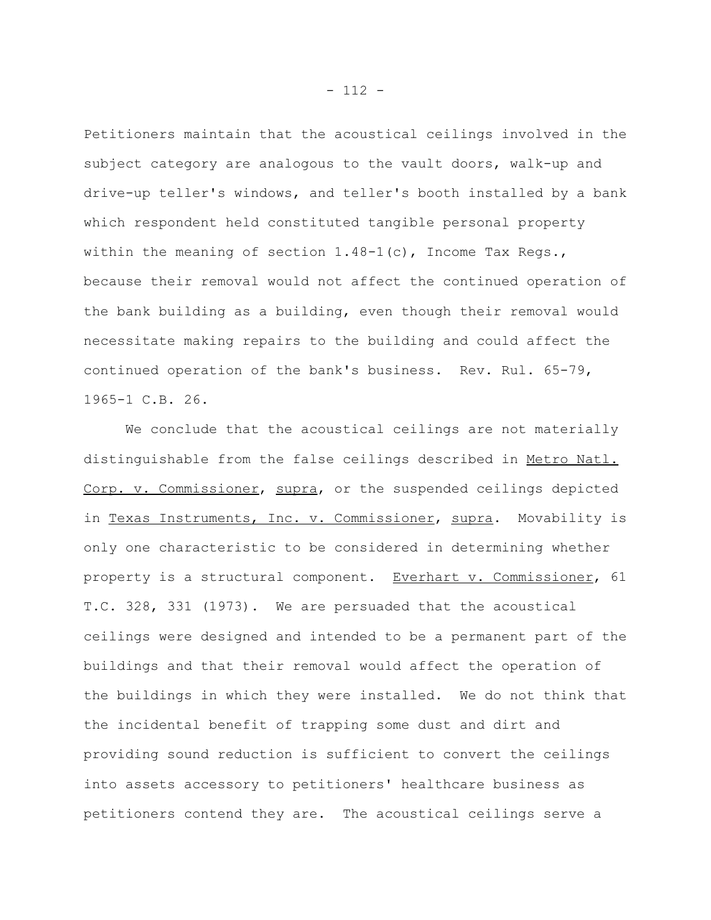Petitioners maintain that the acoustical ceilings involved in the subject category are analogous to the vault doors, walk-up and drive-up teller's windows, and teller's booth installed by a bank which respondent held constituted tangible personal property within the meaning of section  $1.48-1(c)$ , Income Tax Regs., because their removal would not affect the continued operation of the bank building as a building, even though their removal would necessitate making repairs to the building and could affect the continued operation of the bank's business. Rev. Rul. 65-79, 1965-1 C.B. 26.

We conclude that the acoustical ceilings are not materially distinguishable from the false ceilings described in Metro Natl. Corp. v. Commissioner, supra, or the suspended ceilings depicted in Texas Instruments, Inc. v. Commissioner, supra. Movability is only one characteristic to be considered in determining whether property is a structural component. Everhart v. Commissioner, 61 T.C. 328, 331 (1973). We are persuaded that the acoustical ceilings were designed and intended to be a permanent part of the buildings and that their removal would affect the operation of the buildings in which they were installed. We do not think that the incidental benefit of trapping some dust and dirt and providing sound reduction is sufficient to convert the ceilings into assets accessory to petitioners' healthcare business as petitioners contend they are. The acoustical ceilings serve a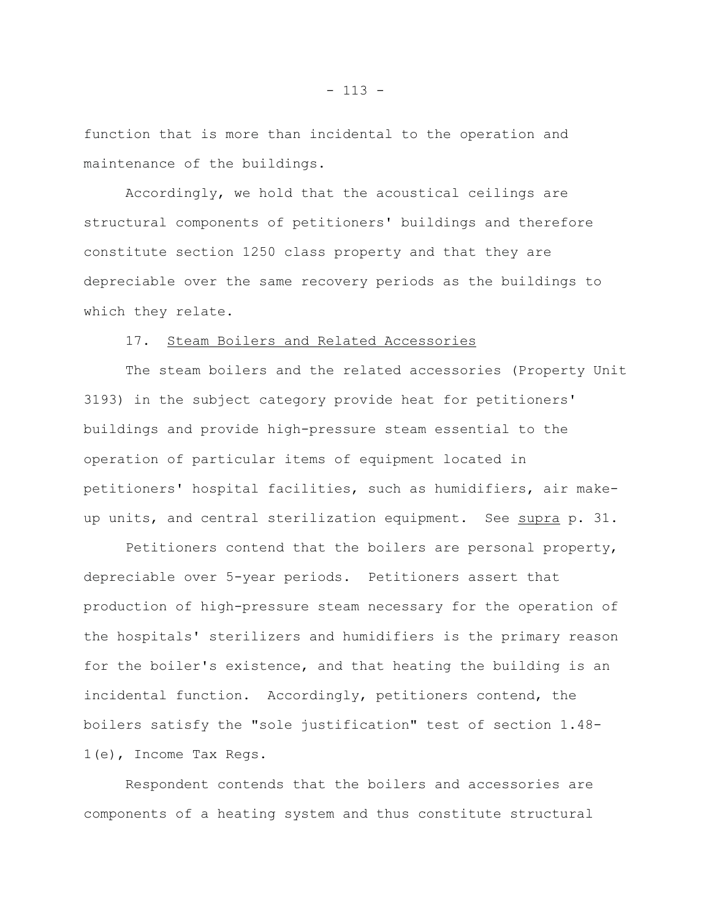function that is more than incidental to the operation and maintenance of the buildings.

Accordingly, we hold that the acoustical ceilings are structural components of petitioners' buildings and therefore constitute section 1250 class property and that they are depreciable over the same recovery periods as the buildings to which they relate.

## 17. Steam Boilers and Related Accessories

The steam boilers and the related accessories (Property Unit 3193) in the subject category provide heat for petitioners' buildings and provide high-pressure steam essential to the operation of particular items of equipment located in petitioners' hospital facilities, such as humidifiers, air makeup units, and central sterilization equipment. See supra p. 31.

Petitioners contend that the boilers are personal property, depreciable over 5-year periods. Petitioners assert that production of high-pressure steam necessary for the operation of the hospitals' sterilizers and humidifiers is the primary reason for the boiler's existence, and that heating the building is an incidental function. Accordingly, petitioners contend, the boilers satisfy the "sole justification" test of section 1.48- 1(e), Income Tax Regs.

Respondent contends that the boilers and accessories are components of a heating system and thus constitute structural

 $- 113 -$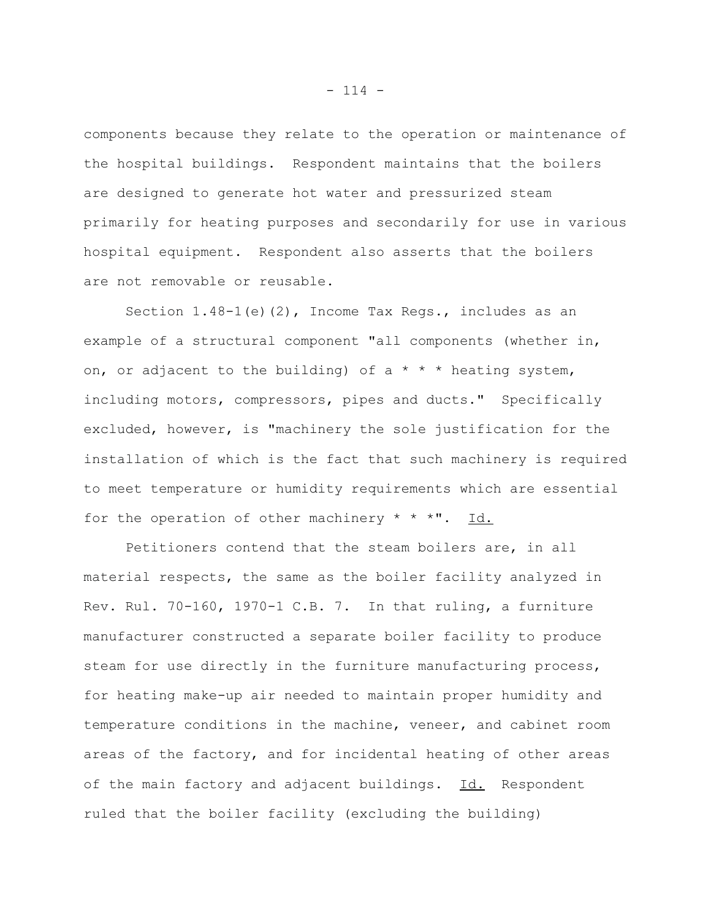components because they relate to the operation or maintenance of the hospital buildings. Respondent maintains that the boilers are designed to generate hot water and pressurized steam primarily for heating purposes and secondarily for use in various hospital equipment. Respondent also asserts that the boilers are not removable or reusable.

Section  $1.48-1$  (e)(2), Income Tax Regs., includes as an example of a structural component "all components (whether in, on, or adjacent to the building) of a  $* * *$  heating system, including motors, compressors, pipes and ducts." Specifically excluded, however, is "machinery the sole justification for the installation of which is the fact that such machinery is required to meet temperature or humidity requirements which are essential for the operation of other machinery  $* * * "$ . Id.

Petitioners contend that the steam boilers are, in all material respects, the same as the boiler facility analyzed in Rev. Rul. 70-160, 1970-1 C.B. 7. In that ruling, a furniture manufacturer constructed a separate boiler facility to produce steam for use directly in the furniture manufacturing process, for heating make-up air needed to maintain proper humidity and temperature conditions in the machine, veneer, and cabinet room areas of the factory, and for incidental heating of other areas of the main factory and adjacent buildings. Id. Respondent ruled that the boiler facility (excluding the building)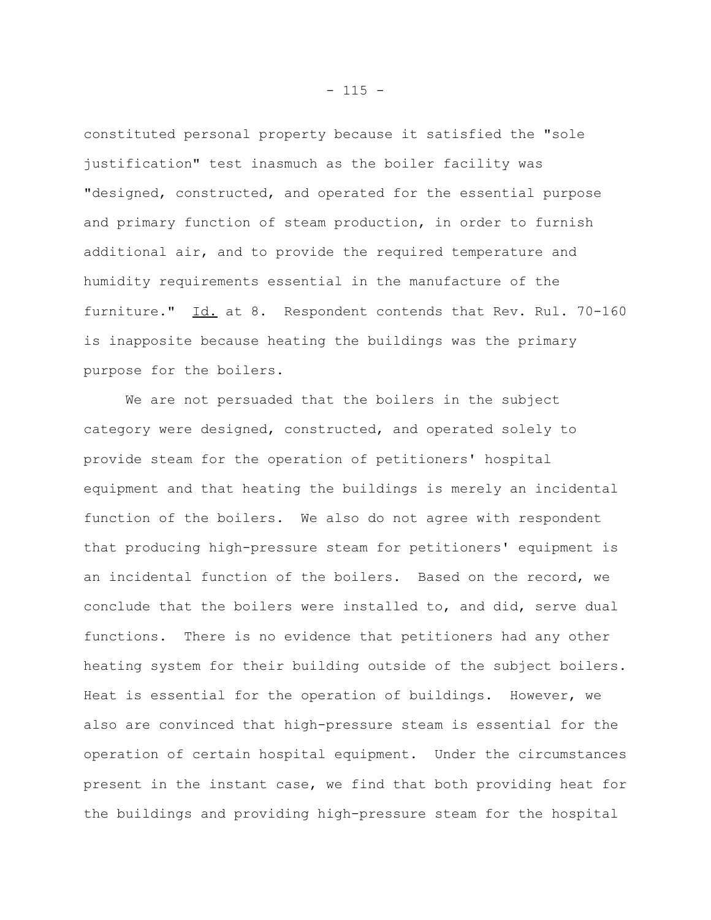constituted personal property because it satisfied the "sole justification" test inasmuch as the boiler facility was "designed, constructed, and operated for the essential purpose and primary function of steam production, in order to furnish additional air, and to provide the required temperature and humidity requirements essential in the manufacture of the furniture." Id. at 8. Respondent contends that Rev. Rul. 70-160 is inapposite because heating the buildings was the primary purpose for the boilers.

We are not persuaded that the boilers in the subject category were designed, constructed, and operated solely to provide steam for the operation of petitioners' hospital equipment and that heating the buildings is merely an incidental function of the boilers. We also do not agree with respondent that producing high-pressure steam for petitioners' equipment is an incidental function of the boilers. Based on the record, we conclude that the boilers were installed to, and did, serve dual functions. There is no evidence that petitioners had any other heating system for their building outside of the subject boilers. Heat is essential for the operation of buildings. However, we also are convinced that high-pressure steam is essential for the operation of certain hospital equipment. Under the circumstances present in the instant case, we find that both providing heat for the buildings and providing high-pressure steam for the hospital